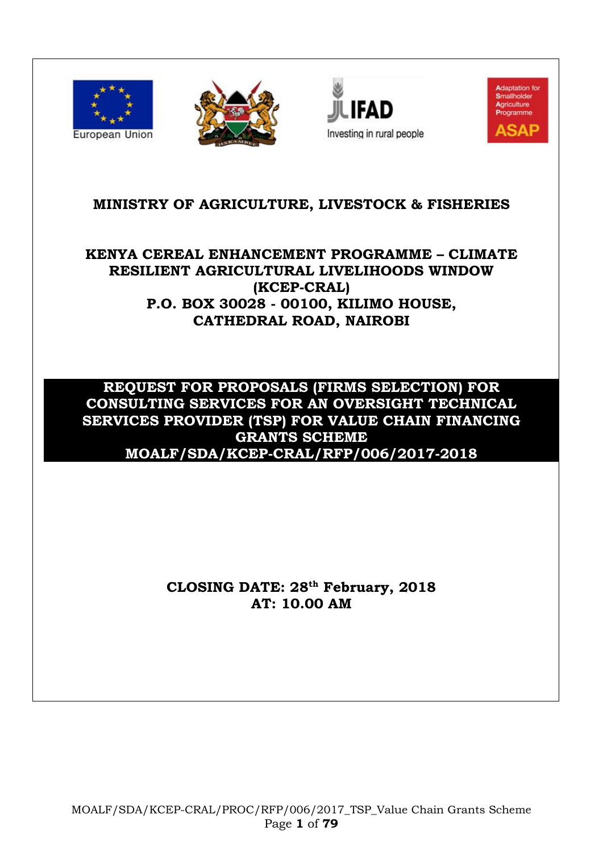



**Jjuin Fad** Investing in rural people



# **MINISTRY OF AGRICULTURE, LIVESTOCK & FISHERIES**

# **KENYA CEREAL ENHANCEMENT PROGRAMME – CLIMATE RESILIENT AGRICULTURAL LIVELIHOODS WINDOW (KCEP-CRAL) P.O. BOX 30028 - 00100, KILIMO HOUSE, CATHEDRAL ROAD, NAIROBI**

# **REQUEST FOR PROPOSALS (FIRMS SELECTION) FOR CONSULTING SERVICES FOR AN OVERSIGHT TECHNICAL SERVICES PROVIDER (TSP) FOR VALUE CHAIN FINANCING GRANTS SCHEME MOALF/SDA/KCEP-CRAL/RFP/006/2017-2018**

# **CLOSING DATE: 28 th February, 2018 AT: 10.00 AM**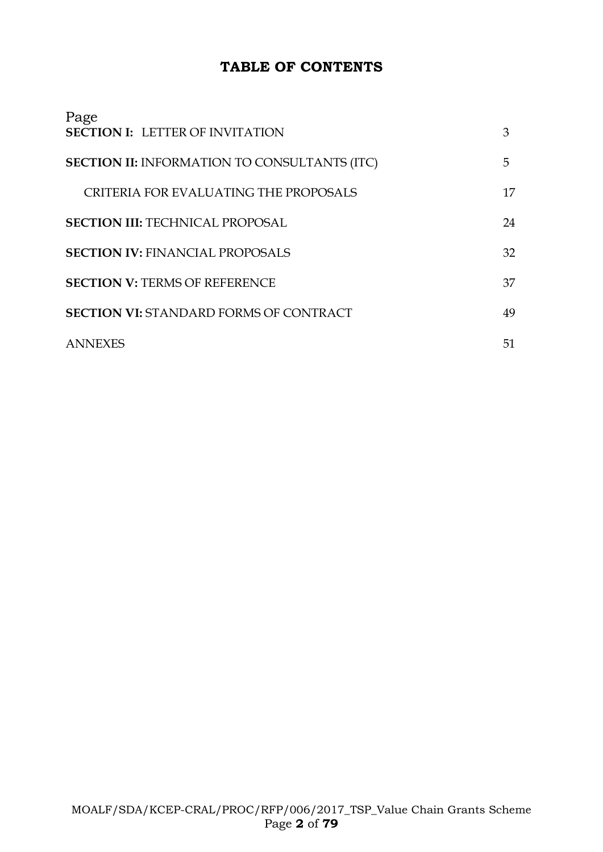# **TABLE OF CONTENTS**

| Page<br><b>SECTION I: LETTER OF INVITATION</b>      | 3  |
|-----------------------------------------------------|----|
| <b>SECTION II: INFORMATION TO CONSULTANTS (ITC)</b> | 5. |
| CRITERIA FOR EVALUATING THE PROPOSALS               | 17 |
| <b>SECTION III: TECHNICAL PROPOSAL</b>              | 24 |
| <b>SECTION IV: FINANCIAL PROPOSALS</b>              | 32 |
| <b>SECTION V: TERMS OF REFERENCE</b>                | 37 |
| <b>SECTION VI: STANDARD FORMS OF CONTRACT</b>       | 49 |
| <b>ANNEXES</b>                                      | 51 |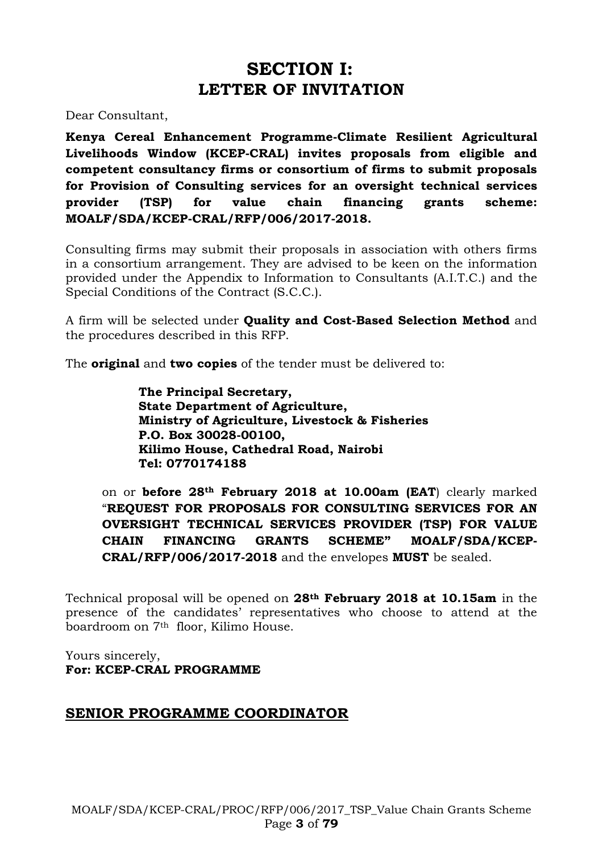# **SECTION I: LETTER OF INVITATION**

Dear Consultant,

**Kenya Cereal Enhancement Programme-Climate Resilient Agricultural Livelihoods Window (KCEP-CRAL) invites proposals from eligible and competent consultancy firms or consortium of firms to submit proposals for Provision of Consulting services for an oversight technical services provider (TSP) for value chain financing grants scheme: MOALF/SDA/KCEP-CRAL/RFP/006/2017-2018.**

Consulting firms may submit their proposals in association with others firms in a consortium arrangement. They are advised to be keen on the information provided under the Appendix to Information to Consultants (A.I.T.C.) and the Special Conditions of the Contract (S.C.C.).

A firm will be selected under **Quality and Cost-Based Selection Method** and the procedures described in this RFP.

The **original** and **two copies** of the tender must be delivered to:

**The Principal Secretary, State Department of Agriculture, Ministry of Agriculture, Livestock & Fisheries P.O. Box 30028-00100, Kilimo House, Cathedral Road, Nairobi Tel: 0770174188**

on or **before 28th February 2018 at 10.00am (EAT**) clearly marked "**REQUEST FOR PROPOSALS FOR CONSULTING SERVICES FOR AN OVERSIGHT TECHNICAL SERVICES PROVIDER (TSP) FOR VALUE CHAIN FINANCING GRANTS SCHEME" MOALF/SDA/KCEP-CRAL/RFP/006/2017-2018** and the envelopes **MUST** be sealed.

Technical proposal will be opened on **28th February 2018 at 10.15am** in the presence of the candidates' representatives who choose to attend at the boardroom on 7th floor, Kilimo House.

Yours sincerely, **For: KCEP-CRAL PROGRAMME**

#### **SENIOR PROGRAMME COORDINATOR**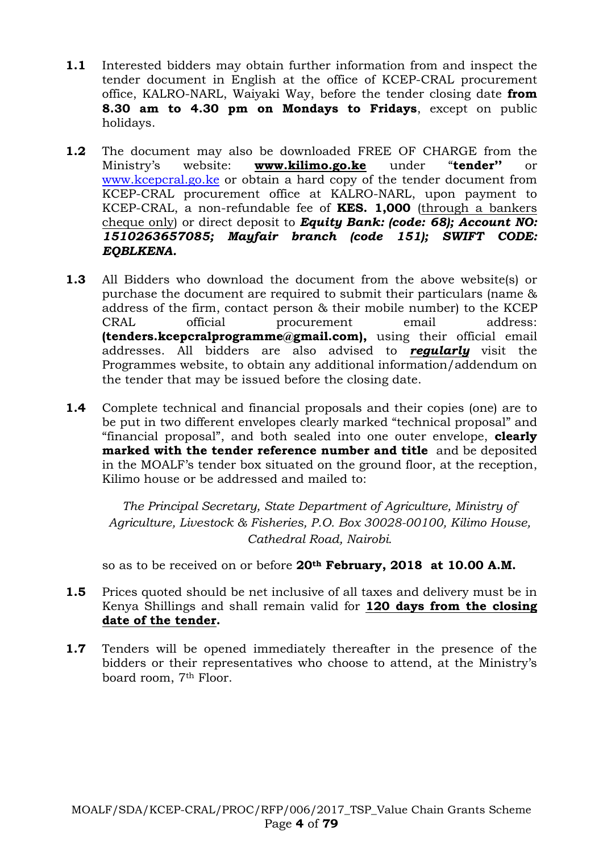- **1.1** Interested bidders may obtain further information from and inspect the tender document in English at the office of KCEP-CRAL procurement office, KALRO-NARL, Waiyaki Way, before the tender closing date **from 8.30 am to 4.30 pm on Mondays to Fridays**, except on public holidays.
- **1.2** The document may also be downloaded FREE OF CHARGE from the Ministry's website: **[www.kilimo.go.ke](http://www.kilimo.go.ke/)** under "**tender''** or [www.kcepcral.go.ke](http://www.kcepcral.go.ke/) or obtain a hard copy of the tender document from KCEP-CRAL procurement office at KALRO-NARL, upon payment to KCEP-CRAL, a non-refundable fee of **KES. 1,000** (through a bankers cheque only) or direct deposit to *Equity Bank: (code: 68); Account NO: 1510263657085; Mayfair branch (code 151); SWIFT CODE: EQBLKENA.*
- **1.3** All Bidders who download the document from the above website(s) or purchase the document are required to submit their particulars (name & address of the firm, contact person & their mobile number) to the KCEP CRAL official procurement email address: **(tenders.kcepcralprogramme@gmail.com),** using their official email addresses. All bidders are also advised to *regularly* visit the Programmes website, to obtain any additional information/addendum on the tender that may be issued before the closing date.
- **1.4** Complete technical and financial proposals and their copies (one) are to be put in two different envelopes clearly marked "technical proposal" and "financial proposal", and both sealed into one outer envelope, **clearly marked with the tender reference number and title** and be deposited in the MOALF's tender box situated on the ground floor, at the reception, Kilimo house or be addressed and mailed to:

*The Principal Secretary, State Department of Agriculture, Ministry of Agriculture, Livestock & Fisheries, P.O. Box 30028-00100, Kilimo House, Cathedral Road, Nairobi.*

so as to be received on or before **20th February, 2018 at 10.00 A.M.**

- **1.5** Prices quoted should be net inclusive of all taxes and delivery must be in Kenya Shillings and shall remain valid for **120 days from the closing date of the tender.**
- **1.7** Tenders will be opened immediately thereafter in the presence of the bidders or their representatives who choose to attend, at the Ministry's board room, 7th Floor.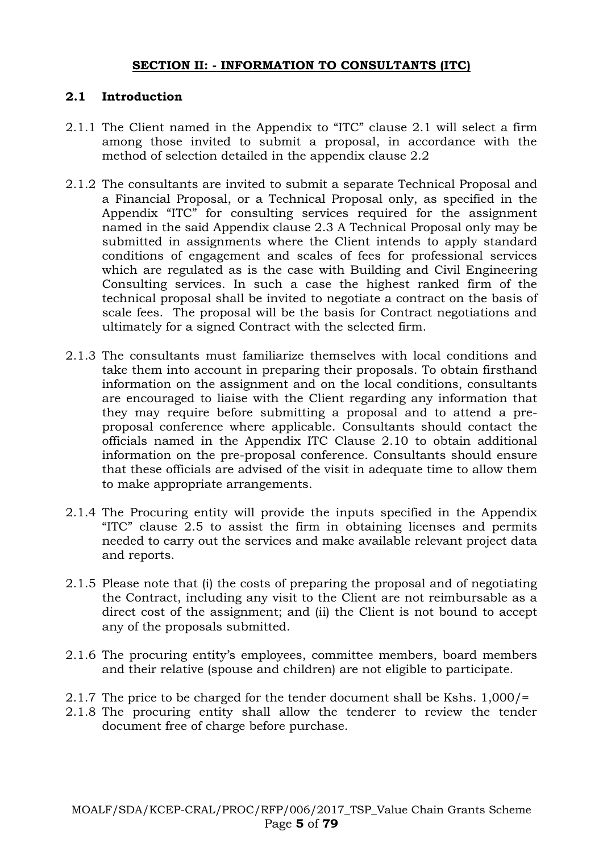#### **SECTION II: - INFORMATION TO CONSULTANTS (ITC)**

#### **2.1 Introduction**

- 2.1.1 The Client named in the Appendix to "ITC" clause 2.1 will select a firm among those invited to submit a proposal, in accordance with the method of selection detailed in the appendix clause 2.2
- 2.1.2 The consultants are invited to submit a separate Technical Proposal and a Financial Proposal, or a Technical Proposal only, as specified in the Appendix "ITC" for consulting services required for the assignment named in the said Appendix clause 2.3 A Technical Proposal only may be submitted in assignments where the Client intends to apply standard conditions of engagement and scales of fees for professional services which are regulated as is the case with Building and Civil Engineering Consulting services. In such a case the highest ranked firm of the technical proposal shall be invited to negotiate a contract on the basis of scale fees. The proposal will be the basis for Contract negotiations and ultimately for a signed Contract with the selected firm.
- 2.1.3 The consultants must familiarize themselves with local conditions and take them into account in preparing their proposals. To obtain firsthand information on the assignment and on the local conditions, consultants are encouraged to liaise with the Client regarding any information that they may require before submitting a proposal and to attend a preproposal conference where applicable. Consultants should contact the officials named in the Appendix ITC Clause 2.10 to obtain additional information on the pre-proposal conference. Consultants should ensure that these officials are advised of the visit in adequate time to allow them to make appropriate arrangements.
- 2.1.4 The Procuring entity will provide the inputs specified in the Appendix "ITC" clause 2.5 to assist the firm in obtaining licenses and permits needed to carry out the services and make available relevant project data and reports.
- 2.1.5 Please note that (i) the costs of preparing the proposal and of negotiating the Contract, including any visit to the Client are not reimbursable as a direct cost of the assignment; and (ii) the Client is not bound to accept any of the proposals submitted.
- 2.1.6 The procuring entity's employees, committee members, board members and their relative (spouse and children) are not eligible to participate.
- 2.1.7 The price to be charged for the tender document shall be Kshs. 1,000/=
- 2.1.8 The procuring entity shall allow the tenderer to review the tender document free of charge before purchase.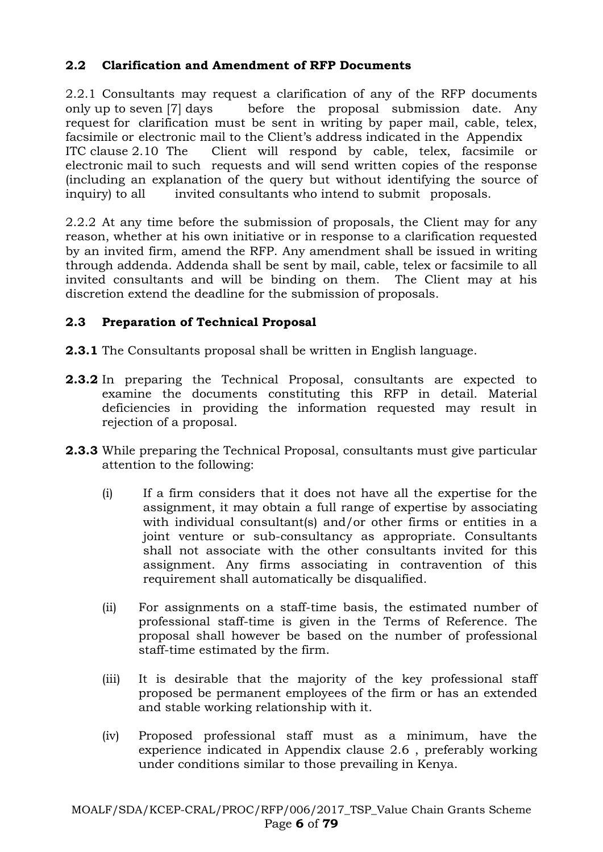### **2.2 Clarification and Amendment of RFP Documents**

2.2.1 Consultants may request a clarification of any of the RFP documents only up to seven [7] days before the proposal submission date. Any request for clarification must be sent in writing by paper mail, cable, telex, facsimile or electronic mail to the Client's address indicated in the Appendix ITC clause 2.10 The Client will respond by cable, telex, facsimile or electronic mail to such requests and will send written copies of the response (including an explanation of the query but without identifying the source of inquiry) to all invited consultants who intend to submit proposals.

2.2.2 At any time before the submission of proposals, the Client may for any reason, whether at his own initiative or in response to a clarification requested by an invited firm, amend the RFP. Any amendment shall be issued in writing through addenda. Addenda shall be sent by mail, cable, telex or facsimile to all invited consultants and will be binding on them. The Client may at his discretion extend the deadline for the submission of proposals.

### **2.3 Preparation of Technical Proposal**

**2.3.1** The Consultants proposal shall be written in English language.

- **2.3.2** In preparing the Technical Proposal, consultants are expected to examine the documents constituting this RFP in detail. Material deficiencies in providing the information requested may result in rejection of a proposal.
- **2.3.3** While preparing the Technical Proposal, consultants must give particular attention to the following:
	- (i) If a firm considers that it does not have all the expertise for the assignment, it may obtain a full range of expertise by associating with individual consultant(s) and/or other firms or entities in a joint venture or sub-consultancy as appropriate. Consultants shall not associate with the other consultants invited for this assignment. Any firms associating in contravention of this requirement shall automatically be disqualified.
	- (ii) For assignments on a staff-time basis, the estimated number of professional staff-time is given in the Terms of Reference. The proposal shall however be based on the number of professional staff-time estimated by the firm.
	- (iii) It is desirable that the majority of the key professional staff proposed be permanent employees of the firm or has an extended and stable working relationship with it.
	- (iv) Proposed professional staff must as a minimum, have the experience indicated in Appendix clause 2.6 , preferably working under conditions similar to those prevailing in Kenya.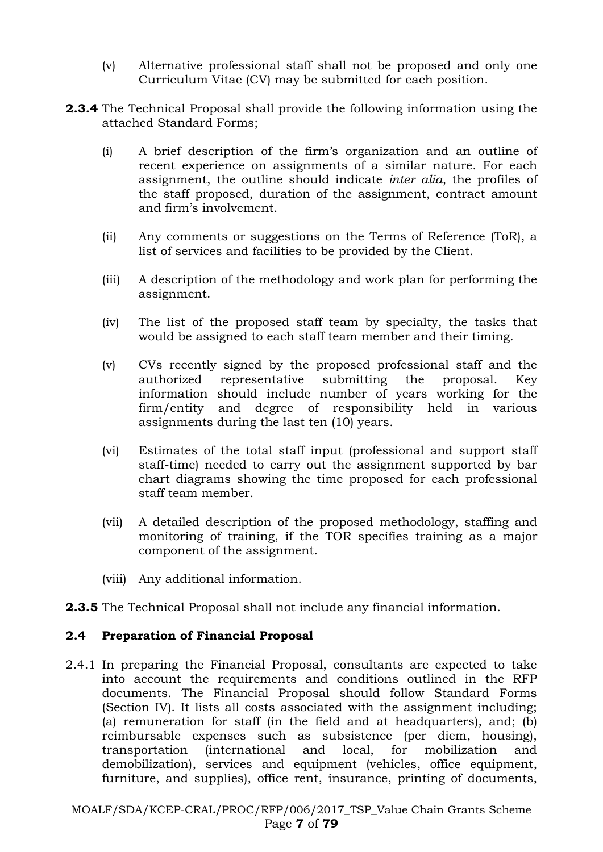- (v) Alternative professional staff shall not be proposed and only one Curriculum Vitae (CV) may be submitted for each position.
- **2.3.4** The Technical Proposal shall provide the following information using the attached Standard Forms;
	- (i) A brief description of the firm's organization and an outline of recent experience on assignments of a similar nature. For each assignment, the outline should indicate *inter alia,* the profiles of the staff proposed, duration of the assignment, contract amount and firm's involvement.
	- (ii) Any comments or suggestions on the Terms of Reference (ToR), a list of services and facilities to be provided by the Client.
	- (iii) A description of the methodology and work plan for performing the assignment.
	- (iv) The list of the proposed staff team by specialty, the tasks that would be assigned to each staff team member and their timing.
	- (v) CVs recently signed by the proposed professional staff and the authorized representative submitting the proposal. Key information should include number of years working for the firm/entity and degree of responsibility held in various assignments during the last ten (10) years.
	- (vi) Estimates of the total staff input (professional and support staff staff-time) needed to carry out the assignment supported by bar chart diagrams showing the time proposed for each professional staff team member.
	- (vii) A detailed description of the proposed methodology, staffing and monitoring of training, if the TOR specifies training as a major component of the assignment.
	- (viii) Any additional information.
- **2.3.5** The Technical Proposal shall not include any financial information.

#### **2.4 Preparation of Financial Proposal**

2.4.1 In preparing the Financial Proposal, consultants are expected to take into account the requirements and conditions outlined in the RFP documents. The Financial Proposal should follow Standard Forms (Section IV). It lists all costs associated with the assignment including; (a) remuneration for staff (in the field and at headquarters), and; (b) reimbursable expenses such as subsistence (per diem, housing), transportation (international and local, for mobilization and demobilization), services and equipment (vehicles, office equipment, furniture, and supplies), office rent, insurance, printing of documents,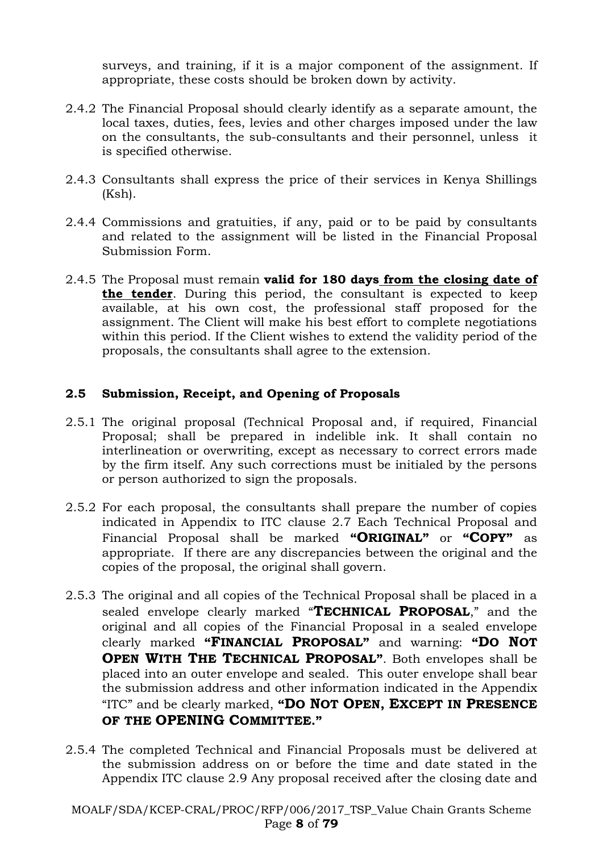surveys, and training, if it is a major component of the assignment. If appropriate, these costs should be broken down by activity.

- 2.4.2 The Financial Proposal should clearly identify as a separate amount, the local taxes, duties, fees, levies and other charges imposed under the law on the consultants, the sub-consultants and their personnel, unless it is specified otherwise.
- 2.4.3 Consultants shall express the price of their services in Kenya Shillings (Ksh).
- 2.4.4 Commissions and gratuities, if any, paid or to be paid by consultants and related to the assignment will be listed in the Financial Proposal Submission Form.
- 2.4.5 The Proposal must remain **valid for 180 days from the closing date of the tender**. During this period, the consultant is expected to keep available, at his own cost, the professional staff proposed for the assignment. The Client will make his best effort to complete negotiations within this period. If the Client wishes to extend the validity period of the proposals, the consultants shall agree to the extension.

#### **2.5 Submission, Receipt, and Opening of Proposals**

- 2.5.1 The original proposal (Technical Proposal and, if required, Financial Proposal; shall be prepared in indelible ink. It shall contain no interlineation or overwriting, except as necessary to correct errors made by the firm itself. Any such corrections must be initialed by the persons or person authorized to sign the proposals.
- 2.5.2 For each proposal, the consultants shall prepare the number of copies indicated in Appendix to ITC clause 2.7 Each Technical Proposal and Financial Proposal shall be marked **"ORIGINAL"** or **"COPY"** as appropriate. If there are any discrepancies between the original and the copies of the proposal, the original shall govern.
- 2.5.3 The original and all copies of the Technical Proposal shall be placed in a sealed envelope clearly marked "**TECHNICAL PROPOSAL**," and the original and all copies of the Financial Proposal in a sealed envelope clearly marked **"FINANCIAL PROPOSAL"** and warning: **"DO NOT OPEN WITH THE TECHNICAL PROPOSAL"**. Both envelopes shall be placed into an outer envelope and sealed. This outer envelope shall bear the submission address and other information indicated in the Appendix "ITC" and be clearly marked, **"DO NOT OPEN, EXCEPT IN PRESENCE OF THE OPENING COMMITTEE."**
- 2.5.4 The completed Technical and Financial Proposals must be delivered at the submission address on or before the time and date stated in the Appendix ITC clause 2.9 Any proposal received after the closing date and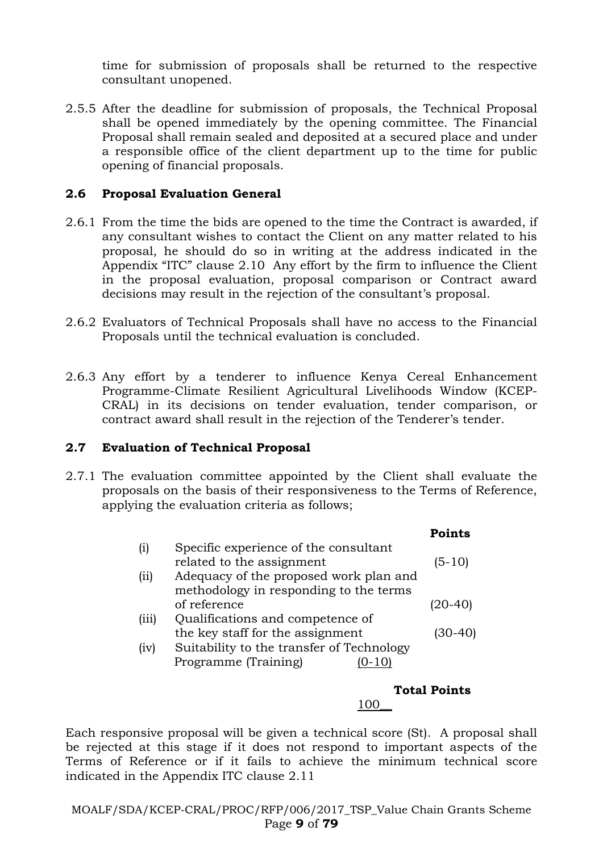time for submission of proposals shall be returned to the respective consultant unopened.

2.5.5 After the deadline for submission of proposals, the Technical Proposal shall be opened immediately by the opening committee. The Financial Proposal shall remain sealed and deposited at a secured place and under a responsible office of the client department up to the time for public opening of financial proposals.

#### **2.6 Proposal Evaluation General**

- 2.6.1 From the time the bids are opened to the time the Contract is awarded, if any consultant wishes to contact the Client on any matter related to his proposal, he should do so in writing at the address indicated in the Appendix "ITC" clause 2.10 Any effort by the firm to influence the Client in the proposal evaluation, proposal comparison or Contract award decisions may result in the rejection of the consultant's proposal.
- 2.6.2 Evaluators of Technical Proposals shall have no access to the Financial Proposals until the technical evaluation is concluded.
- 2.6.3 Any effort by a tenderer to influence Kenya Cereal Enhancement Programme-Climate Resilient Agricultural Livelihoods Window (KCEP-CRAL) in its decisions on tender evaluation, tender comparison, or contract award shall result in the rejection of the Tenderer's tender.

#### **2.7 Evaluation of Technical Proposal**

2.7.1 The evaluation committee appointed by the Client shall evaluate the proposals on the basis of their responsiveness to the Terms of Reference, applying the evaluation criteria as follows;

|       |                                           | <b>Points</b> |
|-------|-------------------------------------------|---------------|
| (1)   | Specific experience of the consultant     |               |
|       | related to the assignment                 | (5-10)        |
| (i)   | Adequacy of the proposed work plan and    |               |
|       | methodology in responding to the terms    |               |
|       | of reference                              |               |
| (iii) | Qualifications and competence of          |               |
|       | the key staff for the assignment          | 30-401        |
| (iv)  | Suitability to the transfer of Technology |               |
|       | Programme (Training)                      |               |
|       |                                           |               |

# **Total Points**

### 100\_\_

Each responsive proposal will be given a technical score (St). A proposal shall be rejected at this stage if it does not respond to important aspects of the Terms of Reference or if it fails to achieve the minimum technical score indicated in the Appendix ITC clause 2.11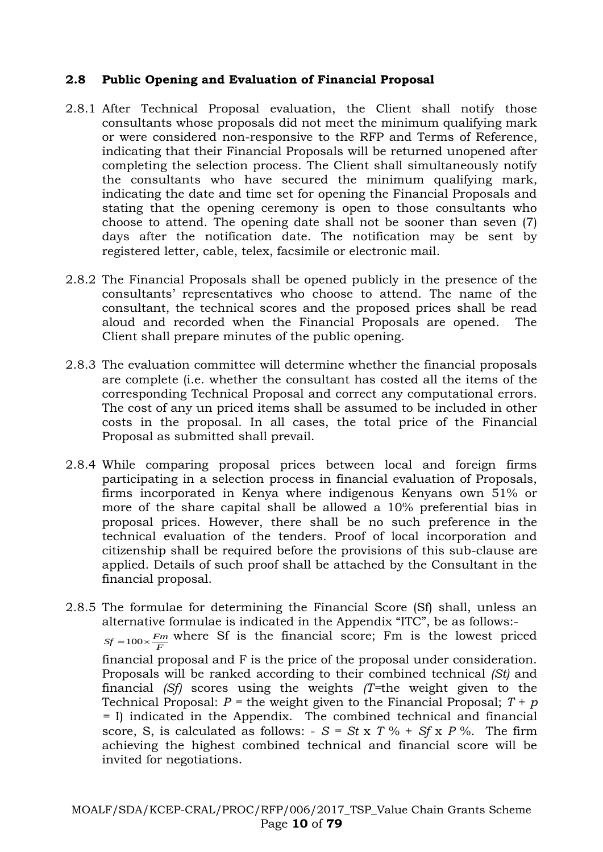#### **2.8 Public Opening and Evaluation of Financial Proposal**

- 2.8.1 After Technical Proposal evaluation, the Client shall notify those consultants whose proposals did not meet the minimum qualifying mark or were considered non-responsive to the RFP and Terms of Reference, indicating that their Financial Proposals will be returned unopened after completing the selection process. The Client shall simultaneously notify the consultants who have secured the minimum qualifying mark, indicating the date and time set for opening the Financial Proposals and stating that the opening ceremony is open to those consultants who choose to attend. The opening date shall not be sooner than seven (7) days after the notification date. The notification may be sent by registered letter, cable, telex, facsimile or electronic mail.
- 2.8.2 The Financial Proposals shall be opened publicly in the presence of the consultants' representatives who choose to attend. The name of the consultant, the technical scores and the proposed prices shall be read aloud and recorded when the Financial Proposals are opened. The Client shall prepare minutes of the public opening.
- 2.8.3 The evaluation committee will determine whether the financial proposals are complete (i.e. whether the consultant has costed all the items of the corresponding Technical Proposal and correct any computational errors. The cost of any un priced items shall be assumed to be included in other costs in the proposal. In all cases, the total price of the Financial Proposal as submitted shall prevail.
- 2.8.4 While comparing proposal prices between local and foreign firms participating in a selection process in financial evaluation of Proposals, firms incorporated in Kenya where indigenous Kenyans own 51% or more of the share capital shall be allowed a 10% preferential bias in proposal prices. However, there shall be no such preference in the technical evaluation of the tenders. Proof of local incorporation and citizenship shall be required before the provisions of this sub-clause are applied. Details of such proof shall be attached by the Consultant in the financial proposal.
- 2.8.5 The formulae for determining the Financial Score (Sf) shall, unless an alternative formulae is indicated in the Appendix "ITC", be as follows:-  $S_f = 100 \times \frac{F_m}{F}$  where Sf is the financial score; Fm is the lowest priced financial proposal and F is the price of the proposal under consideration. Proposals will be ranked according to their combined technical *(St)* and financial *(Sf)* scores using the weights *(T=*the weight given to the Technical Proposal:  $P =$  the weight given to the Financial Proposal;  $T + p$ *=* I) indicated in the Appendix. The combined technical and financial score, S, is calculated as follows:  $-S = St x T \% + S f x P \%$ . The firm achieving the highest combined technical and financial score will be invited for negotiations.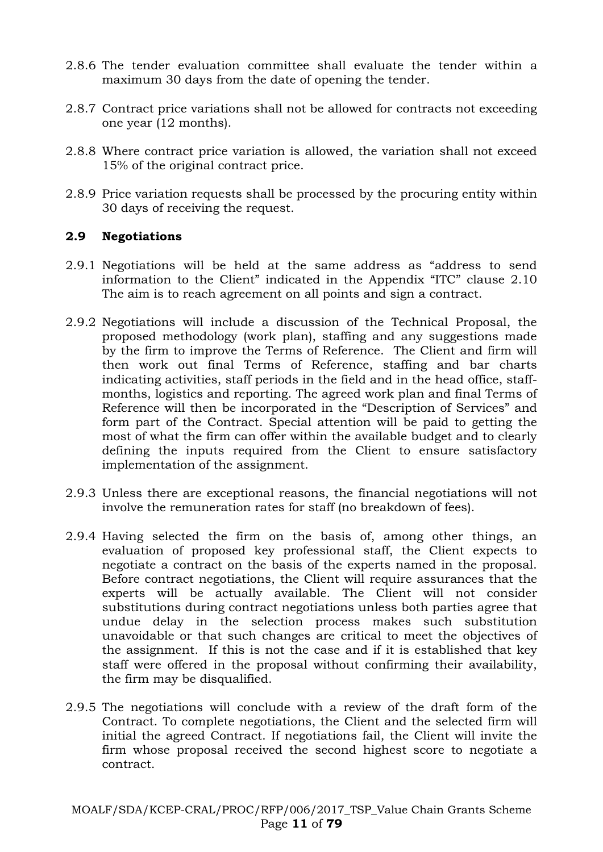- 2.8.6 The tender evaluation committee shall evaluate the tender within a maximum 30 days from the date of opening the tender.
- 2.8.7 Contract price variations shall not be allowed for contracts not exceeding one year (12 months).
- 2.8.8 Where contract price variation is allowed, the variation shall not exceed 15% of the original contract price.
- 2.8.9 Price variation requests shall be processed by the procuring entity within 30 days of receiving the request.

#### **2.9 Negotiations**

- 2.9.1 Negotiations will be held at the same address as "address to send information to the Client" indicated in the Appendix "ITC" clause 2.10 The aim is to reach agreement on all points and sign a contract.
- 2.9.2 Negotiations will include a discussion of the Technical Proposal, the proposed methodology (work plan), staffing and any suggestions made by the firm to improve the Terms of Reference. The Client and firm will then work out final Terms of Reference, staffing and bar charts indicating activities, staff periods in the field and in the head office, staffmonths, logistics and reporting. The agreed work plan and final Terms of Reference will then be incorporated in the "Description of Services" and form part of the Contract. Special attention will be paid to getting the most of what the firm can offer within the available budget and to clearly defining the inputs required from the Client to ensure satisfactory implementation of the assignment.
- 2.9.3 Unless there are exceptional reasons, the financial negotiations will not involve the remuneration rates for staff (no breakdown of fees).
- 2.9.4 Having selected the firm on the basis of, among other things, an evaluation of proposed key professional staff, the Client expects to negotiate a contract on the basis of the experts named in the proposal. Before contract negotiations, the Client will require assurances that the experts will be actually available. The Client will not consider substitutions during contract negotiations unless both parties agree that undue delay in the selection process makes such substitution unavoidable or that such changes are critical to meet the objectives of the assignment. If this is not the case and if it is established that key staff were offered in the proposal without confirming their availability, the firm may be disqualified.
- 2.9.5 The negotiations will conclude with a review of the draft form of the Contract. To complete negotiations, the Client and the selected firm will initial the agreed Contract. If negotiations fail, the Client will invite the firm whose proposal received the second highest score to negotiate a contract.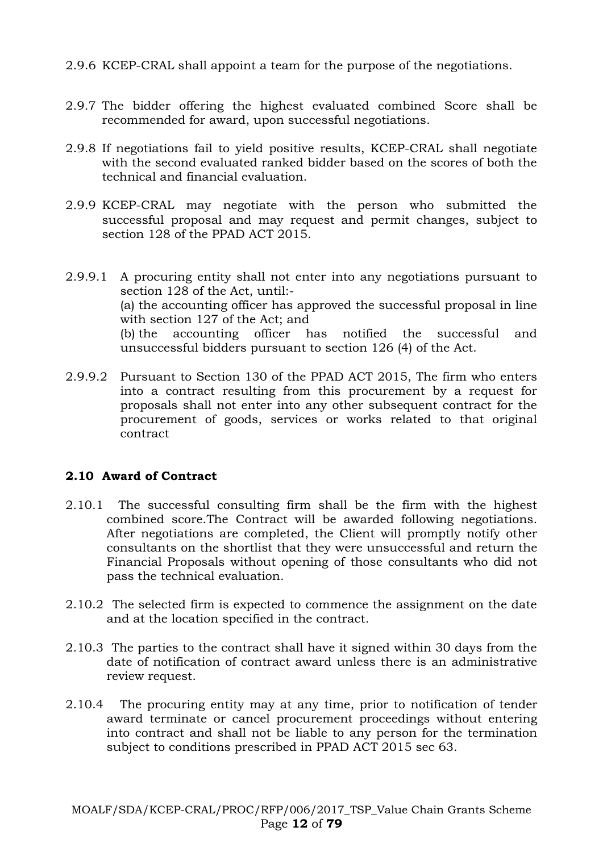- 2.9.6 KCEP-CRAL shall appoint a team for the purpose of the negotiations.
- 2.9.7 The bidder offering the highest evaluated combined Score shall be recommended for award, upon successful negotiations.
- 2.9.8 If negotiations fail to yield positive results, KCEP-CRAL shall negotiate with the second evaluated ranked bidder based on the scores of both the technical and financial evaluation.
- 2.9.9 KCEP-CRAL may negotiate with the person who submitted the successful proposal and may request and permit changes, subject to section 128 of the PPAD ACT 2015.
- 2.9.9.1 A procuring entity shall not enter into any negotiations pursuant to section 128 of the Act, until:- (a) the accounting officer has approved the successful proposal in line with section 127 of the Act; and (b) the accounting officer has notified the successful and unsuccessful bidders pursuant to section 126 (4) of the Act.
- 2.9.9.2 Pursuant to Section 130 of the PPAD ACT 2015, The firm who enters into a contract resulting from this procurement by a request for proposals shall not enter into any other subsequent contract for the procurement of goods, services or works related to that original contract

#### **2.10 Award of Contract**

- 2.10.1 The successful consulting firm shall be the firm with the highest combined score.The Contract will be awarded following negotiations. After negotiations are completed, the Client will promptly notify other consultants on the shortlist that they were unsuccessful and return the Financial Proposals without opening of those consultants who did not pass the technical evaluation.
- 2.10.2 The selected firm is expected to commence the assignment on the date and at the location specified in the contract.
- 2.10.3 The parties to the contract shall have it signed within 30 days from the date of notification of contract award unless there is an administrative review request.
- 2.10.4 The procuring entity may at any time, prior to notification of tender award terminate or cancel procurement proceedings without entering into contract and shall not be liable to any person for the termination subject to conditions prescribed in PPAD ACT 2015 sec 63.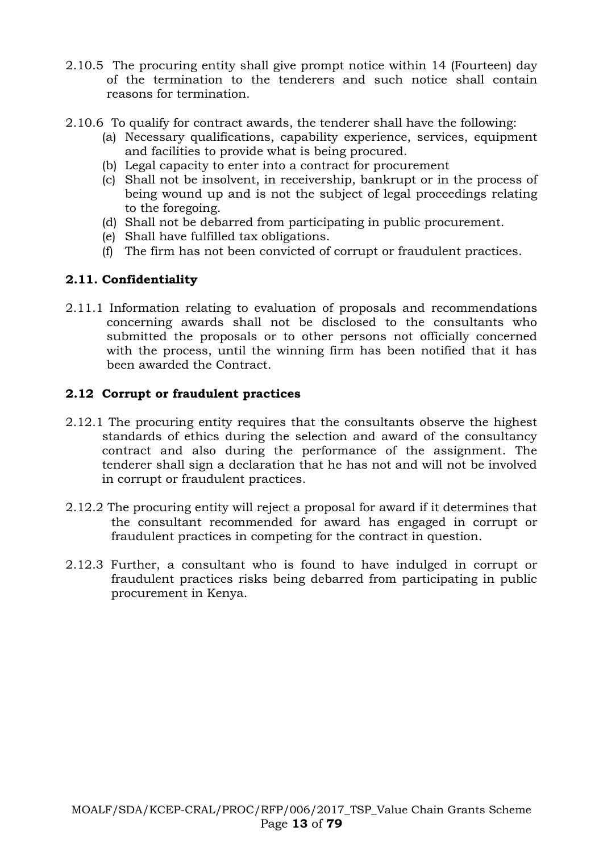- 2.10.5 The procuring entity shall give prompt notice within 14 (Fourteen) day of the termination to the tenderers and such notice shall contain reasons for termination.
- 2.10.6 To qualify for contract awards, the tenderer shall have the following:
	- (a) Necessary qualifications, capability experience, services, equipment and facilities to provide what is being procured.
	- (b) Legal capacity to enter into a contract for procurement
	- (c) Shall not be insolvent, in receivership, bankrupt or in the process of being wound up and is not the subject of legal proceedings relating to the foregoing.
	- (d) Shall not be debarred from participating in public procurement.
	- (e) Shall have fulfilled tax obligations.
	- (f) The firm has not been convicted of corrupt or fraudulent practices.

### **2.11. Confidentiality**

2.11.1 Information relating to evaluation of proposals and recommendations concerning awards shall not be disclosed to the consultants who submitted the proposals or to other persons not officially concerned with the process, until the winning firm has been notified that it has been awarded the Contract.

#### **2.12 Corrupt or fraudulent practices**

- 2.12.1 The procuring entity requires that the consultants observe the highest standards of ethics during the selection and award of the consultancy contract and also during the performance of the assignment. The tenderer shall sign a declaration that he has not and will not be involved in corrupt or fraudulent practices.
- 2.12.2 The procuring entity will reject a proposal for award if it determines that the consultant recommended for award has engaged in corrupt or fraudulent practices in competing for the contract in question.
- 2.12.3 Further, a consultant who is found to have indulged in corrupt or fraudulent practices risks being debarred from participating in public procurement in Kenya.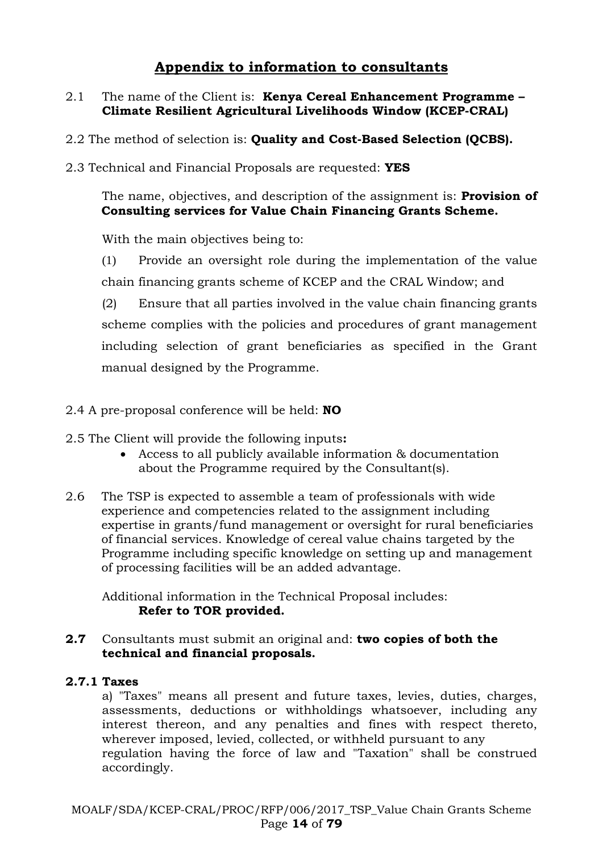# **Appendix to information to consultants**

#### 2.1 The name of the Client is: **Kenya Cereal Enhancement Programme – Climate Resilient Agricultural Livelihoods Window (KCEP-CRAL)**

- 2.2 The method of selection is: **Quality and Cost-Based Selection (QCBS).**
- 2.3 Technical and Financial Proposals are requested: **YES**

The name, objectives, and description of the assignment is: **Provision of Consulting services for Value Chain Financing Grants Scheme.**

With the main objectives being to:

(1) Provide an oversight role during the implementation of the value chain financing grants scheme of KCEP and the CRAL Window; and

(2) Ensure that all parties involved in the value chain financing grants scheme complies with the policies and procedures of grant management including selection of grant beneficiaries as specified in the Grant manual designed by the Programme.

#### 2.4 A pre-proposal conference will be held: **NO**

- 2.5 The Client will provide the following inputs**:**
	- Access to all publicly available information & documentation about the Programme required by the Consultant(s).
- 2.6 The TSP is expected to assemble a team of professionals with wide experience and competencies related to the assignment including expertise in grants/fund management or oversight for rural beneficiaries of financial services. Knowledge of cereal value chains targeted by the Programme including specific knowledge on setting up and management of processing facilities will be an added advantage.

Additional information in the Technical Proposal includes: **Refer to TOR provided.**

#### **2.7** Consultants must submit an original and: **two copies of both the technical and financial proposals.**

#### **2.7.1 Taxes**

a) "Taxes" means all present and future taxes, levies, duties, charges, assessments, deductions or withholdings whatsoever, including any interest thereon, and any penalties and fines with respect thereto, wherever imposed, levied, collected, or withheld pursuant to any regulation having the force of law and "Taxation" shall be construed accordingly.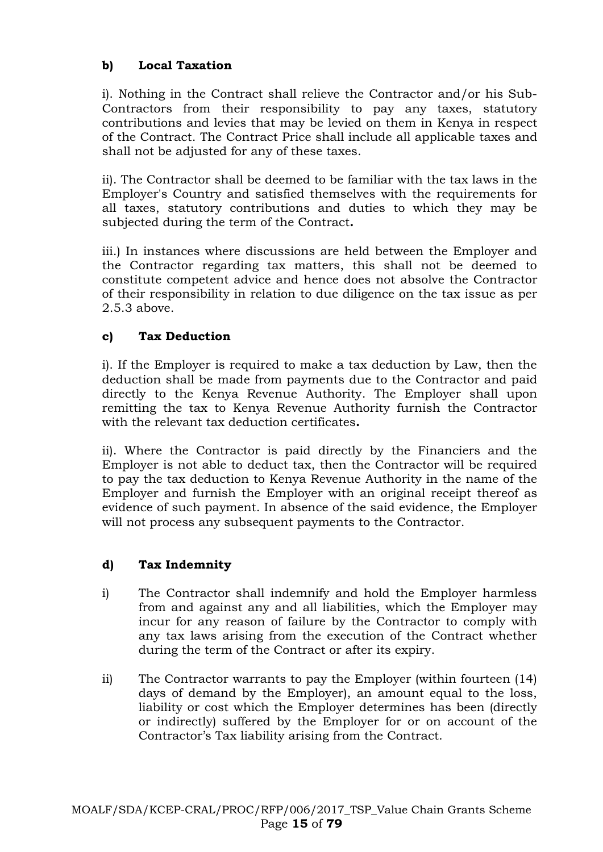### **b) Local Taxation**

i). Nothing in the Contract shall relieve the Contractor and/or his Sub-Contractors from their responsibility to pay any taxes, statutory contributions and levies that may be levied on them in Kenya in respect of the Contract. The Contract Price shall include all applicable taxes and shall not be adjusted for any of these taxes.

ii). The Contractor shall be deemed to be familiar with the tax laws in the Employer's Country and satisfied themselves with the requirements for all taxes, statutory contributions and duties to which they may be subjected during the term of the Contract**.**

iii.) In instances where discussions are held between the Employer and the Contractor regarding tax matters, this shall not be deemed to constitute competent advice and hence does not absolve the Contractor of their responsibility in relation to due diligence on the tax issue as per 2.5.3 above.

#### **c) Tax Deduction**

i). If the Employer is required to make a tax deduction by Law, then the deduction shall be made from payments due to the Contractor and paid directly to the Kenya Revenue Authority. The Employer shall upon remitting the tax to Kenya Revenue Authority furnish the Contractor with the relevant tax deduction certificates**.**

ii). Where the Contractor is paid directly by the Financiers and the Employer is not able to deduct tax, then the Contractor will be required to pay the tax deduction to Kenya Revenue Authority in the name of the Employer and furnish the Employer with an original receipt thereof as evidence of such payment. In absence of the said evidence, the Employer will not process any subsequent payments to the Contractor.

#### **d) Tax Indemnity**

- i) The Contractor shall indemnify and hold the Employer harmless from and against any and all liabilities, which the Employer may incur for any reason of failure by the Contractor to comply with any tax laws arising from the execution of the Contract whether during the term of the Contract or after its expiry.
- ii) The Contractor warrants to pay the Employer (within fourteen (14) days of demand by the Employer), an amount equal to the loss, liability or cost which the Employer determines has been (directly or indirectly) suffered by the Employer for or on account of the Contractor's Tax liability arising from the Contract.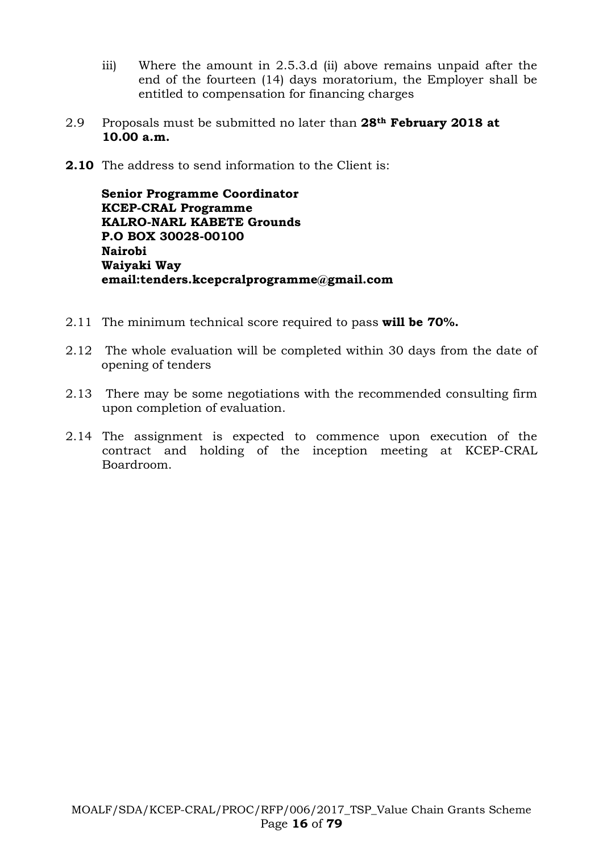- iii) Where the amount in 2.5.3.d (ii) above remains unpaid after the end of the fourteen (14) days moratorium, the Employer shall be entitled to compensation for financing charges
- 2.9 Proposals must be submitted no later than **28th February 2018 at 10.00 a.m.**
- **2.10** The address to send information to the Client is:

**Senior Programme Coordinator KCEP-CRAL Programme KALRO-NARL KABETE Grounds P.O BOX 30028-00100 Nairobi Waiyaki Way email:tenders.kcepcralprogramme@gmail.com**

- 2.11 The minimum technical score required to pass **will be 70%.**
- 2.12 The whole evaluation will be completed within 30 days from the date of opening of tenders
- 2.13 There may be some negotiations with the recommended consulting firm upon completion of evaluation.
- 2.14 The assignment is expected to commence upon execution of the contract and holding of the inception meeting at KCEP-CRAL Boardroom.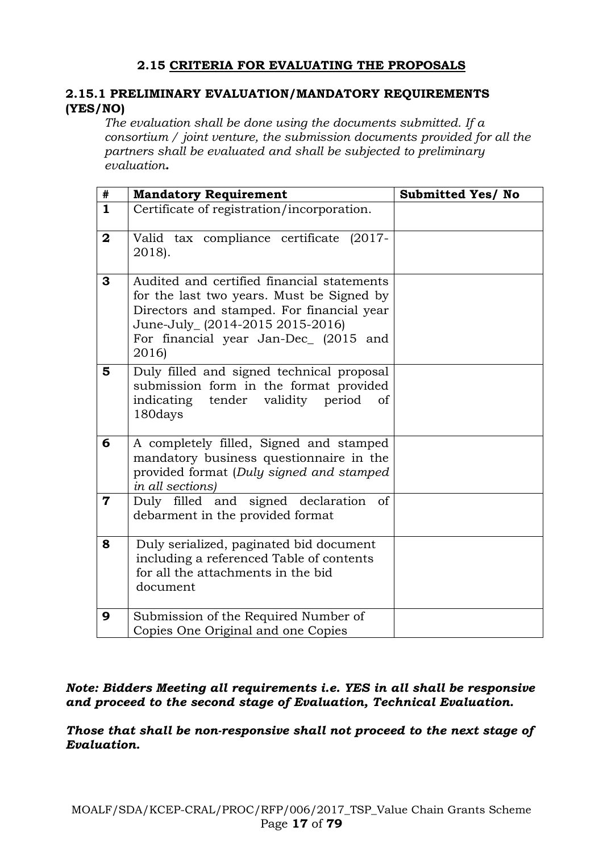### **2.15 CRITERIA FOR EVALUATING THE PROPOSALS**

#### **2.15.1 PRELIMINARY EVALUATION/MANDATORY REQUIREMENTS (YES/NO)**

*The evaluation shall be done using the documents submitted. If a consortium / joint venture, the submission documents provided for all the partners shall be evaluated and shall be subjected to preliminary evaluation.*

| $\#$                    | <b>Mandatory Requirement</b>                                                                                                                                                                                              | <b>Submitted Yes/ No</b> |
|-------------------------|---------------------------------------------------------------------------------------------------------------------------------------------------------------------------------------------------------------------------|--------------------------|
| $\mathbf{1}$            | Certificate of registration/incorporation.                                                                                                                                                                                |                          |
| $\mathbf{2}$            | Valid tax compliance certificate (2017-<br>2018).                                                                                                                                                                         |                          |
| 3                       | Audited and certified financial statements<br>for the last two years. Must be Signed by<br>Directors and stamped. For financial year<br>June-July_ (2014-2015 2015-2016)<br>For financial year Jan-Dec (2015 and<br>2016) |                          |
| 5                       | Duly filled and signed technical proposal<br>submission form in the format provided<br>tender<br>period<br>indicating<br>validity<br>of<br>180days                                                                        |                          |
| 6                       | A completely filled, Signed and stamped<br>mandatory business questionnaire in the<br>provided format (Duly signed and stamped<br>in all sections)                                                                        |                          |
| $\overline{\mathbf{7}}$ | Duly filled and signed declaration<br>of<br>debarment in the provided format                                                                                                                                              |                          |
| 8                       | Duly serialized, paginated bid document<br>including a referenced Table of contents<br>for all the attachments in the bid<br>document                                                                                     |                          |
| 9                       | Submission of the Required Number of<br>Copies One Original and one Copies                                                                                                                                                |                          |

#### *Note: Bidders Meeting all requirements i.e. YES in all shall be responsive and proceed to the second stage of Evaluation, Technical Evaluation.*

*Those that shall be non-responsive shall not proceed to the next stage of Evaluation.*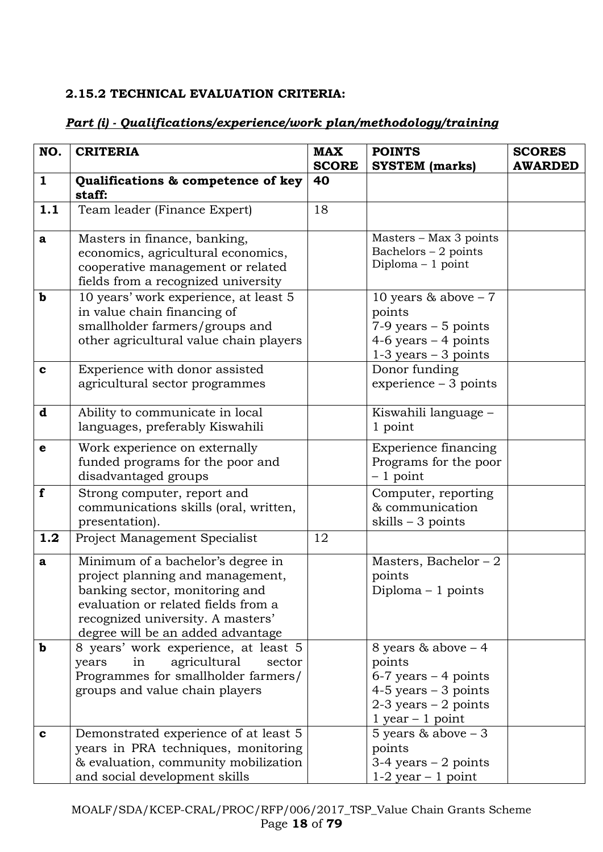### **2.15.2 TECHNICAL EVALUATION CRITERIA:**

### *Part (i) - Qualifications/experience/work plan/methodology/training*

| NO.          | <b>CRITERIA</b>                                                                                                                                                                                                          | <b>MAX</b>   | <b>POINTS</b>                                                                                                                           | <b>SCORES</b>  |
|--------------|--------------------------------------------------------------------------------------------------------------------------------------------------------------------------------------------------------------------------|--------------|-----------------------------------------------------------------------------------------------------------------------------------------|----------------|
|              |                                                                                                                                                                                                                          | <b>SCORE</b> | <b>SYSTEM</b> (marks)                                                                                                                   | <b>AWARDED</b> |
| $\mathbf{1}$ | Qualifications & competence of key<br>staff:                                                                                                                                                                             | 40           |                                                                                                                                         |                |
| 1.1          | Team leader (Finance Expert)                                                                                                                                                                                             | 18           |                                                                                                                                         |                |
| a            | Masters in finance, banking,<br>economics, agricultural economics,<br>cooperative management or related<br>fields from a recognized university                                                                           |              | Masters - Max 3 points<br>Bachelors $-2$ points<br>Diploma - 1 point                                                                    |                |
| $\mathbf b$  | 10 years' work experience, at least 5<br>in value chain financing of<br>smallholder farmers/groups and<br>other agricultural value chain players                                                                         |              | 10 years $& above - 7$<br>points<br>$7-9$ years $-5$ points<br>4-6 years $-$ 4 points<br>$1-3$ years $-3$ points                        |                |
| $\mathbf c$  | Experience with donor assisted<br>agricultural sector programmes                                                                                                                                                         |              | Donor funding<br>$experience-3 points$                                                                                                  |                |
| d            | Ability to communicate in local<br>languages, preferably Kiswahili                                                                                                                                                       |              | Kiswahili language –<br>1 point                                                                                                         |                |
| $\mathbf e$  | Work experience on externally<br>funded programs for the poor and<br>disadvantaged groups                                                                                                                                |              | Experience financing<br>Programs for the poor<br>$-1$ point                                                                             |                |
| f            | Strong computer, report and<br>communications skills (oral, written,<br>presentation).                                                                                                                                   |              | Computer, reporting<br>& communication<br>skills $-3$ points                                                                            |                |
| 1.2          | Project Management Specialist                                                                                                                                                                                            | 12           |                                                                                                                                         |                |
| a            | Minimum of a bachelor's degree in<br>project planning and management,<br>banking sector, monitoring and<br>evaluation or related fields from a<br>recognized university. A masters'<br>degree will be an added advantage |              | Masters, Bachelor $-2$<br>points<br>Diploma $-1$ points                                                                                 |                |
| b            | 8 years' work experience, at least 5<br>agricultural<br>in<br>years<br>sector<br>Programmes for smallholder farmers/<br>groups and value chain players                                                                   |              | 8 years $& above - 4$<br>points<br>$6-7$ years $-4$ points<br>$4-5$ years $-3$ points<br>$2-3$ years $-2$ points<br>$1$ year $-1$ point |                |
| $\mathbf c$  | Demonstrated experience of at least 5<br>years in PRA techniques, monitoring<br>& evaluation, community mobilization<br>and social development skills                                                                    |              | 5 years $& above - 3$<br>points<br>$3-4$ years $-2$ points<br>$1-2$ year $-1$ point                                                     |                |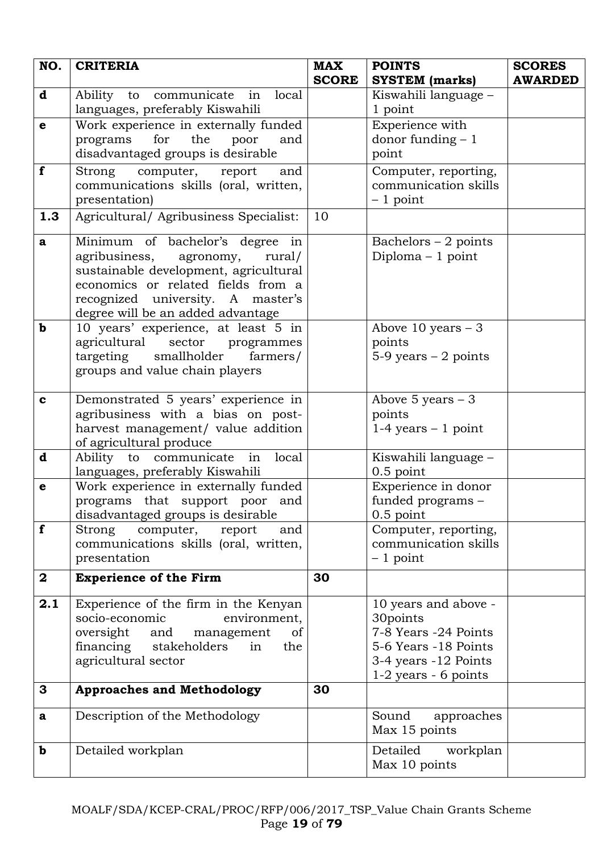| NO.          | <b>CRITERIA</b>                                                                                                                                                                                                               | <b>MAX</b><br><b>SCORE</b> | <b>POINTS</b><br><b>SYSTEM</b> (marks)                                                                                             | <b>SCORES</b><br><b>AWARDED</b> |
|--------------|-------------------------------------------------------------------------------------------------------------------------------------------------------------------------------------------------------------------------------|----------------------------|------------------------------------------------------------------------------------------------------------------------------------|---------------------------------|
| $\mathbf d$  | Ability to communicate in<br>local<br>languages, preferably Kiswahili                                                                                                                                                         |                            | Kiswahili language -<br>1 point                                                                                                    |                                 |
| $\mathbf e$  | Work experience in externally funded<br>the<br>for<br>programs<br>poor<br>and<br>disadvantaged groups is desirable                                                                                                            |                            | Experience with<br>donor funding $-1$<br>point                                                                                     |                                 |
| f            | Strong computer, report<br>and<br>communications skills (oral, written,<br>presentation)                                                                                                                                      |                            | Computer, reporting,<br>communication skills<br>$-1$ point                                                                         |                                 |
| 1.3          | Agricultural/ Agribusiness Specialist:                                                                                                                                                                                        | 10                         |                                                                                                                                    |                                 |
| $\mathbf{a}$ | Minimum of bachelor's degree in<br>agribusiness, agronomy,<br>rural/<br>sustainable development, agricultural<br>economics or related fields from a<br>recognized university. A master's<br>degree will be an added advantage |                            | Bachelors $-2$ points<br>Diploma $-1$ point                                                                                        |                                 |
| $\mathbf b$  | 10 years' experience, at least 5 in<br>agricultural<br>sector<br>programmes<br>targeting smallholder<br>farmers/<br>groups and value chain players                                                                            |                            | Above 10 years $-3$<br>points<br>$5-9$ years $-2$ points                                                                           |                                 |
| $\mathbf c$  | Demonstrated 5 years' experience in<br>agribusiness with a bias on post-<br>harvest management/ value addition<br>of agricultural produce                                                                                     |                            | Above 5 years $-3$<br>points<br>$1-4$ years $-1$ point                                                                             |                                 |
| d            | Ability to communicate<br>local<br>in<br>languages, preferably Kiswahili                                                                                                                                                      |                            | Kiswahili language -<br>$0.5$ point                                                                                                |                                 |
| $\mathbf e$  | Work experience in externally funded<br>programs that support poor and<br>disadvantaged groups is desirable                                                                                                                   |                            | Experience in donor<br>funded programs -<br>$0.5$ point                                                                            |                                 |
| f            | computer,<br>Strong<br>report<br>and<br>communications skills (oral, written,<br>presentation                                                                                                                                 |                            | Computer, reporting,<br>communication skills<br>$-1$ point                                                                         |                                 |
| $\mathbf{2}$ | <b>Experience of the Firm</b>                                                                                                                                                                                                 | 30                         |                                                                                                                                    |                                 |
| 2.1          | Experience of the firm in the Kenyan<br>environment,<br>socio-economic<br>oversight<br>and<br>management<br>of<br>financing stakeholders<br>the<br>in<br>agricultural sector                                                  |                            | 10 years and above -<br>30points<br>7-8 Years -24 Points<br>5-6 Years -18 Points<br>3-4 years -12 Points<br>$1-2$ years - 6 points |                                 |
| 3            | <b>Approaches and Methodology</b>                                                                                                                                                                                             | 30                         |                                                                                                                                    |                                 |
| $\mathbf{a}$ | Description of the Methodology                                                                                                                                                                                                |                            | Sound<br>approaches<br>Max 15 points                                                                                               |                                 |
| $\mathbf b$  | Detailed workplan                                                                                                                                                                                                             |                            | Detailed<br>workplan<br>Max 10 points                                                                                              |                                 |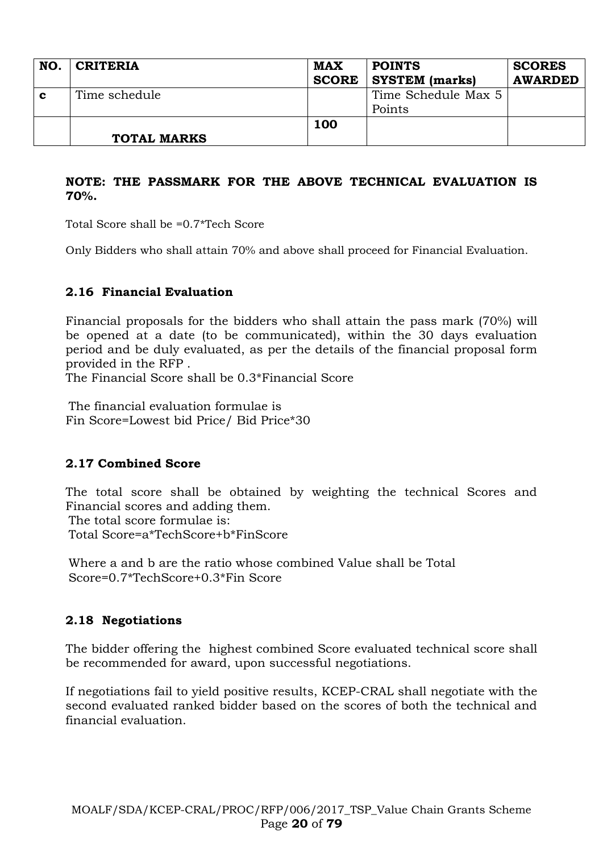| NO.         | <b>CRITERIA</b>    | <b>MAX</b><br><b>SCORE</b> | <b>POINTS</b><br><b>SYSTEM</b> (marks) | <b>SCORES</b><br><b>AWARDED</b> |
|-------------|--------------------|----------------------------|----------------------------------------|---------------------------------|
| $\mathbf c$ | Time schedule      |                            | Time Schedule Max 5<br>Points          |                                 |
|             | <b>TOTAL MARKS</b> | 100                        |                                        |                                 |

#### **NOTE: THE PASSMARK FOR THE ABOVE TECHNICAL EVALUATION IS 70%.**

Total Score shall be =0.7\*Tech Score

Only Bidders who shall attain 70% and above shall proceed for Financial Evaluation.

### **2.16 Financial Evaluation**

Financial proposals for the bidders who shall attain the pass mark (70%) will be opened at a date (to be communicated), within the 30 days evaluation period and be duly evaluated, as per the details of the financial proposal form provided in the RFP .

The Financial Score shall be 0.3\*Financial Score

The financial evaluation formulae is Fin Score=Lowest bid Price/ Bid Price\*30

### **2.17 Combined Score**

The total score shall be obtained by weighting the technical Scores and Financial scores and adding them. The total score formulae is: Total Score=a\*TechScore+b\*FinScore

Where a and b are the ratio whose combined Value shall be Total Score=0.7\*TechScore+0.3\*Fin Score

#### **2.18 Negotiations**

The bidder offering the highest combined Score evaluated technical score shall be recommended for award, upon successful negotiations.

If negotiations fail to yield positive results, KCEP-CRAL shall negotiate with the second evaluated ranked bidder based on the scores of both the technical and financial evaluation.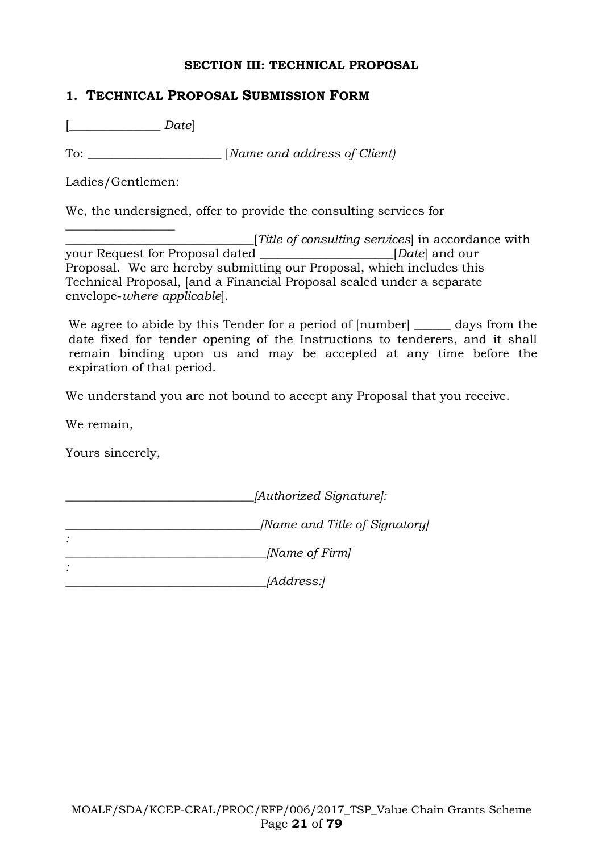#### **SECTION III: TECHNICAL PROPOSAL**

#### **1. TECHNICAL PROPOSAL SUBMISSION FORM**

[\_\_\_\_\_\_\_\_\_\_\_\_\_\_\_ *Date*]

To: \_\_\_\_\_\_\_\_\_\_\_\_\_\_\_\_\_\_\_\_\_\_ [*Name and address of Client)*

Ladies/Gentlemen:

We, the undersigned, offer to provide the consulting services for

\_\_\_\_\_\_\_\_\_\_\_\_\_\_\_\_\_\_ \_\_\_\_\_\_\_\_\_\_\_\_\_\_\_\_\_\_\_\_\_\_\_\_\_\_\_\_\_\_\_[*Title of consulting services*] in accordance with your Request for Proposal dated \_\_\_\_\_\_\_\_\_\_\_\_\_\_\_\_\_\_\_\_\_\_[*Date*] and our Proposal. We are hereby submitting our Proposal, which includes this Technical Proposal, [and a Financial Proposal sealed under a separate envelope-*where applicable*].

We agree to abide by this Tender for a period of [number] days from the date fixed for tender opening of the Instructions to tenderers, and it shall remain binding upon us and may be accepted at any time before the expiration of that period.

We understand you are not bound to accept any Proposal that you receive.

We remain,

Yours sincerely,

*\_\_\_\_\_\_\_\_\_\_\_\_\_\_\_\_\_\_\_\_\_\_\_\_\_\_\_\_\_\_\_[Authorized Signature]:*

*\_\_\_\_\_\_\_\_\_\_\_\_\_\_\_\_\_\_\_\_\_\_\_\_\_\_\_\_\_\_\_\_[Name and Title of Signatory] :*

*\_\_\_\_\_\_\_\_\_\_\_\_\_\_\_\_\_\_\_\_\_\_\_\_\_\_\_\_\_\_\_\_\_[Name of Firm]*

*: \_\_\_\_\_\_\_\_\_\_\_\_\_\_\_\_\_\_\_\_\_\_\_\_\_\_\_\_\_\_\_\_\_[Address:]*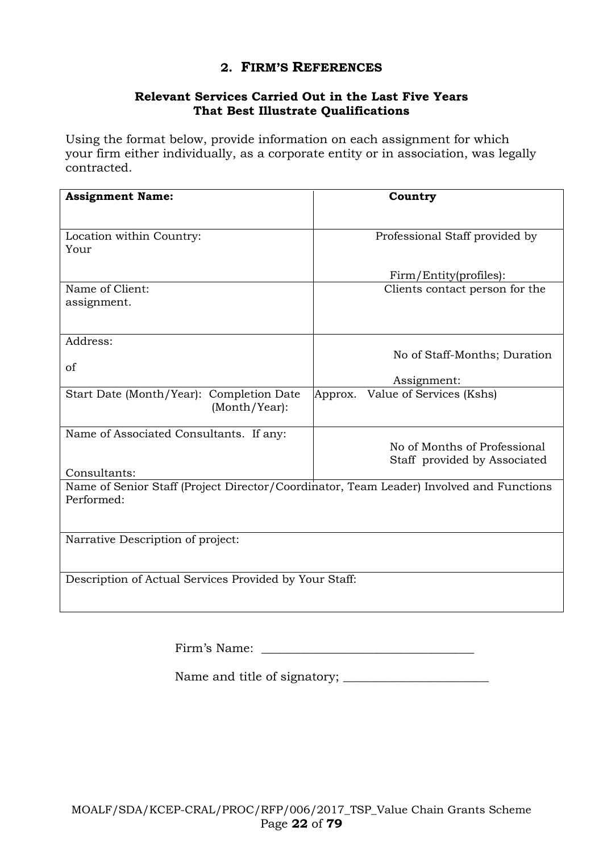### **2. FIRM'S REFERENCES**

#### **Relevant Services Carried Out in the Last Five Years That Best Illustrate Qualifications**

Using the format below, provide information on each assignment for which your firm either individually, as a corporate entity or in association, was legally contracted.

| <b>Assignment Name:</b>                                                                               | Country                                                      |
|-------------------------------------------------------------------------------------------------------|--------------------------------------------------------------|
| Location within Country:<br>Your                                                                      | Professional Staff provided by                               |
|                                                                                                       | Firm/Entity(profiles):                                       |
| Name of Client:<br>assignment.                                                                        | Clients contact person for the                               |
| Address:<br>of                                                                                        | No of Staff-Months; Duration<br>Assignment:                  |
| Start Date (Month/Year): Completion Date<br>(Month/Year):                                             | Value of Services (Kshs)<br>Approx.                          |
| Name of Associated Consultants. If any:<br>Consultants:                                               | No of Months of Professional<br>Staff provided by Associated |
| Name of Senior Staff (Project Director/Coordinator, Team Leader) Involved and Functions<br>Performed: |                                                              |
| Narrative Description of project:                                                                     |                                                              |
| Description of Actual Services Provided by Your Staff:                                                |                                                              |

Firm's Name:

Name and title of signatory; \_\_\_\_\_\_\_\_\_\_\_\_\_\_\_\_\_\_\_\_\_\_\_\_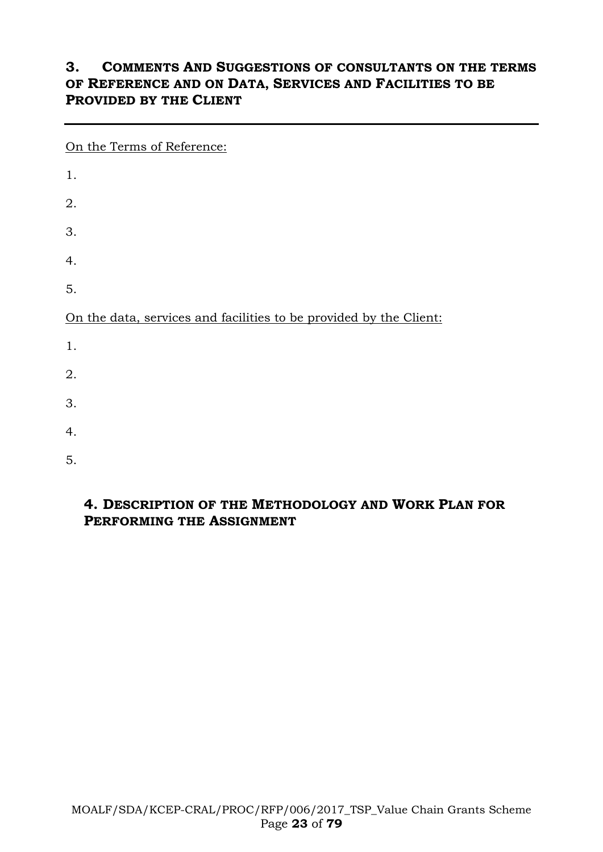# **3. COMMENTS AND SUGGESTIONS OF CONSULTANTS ON THE TERMS OF REFERENCE AND ON DATA, SERVICES AND FACILITIES TO BE PROVIDED BY THE CLIENT**

On the Terms of Reference: 1. 2. 3. 4. 5. On the data, services and facilities to be provided by the Client: 1. 2. 3. 4. 5.

### **4. DESCRIPTION OF THE METHODOLOGY AND WORK PLAN FOR PERFORMING THE ASSIGNMENT**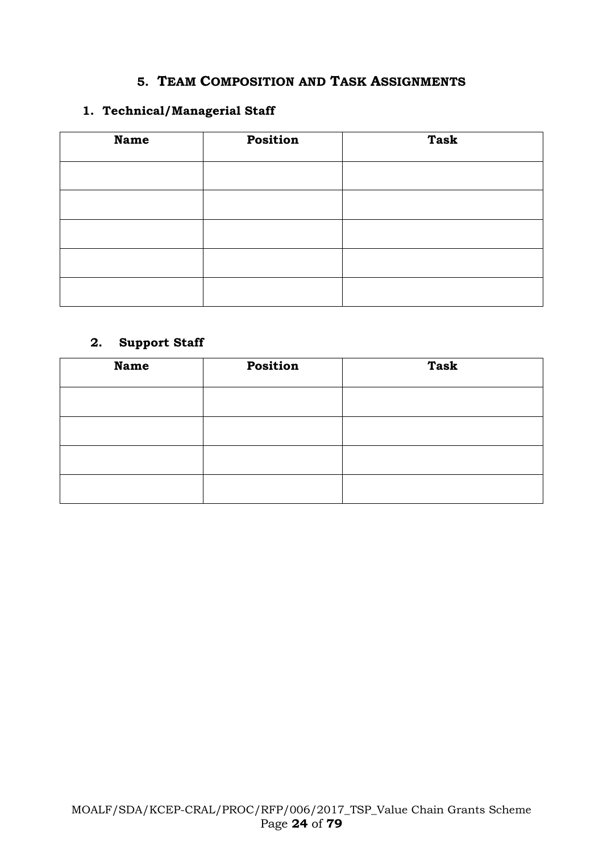### **5. TEAM COMPOSITION AND TASK ASSIGNMENTS**

#### **1. Technical/Managerial Staff**

| <b>Name</b> | Position | <b>Task</b> |
|-------------|----------|-------------|
|             |          |             |
|             |          |             |
|             |          |             |
|             |          |             |
|             |          |             |

### **2. Support Staff**

| <b>Name</b> | Position | <b>Task</b> |
|-------------|----------|-------------|
|             |          |             |
|             |          |             |
|             |          |             |
|             |          |             |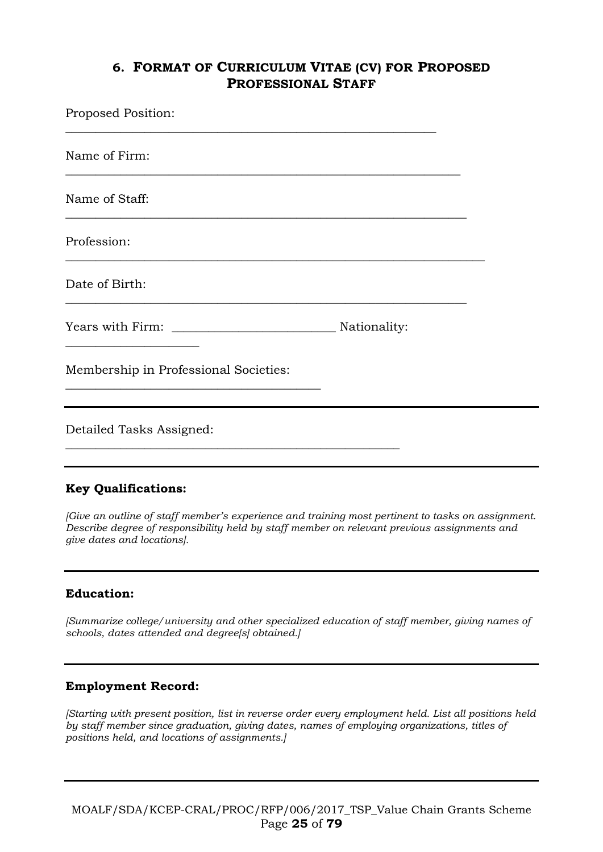### **6. FORMAT OF CURRICULUM VITAE (CV) FOR PROPOSED PROFESSIONAL STAFF**

| Proposed Position:                    |              |  |
|---------------------------------------|--------------|--|
| Name of Firm:                         |              |  |
| Name of Staff:                        |              |  |
| Profession:                           |              |  |
| Date of Birth:                        |              |  |
|                                       | Nationality: |  |
| Membership in Professional Societies: |              |  |
| Detailed Tasks Assigned:              |              |  |
|                                       |              |  |

#### **Key Qualifications:**

*[Give an outline of staff member's experience and training most pertinent to tasks on assignment. Describe degree of responsibility held by staff member on relevant previous assignments and give dates and locations].*

#### **Education:**

*[Summarize college/university and other specialized education of staff member, giving names of schools, dates attended and degree[s] obtained.]*

#### **Employment Record:**

*[Starting with present position, list in reverse order every employment held. List all positions held by staff member since graduation, giving dates, names of employing organizations, titles of positions held, and locations of assignments.]*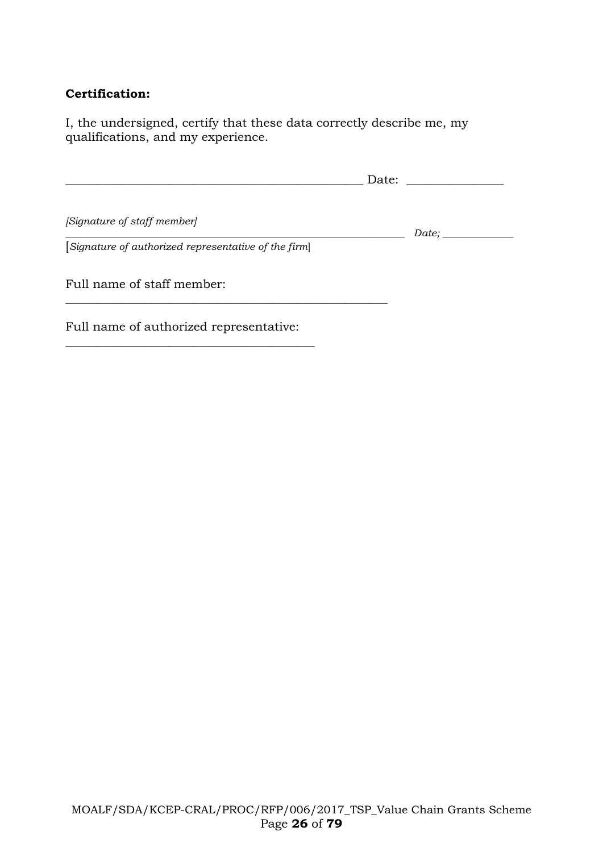### **Certification:**

I, the undersigned, certify that these data correctly describe me, my qualifications, and my experience.

|                                                      | Date: |  |
|------------------------------------------------------|-------|--|
| [Signature of staff member]                          | Date; |  |
| [Signature of authorized representative of the firm] |       |  |
| Full name of staff member:                           |       |  |
| Full name of authorized representative:              |       |  |

\_\_\_\_\_\_\_\_\_\_\_\_\_\_\_\_\_\_\_\_\_\_\_\_\_\_\_\_\_\_\_\_\_\_\_\_\_\_\_\_\_

MOALF/SDA/KCEP-CRAL/PROC/RFP/006/2017\_TSP\_Value Chain Grants Scheme Page **26** of **79**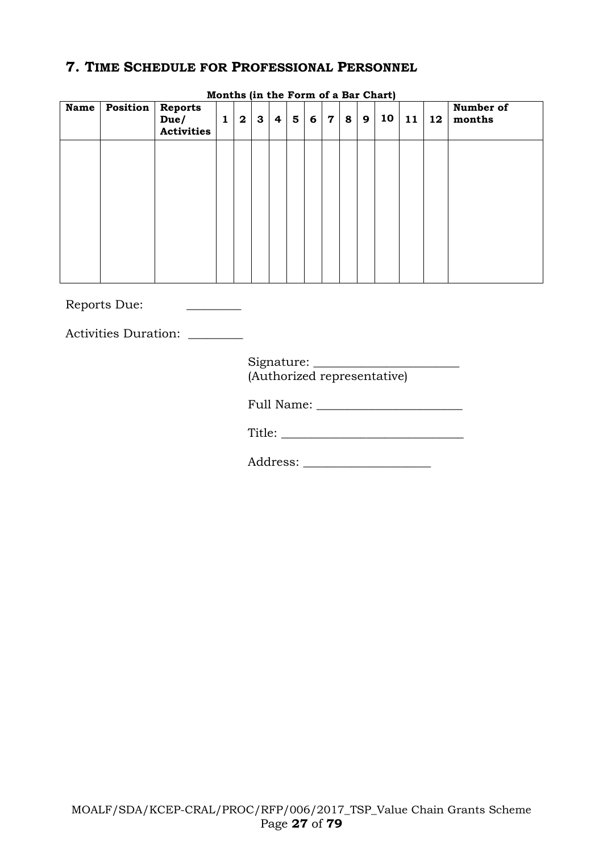### **7. TIME SCHEDULE FOR PROFESSIONAL PERSONNEL**

| <b>Name</b> | <b>Position Reports</b> | Due/<br><b>Activities</b> | $\mathbf{1}$ | $\overline{\mathbf{2}}$ | $\mathbf{3}$ | 4 | $5\phantom{1}$ | 6 | $\mathbf 7$ | 8 | 9 | 10 | 11 | 12 | Number of<br>months |
|-------------|-------------------------|---------------------------|--------------|-------------------------|--------------|---|----------------|---|-------------|---|---|----|----|----|---------------------|
|             |                         |                           |              |                         |              |   |                |   |             |   |   |    |    |    |                     |
|             |                         |                           |              |                         |              |   |                |   |             |   |   |    |    |    |                     |
|             |                         |                           |              |                         |              |   |                |   |             |   |   |    |    |    |                     |
|             |                         |                           |              |                         |              |   |                |   |             |   |   |    |    |    |                     |

**Months (in the Form of a Bar Chart)**

Reports Due: \_\_\_\_\_\_\_\_\_

Activities Duration: \_\_\_\_\_\_\_\_

Signature: (Authorized representative)

Full Name: \_\_\_\_\_\_\_\_\_\_\_\_\_\_\_\_\_\_\_\_\_\_\_\_

Title: \_\_\_\_\_\_\_\_\_\_\_\_\_\_\_\_\_\_\_\_\_\_\_\_\_\_\_\_\_\_

Address: \_\_\_\_\_\_\_\_\_\_\_\_\_\_\_\_\_\_\_\_\_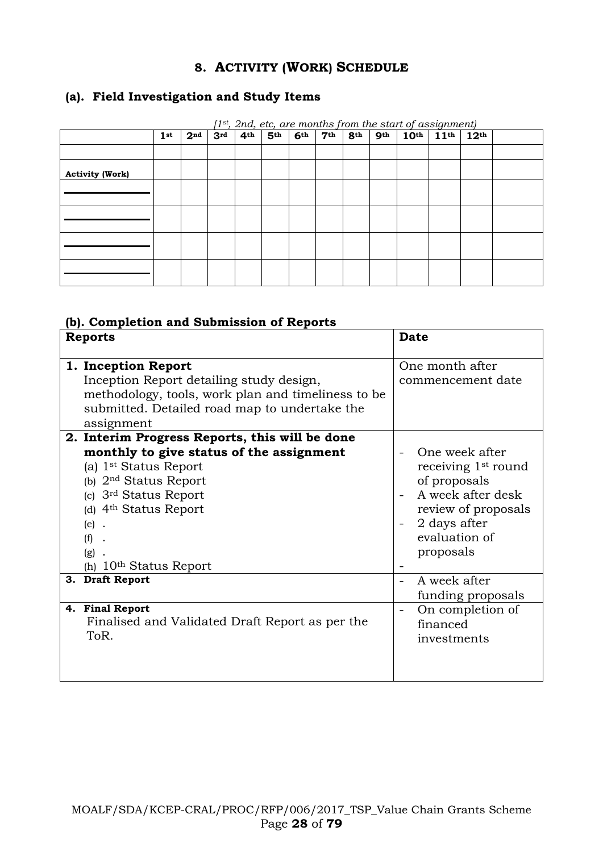### **8. ACTIVITY (WORK) SCHEDULE**

### **(a). Field Investigation and Study Items**

| $(1^{st}, 2nd, etc, are months from the start of assignment)$ |                 |                 |                 |                 |                 |                 |                 |                 |                 |                                   |                  |  |
|---------------------------------------------------------------|-----------------|-----------------|-----------------|-----------------|-----------------|-----------------|-----------------|-----------------|-----------------|-----------------------------------|------------------|--|
|                                                               | 1 <sup>st</sup> | 2 <sup>nd</sup> | 3 <sup>rd</sup> | 4 <sup>th</sup> | 5 <sup>th</sup> | 6 <sup>th</sup> | 7 <sup>th</sup> | 8 <sup>th</sup> | 9 <sup>th</sup> | $10^{\text{th}}$ 11 <sup>th</sup> | 12 <sup>th</sup> |  |
|                                                               |                 |                 |                 |                 |                 |                 |                 |                 |                 |                                   |                  |  |
| <b>Activity (Work)</b>                                        |                 |                 |                 |                 |                 |                 |                 |                 |                 |                                   |                  |  |
|                                                               |                 |                 |                 |                 |                 |                 |                 |                 |                 |                                   |                  |  |
|                                                               |                 |                 |                 |                 |                 |                 |                 |                 |                 |                                   |                  |  |
|                                                               |                 |                 |                 |                 |                 |                 |                 |                 |                 |                                   |                  |  |
|                                                               |                 |                 |                 |                 |                 |                 |                 |                 |                 |                                   |                  |  |
|                                                               |                 |                 |                 |                 |                 |                 |                 |                 |                 |                                   |                  |  |

**(b). Completion and Submission of Reports**

| <b>Reports</b>                                                                                                                                                                                                                          | <b>Date</b>                                                                                                                                                 |
|-----------------------------------------------------------------------------------------------------------------------------------------------------------------------------------------------------------------------------------------|-------------------------------------------------------------------------------------------------------------------------------------------------------------|
| 1. Inception Report<br>Inception Report detailing study design,<br>methodology, tools, work plan and timeliness to be<br>submitted. Detailed road map to undertake the<br>assignment<br>2. Interim Progress Reports, this will be done  | One month after<br>commencement date                                                                                                                        |
| monthly to give status of the assignment<br>(a) 1 <sup>st</sup> Status Report<br>(b) $2nd$ Status Report<br>(c) 3 <sup>rd</sup> Status Report<br>(d) 4 <sup>th</sup> Status Report<br>$(e)$ .<br>(f)<br>(g)<br>(h) $10th$ Status Report | One week after<br>receiving 1 <sup>st</sup> round<br>of proposals<br>A week after desk<br>review of proposals<br>2 days after<br>evaluation of<br>proposals |
| 3. Draft Report                                                                                                                                                                                                                         | A week after<br>÷.<br>funding proposals                                                                                                                     |
| 4. Final Report<br>Finalised and Validated Draft Report as per the<br>ToR.                                                                                                                                                              | On completion of<br>financed<br>investments                                                                                                                 |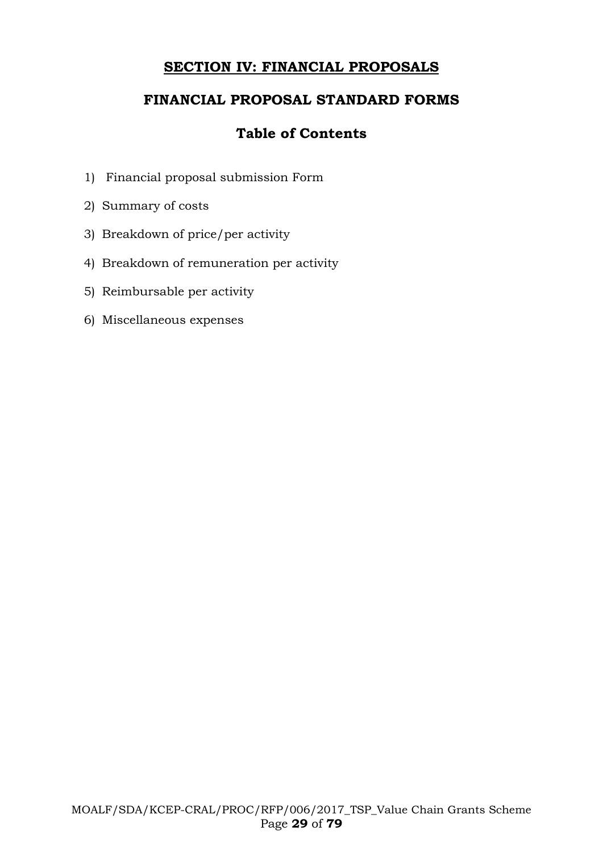# **SECTION IV: FINANCIAL PROPOSALS**

# **FINANCIAL PROPOSAL STANDARD FORMS**

# **Table of Contents**

- 1) Financial proposal submission Form
- 2) Summary of costs
- 3) Breakdown of price/per activity
- 4) Breakdown of remuneration per activity
- 5) Reimbursable per activity
- 6) Miscellaneous expenses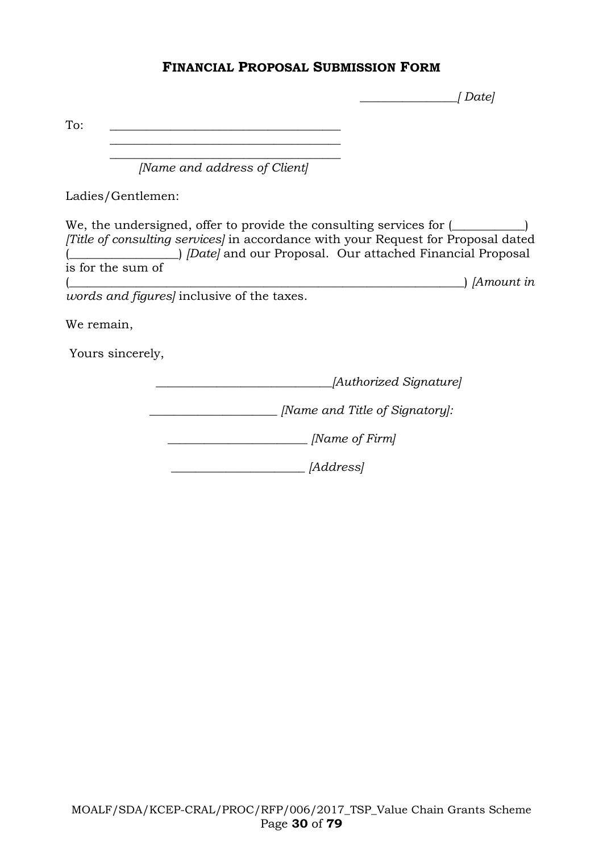### **FINANCIAL PROPOSAL SUBMISSION FORM**

 *\_\_\_\_\_\_\_\_\_\_\_\_\_\_\_\_[ Date]*

To: \_\_\_\_\_\_\_\_\_\_\_\_\_\_\_\_\_\_\_\_\_\_\_\_\_\_\_\_\_\_\_\_\_\_\_\_\_\_  $\overline{\phantom{a}}$  , which is a set of the set of the set of the set of the set of the set of the set of the set of the set of the set of the set of the set of the set of the set of the set of the set of the set of the set of th *[Name and address of Client]* Ladies/Gentlemen: We, the undersigned, offer to provide the consulting services for  $(\_\_ \_ \_ \_ \_ \)$ *[Title of consulting services]* in accordance with your Request for Proposal dated (\_\_\_\_\_\_\_\_\_\_\_\_\_\_\_\_\_\_) *[Date]* and our Proposal. Our attached Financial Proposal is for the sum of (\_\_\_\_\_\_\_\_\_\_\_\_\_\_\_\_\_\_\_\_\_\_\_\_\_\_\_\_\_\_\_\_\_\_\_\_\_\_\_\_\_\_\_\_\_\_\_\_\_\_\_\_\_\_\_\_\_\_\_\_\_\_\_\_\_) *[Amount in words and figures]* inclusive of the taxes. We remain, Yours sincerely,  *\_\_\_\_\_\_\_\_\_\_\_\_\_\_\_\_\_\_\_\_\_\_\_\_\_\_\_\_\_[Authorized Signature] \_\_\_\_\_\_\_\_\_\_\_\_\_\_\_\_\_\_\_\_\_ [Name and Title of Signatory]: \_\_\_\_\_\_\_\_\_\_\_\_\_\_\_\_\_\_\_\_\_\_\_ [Name of Firm] \_\_\_\_\_\_\_\_\_\_\_\_\_\_\_\_\_\_\_\_\_\_ [Address]*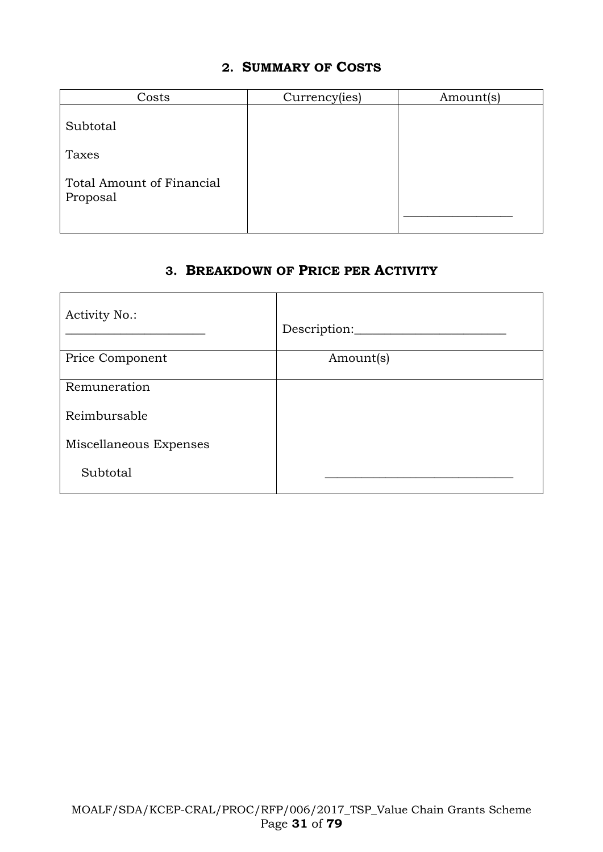### **2. SUMMARY OF COSTS**

| Costs                                 | Currency(ies) | Amount(s) |
|---------------------------------------|---------------|-----------|
| Subtotal                              |               |           |
| Taxes                                 |               |           |
| Total Amount of Financial<br>Proposal |               |           |

### **3. BREAKDOWN OF PRICE PER ACTIVITY**

| <b>Activity No.:</b>   | Description: |
|------------------------|--------------|
| Price Component        | Amount(s)    |
| Remuneration           |              |
| Reimbursable           |              |
| Miscellaneous Expenses |              |
| Subtotal               |              |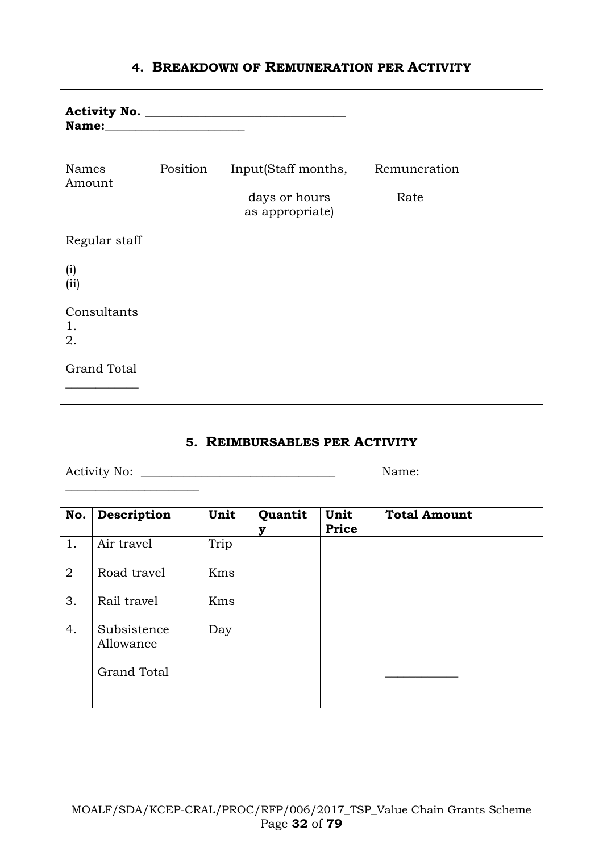| Names<br>Amount         | Position | Input(Staff months,<br>days or hours | Remuneration<br>Rate |  |
|-------------------------|----------|--------------------------------------|----------------------|--|
|                         |          | as appropriate)                      |                      |  |
| Regular staff           |          |                                      |                      |  |
| (i)<br>(ii)             |          |                                      |                      |  |
| Consultants<br>1.<br>2. |          |                                      |                      |  |
| <b>Grand Total</b>      |          |                                      |                      |  |

# **4. BREAKDOWN OF REMUNERATION PER ACTIVITY**

#### **5. REIMBURSABLES PER ACTIVITY**

Activity No: \_\_\_\_\_\_\_\_\_\_\_\_\_\_\_\_\_\_\_\_\_\_\_\_\_\_\_\_\_\_\_\_ Name:

\_\_\_\_\_\_\_\_\_\_\_\_\_\_\_\_\_\_\_\_\_\_

| No.            | Description              | Unit | Quantit | Unit<br>Price | <b>Total Amount</b> |
|----------------|--------------------------|------|---------|---------------|---------------------|
| 1.             | Air travel               | Trip |         |               |                     |
| $\overline{2}$ | Road travel              | Kms  |         |               |                     |
| 3.             | Rail travel              | Kms  |         |               |                     |
| 4.             | Subsistence<br>Allowance | Day  |         |               |                     |
|                | <b>Grand Total</b>       |      |         |               |                     |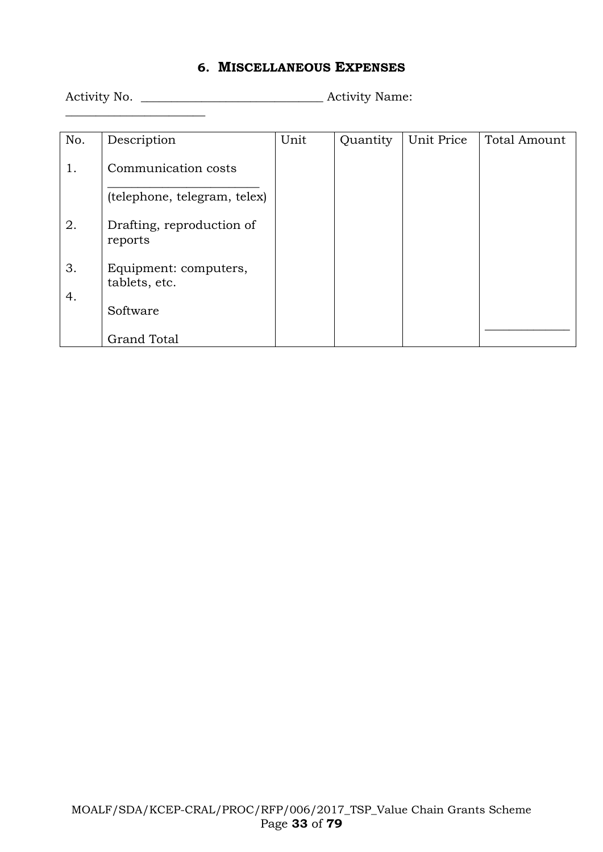### **6. MISCELLANEOUS EXPENSES**

 $\frac{1}{2}$  ,  $\frac{1}{2}$  ,  $\frac{1}{2}$  ,  $\frac{1}{2}$  ,  $\frac{1}{2}$  ,  $\frac{1}{2}$  ,  $\frac{1}{2}$  ,  $\frac{1}{2}$  ,  $\frac{1}{2}$  ,  $\frac{1}{2}$  ,  $\frac{1}{2}$  ,  $\frac{1}{2}$  ,  $\frac{1}{2}$  ,  $\frac{1}{2}$  ,  $\frac{1}{2}$  ,  $\frac{1}{2}$  ,  $\frac{1}{2}$  ,  $\frac{1}{2}$  ,  $\frac{1$ 

Activity No. \_\_\_\_\_\_\_\_\_\_\_\_\_\_\_\_\_\_\_\_\_\_\_\_\_\_\_\_\_\_ Activity Name:

| No. | Description                            | Unit | Quantity | Unit Price | Total Amount |
|-----|----------------------------------------|------|----------|------------|--------------|
| 1.  | Communication costs                    |      |          |            |              |
|     | (telephone, telegram, telex)           |      |          |            |              |
| 2.  | Drafting, reproduction of<br>reports   |      |          |            |              |
| 3.  | Equipment: computers,<br>tablets, etc. |      |          |            |              |
| 4.  | Software                               |      |          |            |              |
|     | <b>Grand Total</b>                     |      |          |            |              |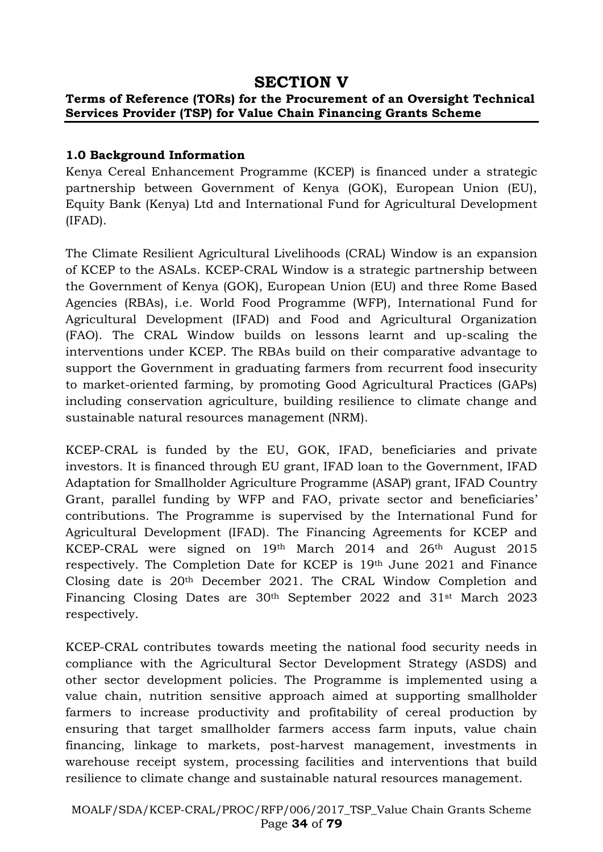# **SECTION V**

#### **Terms of Reference (TORs) for the Procurement of an Oversight Technical Services Provider (TSP) for Value Chain Financing Grants Scheme**

#### **1.0 Background Information**

Kenya Cereal Enhancement Programme (KCEP) is financed under a strategic partnership between Government of Kenya (GOK), European Union (EU), Equity Bank (Kenya) Ltd and International Fund for Agricultural Development (IFAD).

The Climate Resilient Agricultural Livelihoods (CRAL) Window is an expansion of KCEP to the ASALs. KCEP-CRAL Window is a strategic partnership between the Government of Kenya (GOK), European Union (EU) and three Rome Based Agencies (RBAs), i.e. World Food Programme (WFP), International Fund for Agricultural Development (IFAD) and Food and Agricultural Organization (FAO). The CRAL Window builds on lessons learnt and up-scaling the interventions under KCEP. The RBAs build on their comparative advantage to support the Government in graduating farmers from recurrent food insecurity to market-oriented farming, by promoting Good Agricultural Practices (GAPs) including conservation agriculture, building resilience to climate change and sustainable natural resources management (NRM).

KCEP-CRAL is funded by the EU, GOK, IFAD, beneficiaries and private investors. It is financed through EU grant, IFAD loan to the Government, IFAD Adaptation for Smallholder Agriculture Programme (ASAP) grant, IFAD Country Grant, parallel funding by WFP and FAO, private sector and beneficiaries' contributions. The Programme is supervised by the International Fund for Agricultural Development (IFAD). The Financing Agreements for KCEP and KCEP-CRAL were signed on 19<sup>th</sup> March 2014 and 26<sup>th</sup> August 2015 respectively. The Completion Date for KCEP is 19th June 2021 and Finance Closing date is 20th December 2021. The CRAL Window Completion and Financing Closing Dates are 30th September 2022 and 31st March 2023 respectively.

KCEP-CRAL contributes towards meeting the national food security needs in compliance with the Agricultural Sector Development Strategy (ASDS) and other sector development policies. The Programme is implemented using a value chain, nutrition sensitive approach aimed at supporting smallholder farmers to increase productivity and profitability of cereal production by ensuring that target smallholder farmers access farm inputs, value chain financing, linkage to markets, post-harvest management, investments in warehouse receipt system, processing facilities and interventions that build resilience to climate change and sustainable natural resources management.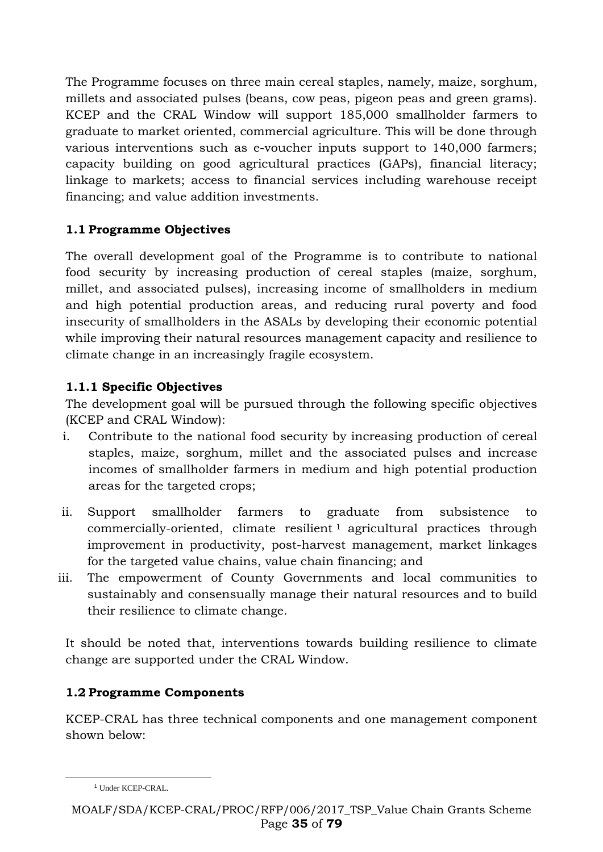The Programme focuses on three main cereal staples, namely, maize, sorghum, millets and associated pulses (beans, cow peas, pigeon peas and green grams). KCEP and the CRAL Window will support 185,000 smallholder farmers to graduate to market oriented, commercial agriculture. This will be done through various interventions such as e-voucher inputs support to 140,000 farmers; capacity building on good agricultural practices (GAPs), financial literacy; linkage to markets; access to financial services including warehouse receipt financing; and value addition investments.

# **1.1 Programme Objectives**

The overall development goal of the Programme is to contribute to national food security by increasing production of cereal staples (maize, sorghum, millet, and associated pulses), increasing income of smallholders in medium and high potential production areas, and reducing rural poverty and food insecurity of smallholders in the ASALs by developing their economic potential while improving their natural resources management capacity and resilience to climate change in an increasingly fragile ecosystem.

# **1.1.1 Specific Objectives**

The development goal will be pursued through the following specific objectives (KCEP and CRAL Window):

- i. Contribute to the national food security by increasing production of cereal staples, maize, sorghum, millet and the associated pulses and increase incomes of smallholder farmers in medium and high potential production areas for the targeted crops;
- ii. Support smallholder farmers to graduate from subsistence to commercially-oriented, climate resilient <sup>1</sup> agricultural practices through improvement in productivity, post-harvest management, market linkages for the targeted value chains, value chain financing; and
- iii. The empowerment of County Governments and local communities to sustainably and consensually manage their natural resources and to build their resilience to climate change.

It should be noted that, interventions towards building resilience to climate change are supported under the CRAL Window.

# **1.2 Programme Components**

KCEP-CRAL has three technical components and one management component shown below:

-

<sup>&</sup>lt;sup>1</sup> Under KCEP-CRAL.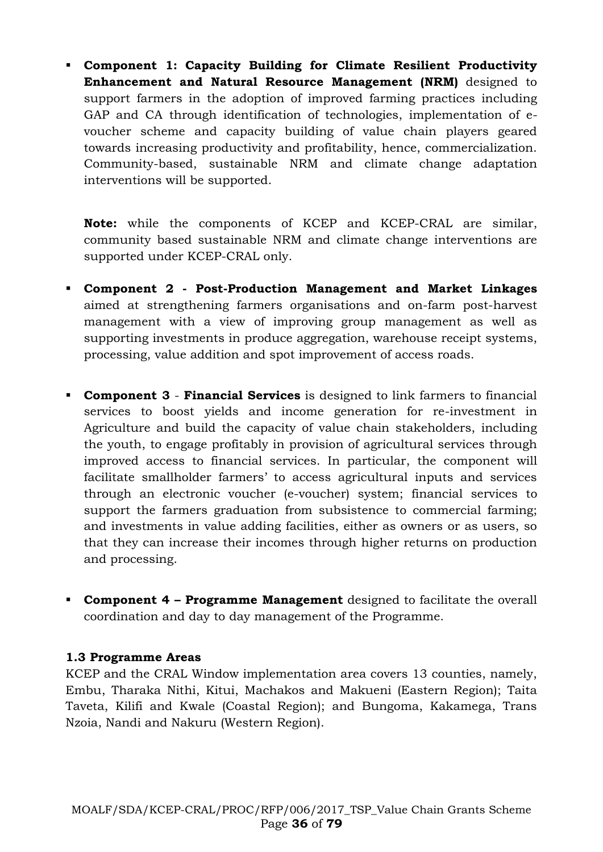▪ **Component 1: Capacity Building for Climate Resilient Productivity Enhancement and Natural Resource Management (NRM)** designed to support farmers in the adoption of improved farming practices including GAP and CA through identification of technologies, implementation of evoucher scheme and capacity building of value chain players geared towards increasing productivity and profitability, hence, commercialization. Community-based, sustainable NRM and climate change adaptation interventions will be supported.

**Note:** while the components of KCEP and KCEP-CRAL are similar, community based sustainable NRM and climate change interventions are supported under KCEP-CRAL only.

- **Component 2 - Post-Production Management and Market Linkages** aimed at strengthening farmers organisations and on-farm post-harvest management with a view of improving group management as well as supporting investments in produce aggregation, warehouse receipt systems, processing, value addition and spot improvement of access roads.
- **Component 3 Financial Services** is designed to link farmers to financial services to boost yields and income generation for re-investment in Agriculture and build the capacity of value chain stakeholders, including the youth, to engage profitably in provision of agricultural services through improved access to financial services. In particular, the component will facilitate smallholder farmers' to access agricultural inputs and services through an electronic voucher (e-voucher) system; financial services to support the farmers graduation from subsistence to commercial farming; and investments in value adding facilities, either as owners or as users, so that they can increase their incomes through higher returns on production and processing.
- **Component 4 – Programme Management** designed to facilitate the overall coordination and day to day management of the Programme.

#### **1.3 Programme Areas**

KCEP and the CRAL Window implementation area covers 13 counties, namely, Embu, Tharaka Nithi, Kitui, Machakos and Makueni (Eastern Region); Taita Taveta, Kilifi and Kwale (Coastal Region); and Bungoma, Kakamega, Trans Nzoia, Nandi and Nakuru (Western Region).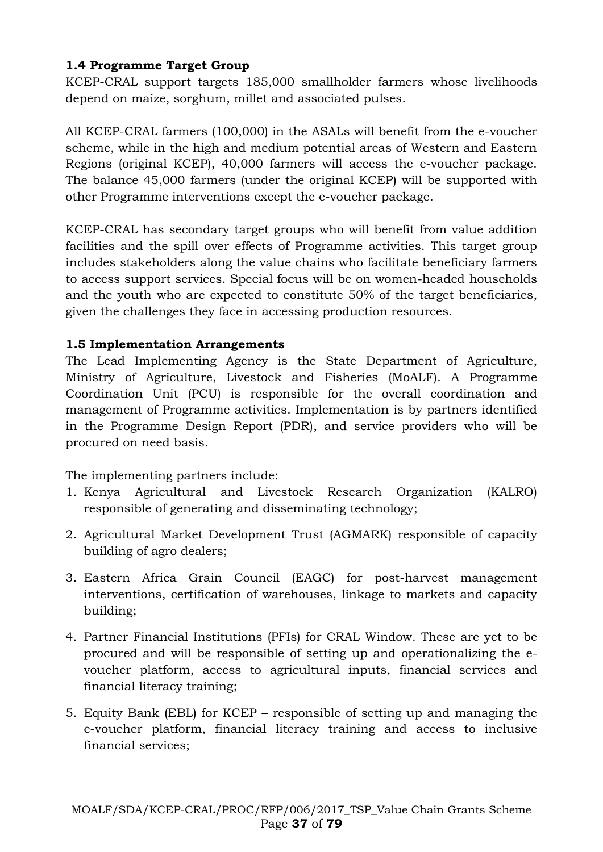# **1.4 Programme Target Group**

KCEP-CRAL support targets 185,000 smallholder farmers whose livelihoods depend on maize, sorghum, millet and associated pulses.

All KCEP-CRAL farmers (100,000) in the ASALs will benefit from the e-voucher scheme, while in the high and medium potential areas of Western and Eastern Regions (original KCEP), 40,000 farmers will access the e-voucher package. The balance 45,000 farmers (under the original KCEP) will be supported with other Programme interventions except the e-voucher package.

KCEP-CRAL has secondary target groups who will benefit from value addition facilities and the spill over effects of Programme activities. This target group includes stakeholders along the value chains who facilitate beneficiary farmers to access support services. Special focus will be on women-headed households and the youth who are expected to constitute 50% of the target beneficiaries, given the challenges they face in accessing production resources.

# **1.5 Implementation Arrangements**

The Lead Implementing Agency is the State Department of Agriculture, Ministry of Agriculture, Livestock and Fisheries (MoALF). A Programme Coordination Unit (PCU) is responsible for the overall coordination and management of Programme activities. Implementation is by partners identified in the Programme Design Report (PDR), and service providers who will be procured on need basis.

The implementing partners include:

- 1. Kenya Agricultural and Livestock Research Organization (KALRO) responsible of generating and disseminating technology;
- 2. Agricultural Market Development Trust (AGMARK) responsible of capacity building of agro dealers;
- 3. Eastern Africa Grain Council (EAGC) for post-harvest management interventions, certification of warehouses, linkage to markets and capacity building;
- 4. Partner Financial Institutions (PFIs) for CRAL Window. These are yet to be procured and will be responsible of setting up and operationalizing the evoucher platform, access to agricultural inputs, financial services and financial literacy training;
- 5. Equity Bank (EBL) for KCEP responsible of setting up and managing the e-voucher platform, financial literacy training and access to inclusive financial services;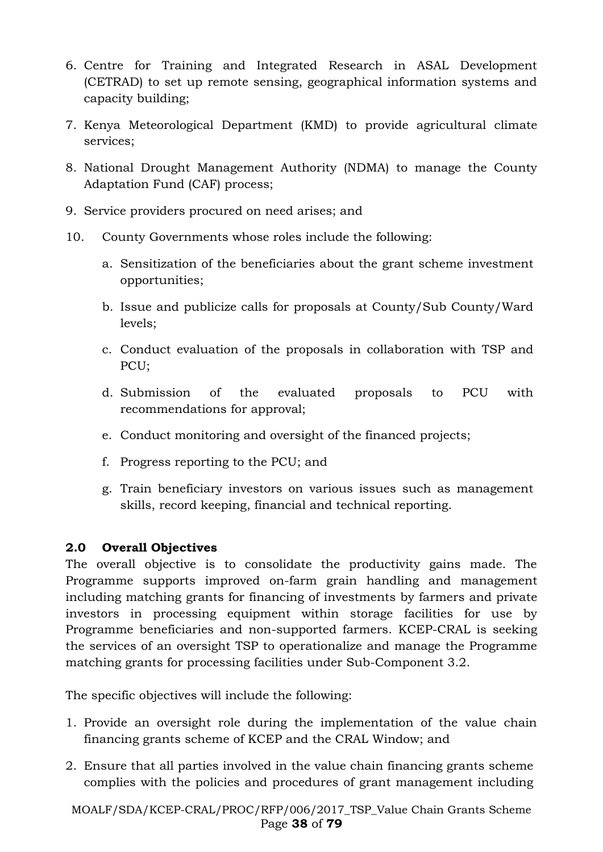- 6. Centre for Training and Integrated Research in ASAL Development (CETRAD) to set up remote sensing, geographical information systems and capacity building;
- 7. Kenya Meteorological Department (KMD) to provide agricultural climate services;
- 8. National Drought Management Authority (NDMA) to manage the County Adaptation Fund (CAF) process;
- 9. Service providers procured on need arises; and
- 10. County Governments whose roles include the following:
	- a. Sensitization of the beneficiaries about the grant scheme investment opportunities;
	- b. Issue and publicize calls for proposals at County/Sub County/Ward levels;
	- c. Conduct evaluation of the proposals in collaboration with TSP and PCU;
	- d. Submission of the evaluated proposals to PCU with recommendations for approval;
	- e. Conduct monitoring and oversight of the financed projects;
	- f. Progress reporting to the PCU; and
	- g. Train beneficiary investors on various issues such as management skills, record keeping, financial and technical reporting.

## **2.0 Overall Objectives**

The overall objective is to consolidate the productivity gains made. The Programme supports improved on-farm grain handling and management including matching grants for financing of investments by farmers and private investors in processing equipment within storage facilities for use by Programme beneficiaries and non-supported farmers. KCEP-CRAL is seeking the services of an oversight TSP to operationalize and manage the Programme matching grants for processing facilities under Sub-Component 3.2.

The specific objectives will include the following:

- 1. Provide an oversight role during the implementation of the value chain financing grants scheme of KCEP and the CRAL Window; and
- 2. Ensure that all parties involved in the value chain financing grants scheme complies with the policies and procedures of grant management including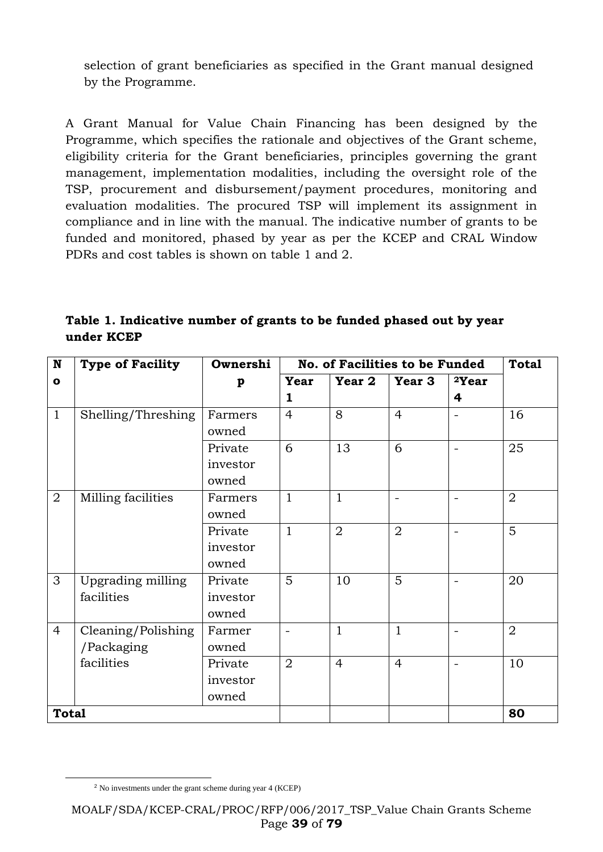selection of grant beneficiaries as specified in the Grant manual designed by the Programme.

A Grant Manual for Value Chain Financing has been designed by the Programme, which specifies the rationale and objectives of the Grant scheme, eligibility criteria for the Grant beneficiaries, principles governing the grant management, implementation modalities, including the oversight role of the TSP, procurement and disbursement/payment procedures, monitoring and evaluation modalities. The procured TSP will implement its assignment in compliance and in line with the manual. The indicative number of grants to be funded and monitored, phased by year as per the KCEP and CRAL Window PDRs and cost tables is shown on table 1 and 2.

| ${\bf N}$      | <b>Type of Facility</b> | Ownershi     | No. of Facilities to be Funded | <b>Total</b>   |                |                   |                |
|----------------|-------------------------|--------------|--------------------------------|----------------|----------------|-------------------|----------------|
| $\mathbf{o}$   |                         | $\mathbf{p}$ | Year                           | Year 2         | Year 3         | <sup>2</sup> Year |                |
|                |                         |              | 1                              |                |                | 4                 |                |
| $\mathbf{1}$   | Shelling/Threshing      | Farmers      | $\overline{4}$                 | 8              | $\overline{4}$ | $\qquad \qquad =$ | 16             |
|                |                         | owned        |                                |                |                |                   |                |
|                |                         | Private      | 6                              | 13             | 6              |                   | 25             |
|                |                         | investor     |                                |                |                |                   |                |
|                |                         | owned        |                                |                |                |                   |                |
| $\overline{2}$ | Milling facilities      | Farmers      | $\mathbf{1}$                   | $\mathbf{1}$   |                |                   | $\overline{2}$ |
|                |                         | owned        |                                |                |                |                   |                |
|                |                         | Private      | $\mathbf{1}$                   | $\overline{2}$ | $\overline{2}$ | $\equiv$          | 5              |
|                |                         | investor     |                                |                |                |                   |                |
|                |                         | owned        |                                |                |                |                   |                |
| 3              | Upgrading milling       | Private      | 5                              | 10             | 5              |                   | 20             |
|                | facilities              | investor     |                                |                |                |                   |                |
|                |                         | owned        |                                |                |                |                   |                |
| $\overline{4}$ | Cleaning/Polishing      | Farmer       |                                | $\mathbf{1}$   | $\mathbf{1}$   |                   | $\overline{2}$ |
|                | /Packaging              | owned        |                                |                |                |                   |                |
|                | facilities              | Private      | $\overline{2}$                 | $\overline{4}$ | $\overline{4}$ |                   | 10             |
|                |                         | investor     |                                |                |                |                   |                |
|                |                         | owned        |                                |                |                |                   |                |
| <b>Total</b>   |                         |              |                                |                |                |                   | 80             |

**Table 1. Indicative number of grants to be funded phased out by year under KCEP**

-

<sup>2</sup> No investments under the grant scheme during year 4 (KCEP)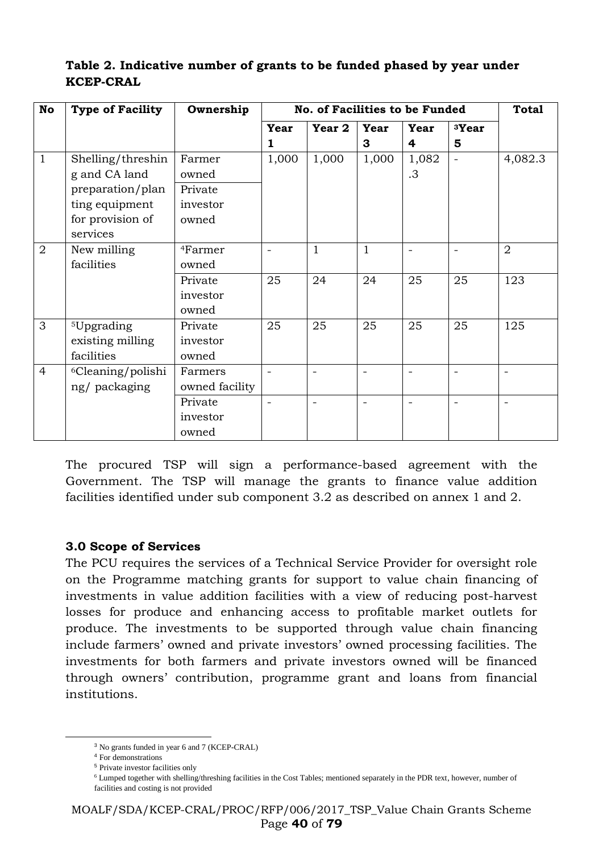| No             | <b>Type of Facility</b>       | Ownership           |                          | No. of Facilities to be Funded |              |       |                          | <b>Total</b>             |
|----------------|-------------------------------|---------------------|--------------------------|--------------------------------|--------------|-------|--------------------------|--------------------------|
|                |                               |                     | Year                     | Year 2                         | Year         | Year  | <sup>3</sup> Year        |                          |
|                |                               |                     | 1                        |                                | 3            | 4     | 5                        |                          |
| $\mathbf{1}$   | Shelling/threshin             | Farmer              | 1,000                    | 1,000                          | 1,000        | 1,082 | $\overline{\phantom{0}}$ | 4,082.3                  |
|                | g and CA land                 | owned               |                          |                                |              | .3    |                          |                          |
|                | preparation/plan              | Private             |                          |                                |              |       |                          |                          |
|                | ting equipment                | investor            |                          |                                |              |       |                          |                          |
|                | for provision of              | owned               |                          |                                |              |       |                          |                          |
|                | services                      |                     |                          |                                |              |       |                          |                          |
| $\overline{2}$ | New milling                   | <sup>4</sup> Farmer |                          | $\mathbf{1}$                   | $\mathbf{1}$ |       |                          | $\overline{2}$           |
|                | facilities                    | owned               |                          |                                |              |       |                          |                          |
|                |                               | Private             | 25                       | 24                             | 24           | 25    | 25                       | 123                      |
|                |                               | investor            |                          |                                |              |       |                          |                          |
|                |                               | owned               |                          |                                |              |       |                          |                          |
| 3              | <sup>5</sup> Upgrading        | Private             | 25                       | 25                             | 25           | 25    | 25                       | 125                      |
|                | existing milling              | investor            |                          |                                |              |       |                          |                          |
|                | facilities                    | owned               |                          |                                |              |       |                          |                          |
| $\overline{4}$ | <sup>6</sup> Cleaning/polishi | Farmers             |                          |                                |              |       |                          |                          |
|                | ng/packaging                  | owned facility      |                          |                                |              |       |                          |                          |
|                |                               | Private             | $\overline{\phantom{0}}$ |                                |              |       |                          | $\overline{\phantom{0}}$ |
|                |                               | investor            |                          |                                |              |       |                          |                          |
|                |                               | owned               |                          |                                |              |       |                          |                          |

# **Table 2. Indicative number of grants to be funded phased by year under KCEP-CRAL**

The procured TSP will sign a performance-based agreement with the Government. The TSP will manage the grants to finance value addition facilities identified under sub component 3.2 as described on annex 1 and 2.

## **3.0 Scope of Services**

The PCU requires the services of a Technical Service Provider for oversight role on the Programme matching grants for support to value chain financing of investments in value addition facilities with a view of reducing post-harvest losses for produce and enhancing access to profitable market outlets for produce. The investments to be supported through value chain financing include farmers' owned and private investors' owned processing facilities. The investments for both farmers and private investors owned will be financed through owners' contribution, programme grant and loans from financial institutions.

-

<sup>3</sup> No grants funded in year 6 and 7 (KCEP-CRAL)

<sup>4</sup> For demonstrations

<sup>5</sup> Private investor facilities only

<sup>6</sup> Lumped together with shelling/threshing facilities in the Cost Tables; mentioned separately in the PDR text, however, number of facilities and costing is not provided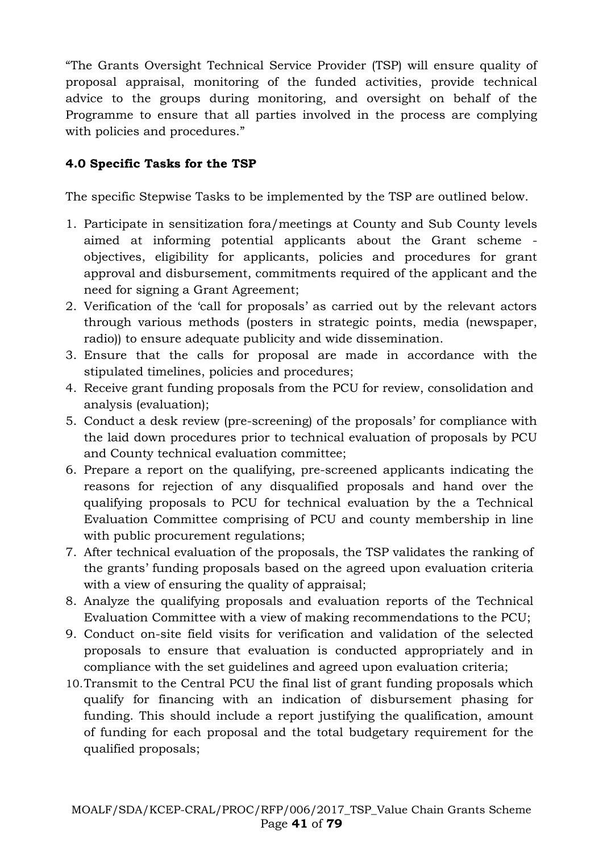"The Grants Oversight Technical Service Provider (TSP) will ensure quality of proposal appraisal, monitoring of the funded activities, provide technical advice to the groups during monitoring, and oversight on behalf of the Programme to ensure that all parties involved in the process are complying with policies and procedures."

# **4.0 Specific Tasks for the TSP**

The specific Stepwise Tasks to be implemented by the TSP are outlined below.

- 1. Participate in sensitization fora/meetings at County and Sub County levels aimed at informing potential applicants about the Grant scheme objectives, eligibility for applicants, policies and procedures for grant approval and disbursement, commitments required of the applicant and the need for signing a Grant Agreement;
- 2. Verification of the 'call for proposals' as carried out by the relevant actors through various methods (posters in strategic points, media (newspaper, radio)) to ensure adequate publicity and wide dissemination.
- 3. Ensure that the calls for proposal are made in accordance with the stipulated timelines, policies and procedures;
- 4. Receive grant funding proposals from the PCU for review, consolidation and analysis (evaluation);
- 5. Conduct a desk review (pre-screening) of the proposals' for compliance with the laid down procedures prior to technical evaluation of proposals by PCU and County technical evaluation committee;
- 6. Prepare a report on the qualifying, pre-screened applicants indicating the reasons for rejection of any disqualified proposals and hand over the qualifying proposals to PCU for technical evaluation by the a Technical Evaluation Committee comprising of PCU and county membership in line with public procurement regulations;
- 7. After technical evaluation of the proposals, the TSP validates the ranking of the grants' funding proposals based on the agreed upon evaluation criteria with a view of ensuring the quality of appraisal;
- 8. Analyze the qualifying proposals and evaluation reports of the Technical Evaluation Committee with a view of making recommendations to the PCU;
- 9. Conduct on-site field visits for verification and validation of the selected proposals to ensure that evaluation is conducted appropriately and in compliance with the set guidelines and agreed upon evaluation criteria;
- 10.Transmit to the Central PCU the final list of grant funding proposals which qualify for financing with an indication of disbursement phasing for funding. This should include a report justifying the qualification, amount of funding for each proposal and the total budgetary requirement for the qualified proposals;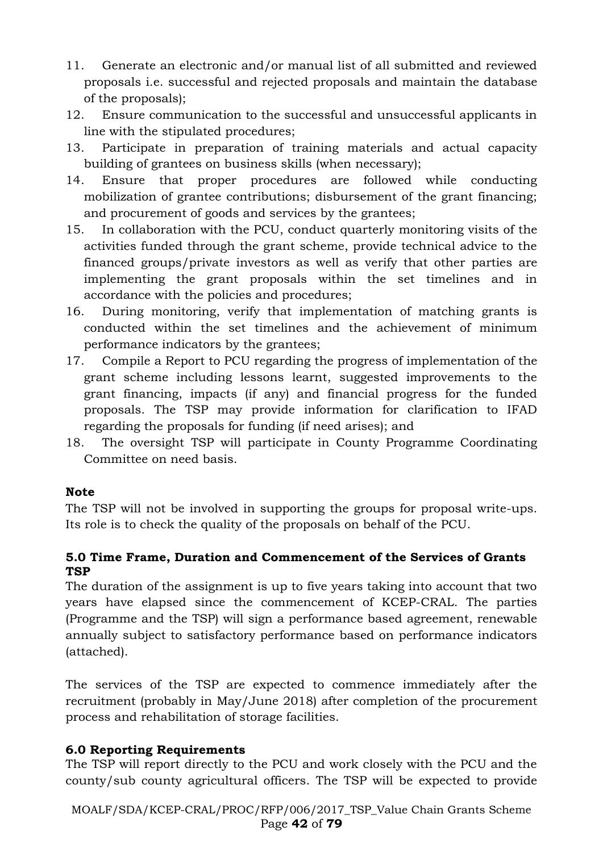- 11. Generate an electronic and/or manual list of all submitted and reviewed proposals i.e. successful and rejected proposals and maintain the database of the proposals);
- 12. Ensure communication to the successful and unsuccessful applicants in line with the stipulated procedures;
- 13. Participate in preparation of training materials and actual capacity building of grantees on business skills (when necessary);
- 14. Ensure that proper procedures are followed while conducting mobilization of grantee contributions; disbursement of the grant financing; and procurement of goods and services by the grantees;
- 15. In collaboration with the PCU, conduct quarterly monitoring visits of the activities funded through the grant scheme, provide technical advice to the financed groups/private investors as well as verify that other parties are implementing the grant proposals within the set timelines and in accordance with the policies and procedures;
- 16. During monitoring, verify that implementation of matching grants is conducted within the set timelines and the achievement of minimum performance indicators by the grantees;
- 17. Compile a Report to PCU regarding the progress of implementation of the grant scheme including lessons learnt, suggested improvements to the grant financing, impacts (if any) and financial progress for the funded proposals. The TSP may provide information for clarification to IFAD regarding the proposals for funding (if need arises); and
- 18. The oversight TSP will participate in County Programme Coordinating Committee on need basis.

## **Note**

The TSP will not be involved in supporting the groups for proposal write-ups. Its role is to check the quality of the proposals on behalf of the PCU.

# **5.0 Time Frame, Duration and Commencement of the Services of Grants TSP**

The duration of the assignment is up to five years taking into account that two years have elapsed since the commencement of KCEP-CRAL. The parties (Programme and the TSP) will sign a performance based agreement, renewable annually subject to satisfactory performance based on performance indicators (attached).

The services of the TSP are expected to commence immediately after the recruitment (probably in May/June 2018) after completion of the procurement process and rehabilitation of storage facilities.

# **6.0 Reporting Requirements**

The TSP will report directly to the PCU and work closely with the PCU and the county/sub county agricultural officers. The TSP will be expected to provide

MOALF/SDA/KCEP-CRAL/PROC/RFP/006/2017\_TSP\_Value Chain Grants Scheme Page **42** of **79**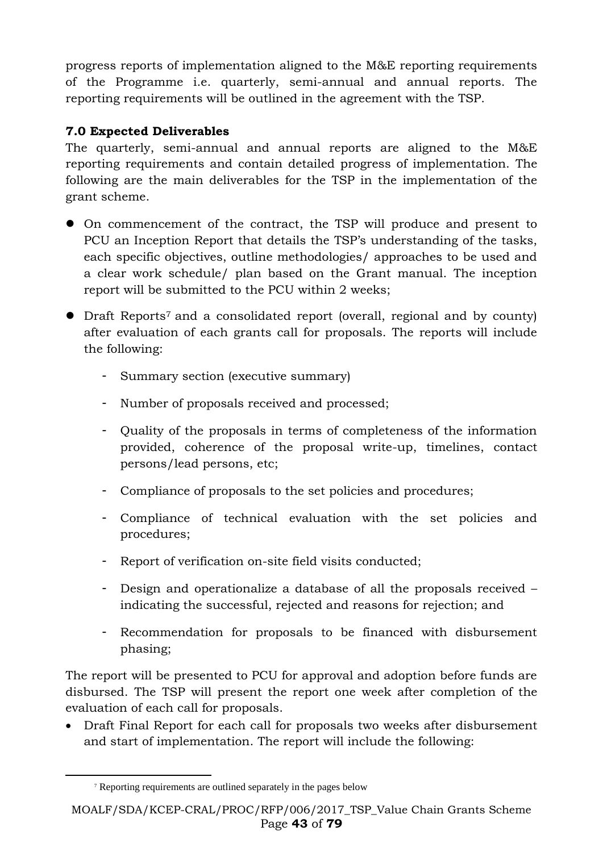progress reports of implementation aligned to the M&E reporting requirements of the Programme i.e. quarterly, semi-annual and annual reports. The reporting requirements will be outlined in the agreement with the TSP.

# **7.0 Expected Deliverables**

The quarterly, semi-annual and annual reports are aligned to the M&E reporting requirements and contain detailed progress of implementation. The following are the main deliverables for the TSP in the implementation of the grant scheme.

- On commencement of the contract, the TSP will produce and present to PCU an Inception Report that details the TSP's understanding of the tasks, each specific objectives, outline methodologies/ approaches to be used and a clear work schedule/ plan based on the Grant manual. The inception report will be submitted to the PCU within 2 weeks;
- Draft Reports<sup>7</sup> and a consolidated report (overall, regional and by county) after evaluation of each grants call for proposals. The reports will include the following:
	- Summary section (executive summary)
	- Number of proposals received and processed;
	- Quality of the proposals in terms of completeness of the information provided, coherence of the proposal write-up, timelines, contact persons/lead persons, etc;
	- Compliance of proposals to the set policies and procedures;
	- Compliance of technical evaluation with the set policies and procedures;
	- Report of verification on-site field visits conducted;
	- Design and operationalize a database of all the proposals received indicating the successful, rejected and reasons for rejection; and
	- Recommendation for proposals to be financed with disbursement phasing;

The report will be presented to PCU for approval and adoption before funds are disbursed. The TSP will present the report one week after completion of the evaluation of each call for proposals.

• Draft Final Report for each call for proposals two weeks after disbursement and start of implementation. The report will include the following:

-

<sup>7</sup> Reporting requirements are outlined separately in the pages below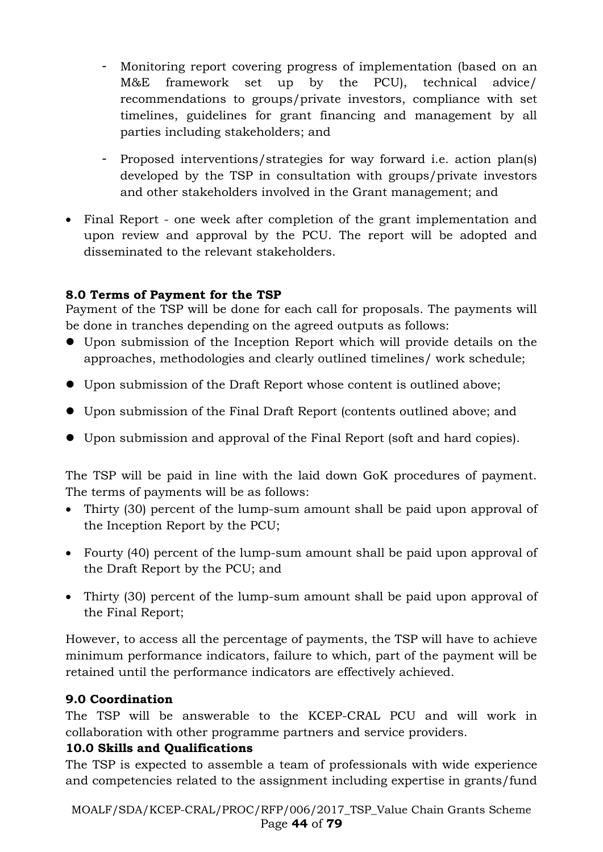- Monitoring report covering progress of implementation (based on an M&E framework set up by the PCU), technical advice/ recommendations to groups/private investors, compliance with set timelines, guidelines for grant financing and management by all parties including stakeholders; and
- Proposed interventions/strategies for way forward i.e. action plan(s) developed by the TSP in consultation with groups/private investors and other stakeholders involved in the Grant management; and
- Final Report one week after completion of the grant implementation and upon review and approval by the PCU. The report will be adopted and disseminated to the relevant stakeholders.

# **8.0 Terms of Payment for the TSP**

Payment of the TSP will be done for each call for proposals. The payments will be done in tranches depending on the agreed outputs as follows:

- Upon submission of the Inception Report which will provide details on the approaches, methodologies and clearly outlined timelines/ work schedule;
- Upon submission of the Draft Report whose content is outlined above;
- Upon submission of the Final Draft Report (contents outlined above; and
- Upon submission and approval of the Final Report (soft and hard copies).

The TSP will be paid in line with the laid down GoK procedures of payment. The terms of payments will be as follows:

- Thirty (30) percent of the lump-sum amount shall be paid upon approval of the Inception Report by the PCU;
- Fourty (40) percent of the lump-sum amount shall be paid upon approval of the Draft Report by the PCU; and
- Thirty (30) percent of the lump-sum amount shall be paid upon approval of the Final Report;

However, to access all the percentage of payments, the TSP will have to achieve minimum performance indicators, failure to which, part of the payment will be retained until the performance indicators are effectively achieved.

## **9.0 Coordination**

The TSP will be answerable to the KCEP-CRAL PCU and will work in collaboration with other programme partners and service providers.

## **10.0 Skills and Qualifications**

The TSP is expected to assemble a team of professionals with wide experience and competencies related to the assignment including expertise in grants/fund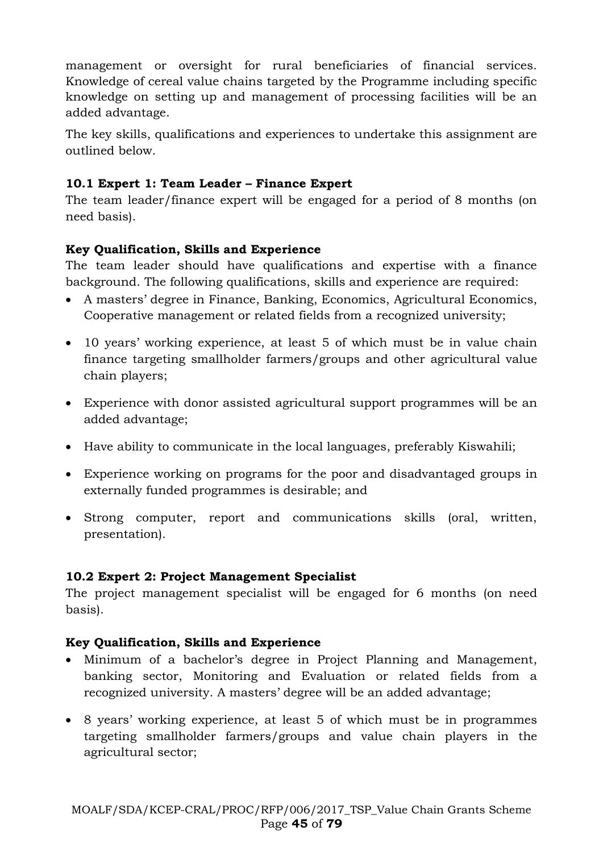management or oversight for rural beneficiaries of financial services. Knowledge of cereal value chains targeted by the Programme including specific knowledge on setting up and management of processing facilities will be an added advantage.

The key skills, qualifications and experiences to undertake this assignment are outlined below.

# **10.1 Expert 1: Team Leader – Finance Expert**

The team leader/finance expert will be engaged for a period of 8 months (on need basis).

# **Key Qualification, Skills and Experience**

The team leader should have qualifications and expertise with a finance background. The following qualifications, skills and experience are required:

- A masters' degree in Finance, Banking, Economics, Agricultural Economics, Cooperative management or related fields from a recognized university;
- 10 years' working experience, at least 5 of which must be in value chain finance targeting smallholder farmers/groups and other agricultural value chain players;
- Experience with donor assisted agricultural support programmes will be an added advantage;
- Have ability to communicate in the local languages, preferably Kiswahili;
- Experience working on programs for the poor and disadvantaged groups in externally funded programmes is desirable; and
- Strong computer, report and communications skills (oral, written, presentation).

# **10.2 Expert 2: Project Management Specialist**

The project management specialist will be engaged for 6 months (on need basis).

# **Key Qualification, Skills and Experience**

- Minimum of a bachelor's degree in Project Planning and Management, banking sector, Monitoring and Evaluation or related fields from a recognized university. A masters' degree will be an added advantage;
- 8 years' working experience, at least 5 of which must be in programmes targeting smallholder farmers/groups and value chain players in the agricultural sector;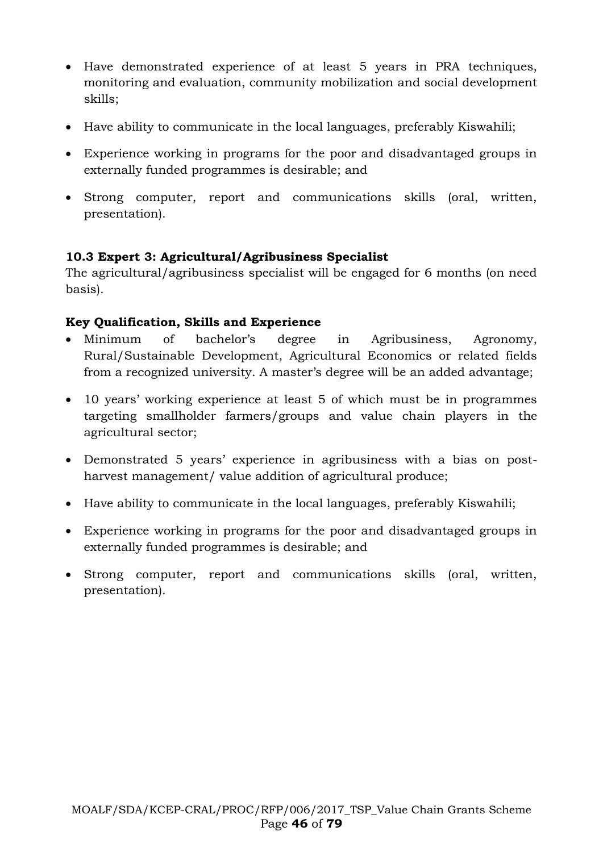- Have demonstrated experience of at least 5 years in PRA techniques, monitoring and evaluation, community mobilization and social development skills;
- Have ability to communicate in the local languages, preferably Kiswahili;
- Experience working in programs for the poor and disadvantaged groups in externally funded programmes is desirable; and
- Strong computer, report and communications skills (oral, written, presentation).

# **10.3 Expert 3: Agricultural/Agribusiness Specialist**

The agricultural/agribusiness specialist will be engaged for 6 months (on need basis).

# **Key Qualification, Skills and Experience**

- Minimum of bachelor's degree in Agribusiness, Agronomy, Rural/Sustainable Development, Agricultural Economics or related fields from a recognized university. A master's degree will be an added advantage;
- 10 years' working experience at least 5 of which must be in programmes targeting smallholder farmers/groups and value chain players in the agricultural sector;
- Demonstrated 5 years' experience in agribusiness with a bias on postharvest management/ value addition of agricultural produce;
- Have ability to communicate in the local languages, preferably Kiswahili;
- Experience working in programs for the poor and disadvantaged groups in externally funded programmes is desirable; and
- Strong computer, report and communications skills (oral, written, presentation).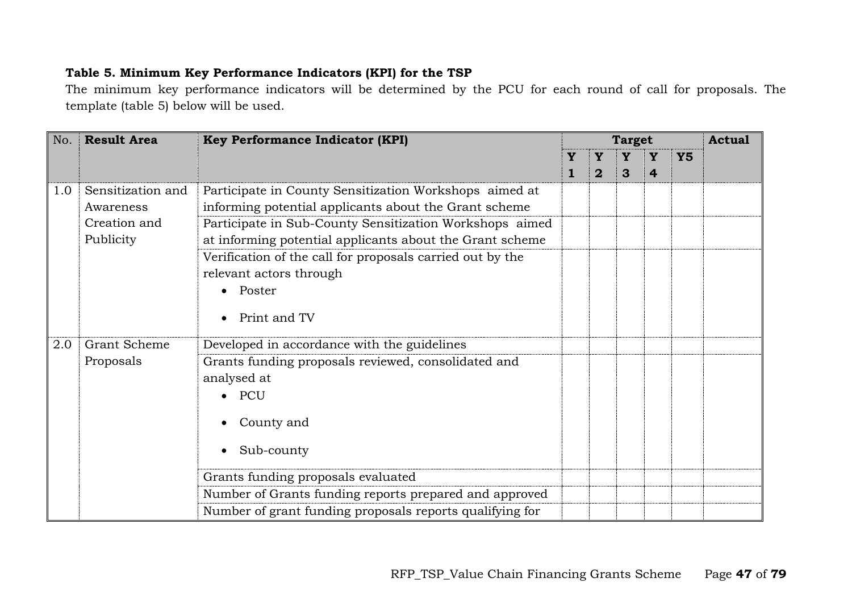# **Table 5. Minimum Key Performance Indicators (KPI) for the TSP**

The minimum key performance indicators will be determined by the PCU for each round of call for proposals. The template (table 5) below will be used.

| <b>Result Area</b><br>No. |                   | <b>Key Performance Indicator (KPI)</b>                    |  |                | <b>Target</b> |                |           |  |  |
|---------------------------|-------------------|-----------------------------------------------------------|--|----------------|---------------|----------------|-----------|--|--|
|                           |                   |                                                           |  |                |               | Y              | <b>Y5</b> |  |  |
|                           |                   |                                                           |  | $\overline{2}$ | 3             | $\overline{4}$ |           |  |  |
| 1.0                       | Sensitization and | Participate in County Sensitization Workshops aimed at    |  |                |               |                |           |  |  |
|                           | Awareness         | informing potential applicants about the Grant scheme     |  |                |               |                |           |  |  |
|                           | Creation and      | Participate in Sub-County Sensitization Workshops aimed   |  |                |               |                |           |  |  |
|                           | Publicity         | at informing potential applicants about the Grant scheme  |  |                |               |                |           |  |  |
|                           |                   | Verification of the call for proposals carried out by the |  |                |               |                |           |  |  |
|                           |                   | relevant actors through                                   |  |                |               |                |           |  |  |
|                           |                   | Poster                                                    |  |                |               |                |           |  |  |
|                           |                   |                                                           |  |                |               |                |           |  |  |
|                           |                   | Print and TV                                              |  |                |               |                |           |  |  |
| 2.0                       | Grant Scheme      | Developed in accordance with the guidelines               |  |                |               |                |           |  |  |
|                           | Proposals         | Grants funding proposals reviewed, consolidated and       |  |                |               |                |           |  |  |
|                           |                   | analysed at                                               |  |                |               |                |           |  |  |
|                           |                   | PCU                                                       |  |                |               |                |           |  |  |
|                           |                   | County and                                                |  |                |               |                |           |  |  |
|                           |                   | Sub-county                                                |  |                |               |                |           |  |  |
|                           |                   | Grants funding proposals evaluated                        |  |                |               |                |           |  |  |
|                           |                   | Number of Grants funding reports prepared and approved    |  |                |               |                |           |  |  |
|                           |                   | Number of grant funding proposals reports qualifying for  |  |                |               |                |           |  |  |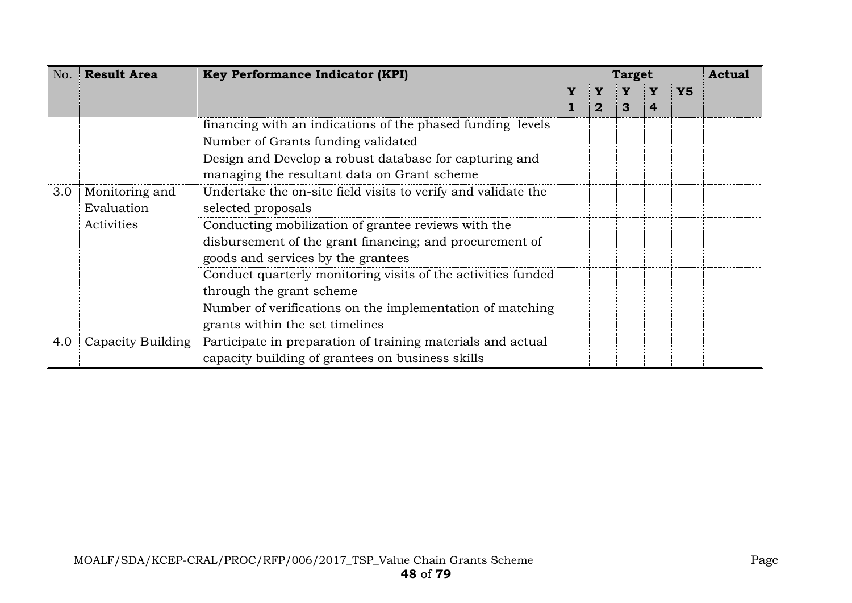| <b>Result Area</b><br>No. |                   | <b>Key Performance Indicator (KPI)</b>                        |  |             | <b>Target</b> |   |           |  |  |
|---------------------------|-------------------|---------------------------------------------------------------|--|-------------|---------------|---|-----------|--|--|
|                           |                   |                                                               |  |             |               |   | <b>Y5</b> |  |  |
|                           |                   |                                                               |  | $\mathbf 2$ | 3             | 4 |           |  |  |
|                           |                   | financing with an indications of the phased funding levels    |  |             |               |   |           |  |  |
|                           |                   | Number of Grants funding validated                            |  |             |               |   |           |  |  |
|                           |                   | Design and Develop a robust database for capturing and        |  |             |               |   |           |  |  |
|                           |                   | managing the resultant data on Grant scheme                   |  |             |               |   |           |  |  |
| 3.0                       | Monitoring and    | Undertake the on-site field visits to verify and validate the |  |             |               |   |           |  |  |
|                           | Evaluation        | selected proposals                                            |  |             |               |   |           |  |  |
|                           | Activities        | Conducting mobilization of grantee reviews with the           |  |             |               |   |           |  |  |
|                           |                   | disbursement of the grant financing; and procurement of       |  |             |               |   |           |  |  |
|                           |                   | goods and services by the grantees                            |  |             |               |   |           |  |  |
|                           |                   | Conduct quarterly monitoring visits of the activities funded  |  |             |               |   |           |  |  |
|                           |                   | through the grant scheme                                      |  |             |               |   |           |  |  |
|                           |                   | Number of verifications on the implementation of matching     |  |             |               |   |           |  |  |
|                           |                   | grants within the set timelines                               |  |             |               |   |           |  |  |
| 4.0                       | Capacity Building | Participate in preparation of training materials and actual   |  |             |               |   |           |  |  |
|                           |                   | capacity building of grantees on business skills              |  |             |               |   |           |  |  |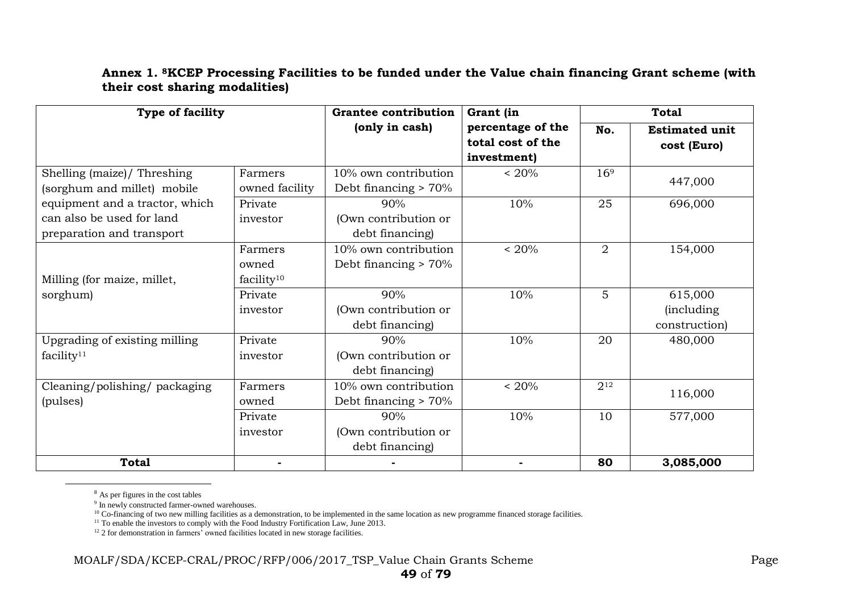#### **Annex 1. 8KCEP Processing Facilities to be funded under the Value chain financing Grant scheme (with their cost sharing modalities)**

| Type of facility                                                                         |                                            | <b>Grantee contribution</b>                     | Grant (in                                             | <b>Total</b>    |                                                |  |
|------------------------------------------------------------------------------------------|--------------------------------------------|-------------------------------------------------|-------------------------------------------------------|-----------------|------------------------------------------------|--|
|                                                                                          |                                            | (only in cash)                                  | percentage of the<br>total cost of the<br>investment) | No.             | <b>Estimated unit</b><br>cost (Euro)           |  |
| Shelling (maize)/ Threshing<br>(sorghum and millet) mobile                               | Farmers<br>owned facility                  | 10% own contribution<br>Debt financing $> 70\%$ | $~120\%$                                              | 16 <sup>9</sup> | 447,000                                        |  |
| equipment and a tractor, which<br>can also be used for land<br>preparation and transport | Private<br>investor                        | 90%<br>(Own contribution or<br>debt financing)  | 10%                                                   | 25              | 696,000                                        |  |
| Milling (for maize, millet,                                                              | Farmers<br>owned<br>facility <sup>10</sup> | 10% own contribution<br>Debt financing $> 70\%$ | $< 20\%$                                              | $\overline{2}$  | 154,000                                        |  |
| sorghum)                                                                                 | Private<br>investor                        | 90%<br>(Own contribution or<br>debt financing)  | 10%                                                   | 5               | 615,000<br><i>(including)</i><br>construction) |  |
| Upgrading of existing milling<br>facility <sup>11</sup>                                  | Private<br>investor                        | 90%<br>(Own contribution or<br>debt financing)  | 10%                                                   | 20              | 480,000                                        |  |
| Cleaning/polishing/packaging<br>(pulses)                                                 | Farmers<br>owned                           | 10% own contribution<br>Debt financing $> 70\%$ | ~120%                                                 | 212             | 116,000                                        |  |
|                                                                                          | Private<br>investor                        | 90%<br>(Own contribution or<br>debt financing)  | 10%                                                   | 10              | 577,000                                        |  |
| <b>Total</b>                                                                             |                                            |                                                 |                                                       | 80              | 3,085,000                                      |  |

<sup>8</sup> As per figures in the cost tables

 $\overline{a}$ 

<sup>9</sup> In newly constructed farmer-owned warehouses.

<sup>10</sup> Co-financing of two new milling facilities as a demonstration, to be implemented in the same location as new programme financed storage facilities.

<sup>11</sup> To enable the investors to comply with the Food Industry Fortification Law, June 2013.

<sup>12</sup> 2 for demonstration in farmers' owned facilities located in new storage facilities.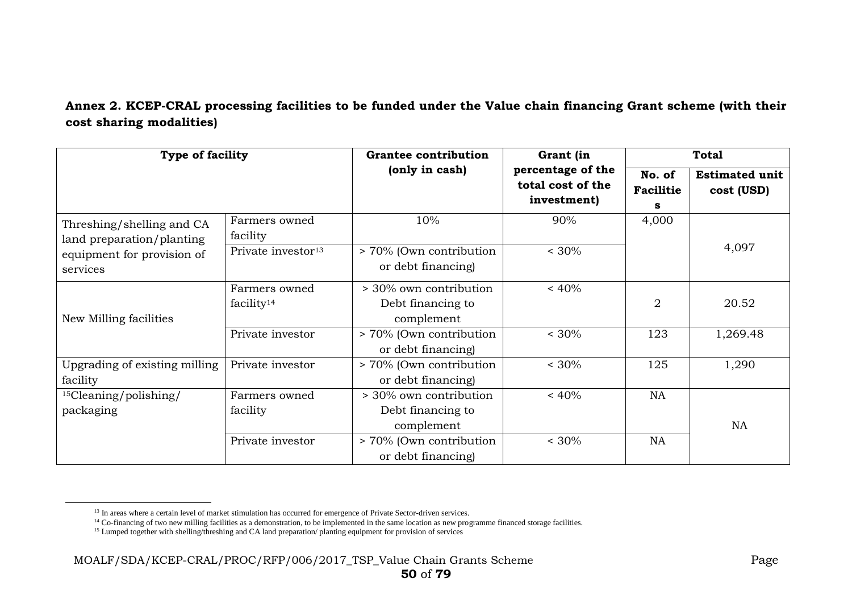# **Annex 2. KCEP-CRAL processing facilities to be funded under the Value chain financing Grant scheme (with their cost sharing modalities)**

| Type of facility                                       |                                | <b>Grantee contribution</b>                               | Grant (in                                             | <b>Total</b>                    |                                     |  |
|--------------------------------------------------------|--------------------------------|-----------------------------------------------------------|-------------------------------------------------------|---------------------------------|-------------------------------------|--|
|                                                        |                                | (only in cash)                                            | percentage of the<br>total cost of the<br>investment) | No. of<br><b>Facilitie</b><br>s | <b>Estimated unit</b><br>cost (USD) |  |
| Threshing/shelling and CA<br>land preparation/planting | Farmers owned<br>facility      | 10%                                                       | 90%                                                   | 4,000                           |                                     |  |
| equipment for provision of<br>services                 | Private investor <sup>13</sup> | > 70% (Own contribution<br>or debt financing)             | $< 30\%$                                              |                                 | 4,097                               |  |
| New Milling facilities                                 | Farmers owned<br>facility $14$ | > 30% own contribution<br>Debt financing to<br>complement | $~< 40\%$                                             | $\overline{2}$                  | 20.52                               |  |
|                                                        | Private investor               | > 70% (Own contribution<br>or debt financing)             | $< 30\%$                                              | 123                             | 1,269.48                            |  |
| Upgrading of existing milling<br>facility              | Private investor               | > 70% (Own contribution<br>or debt financing)             | $< 30\%$                                              | 125                             | 1,290                               |  |
| $15$ Cleaning/polishing/<br>packaging                  | Farmers owned<br>facility      | > 30% own contribution<br>Debt financing to<br>complement | $~< 40\%$                                             | <b>NA</b>                       | <b>NA</b>                           |  |
|                                                        | Private investor               | > 70% (Own contribution<br>or debt financing)             | $< 30\%$                                              | NA                              |                                     |  |

 $\overline{a}$ 

<sup>&</sup>lt;sup>13</sup> In areas where a certain level of market stimulation has occurred for emergence of Private Sector-driven services.

<sup>&</sup>lt;sup>14</sup> Co-financing of two new milling facilities as a demonstration, to be implemented in the same location as new programme financed storage facilities.

<sup>&</sup>lt;sup>15</sup> Lumped together with shelling/threshing and CA land preparation/ planting equipment for provision of services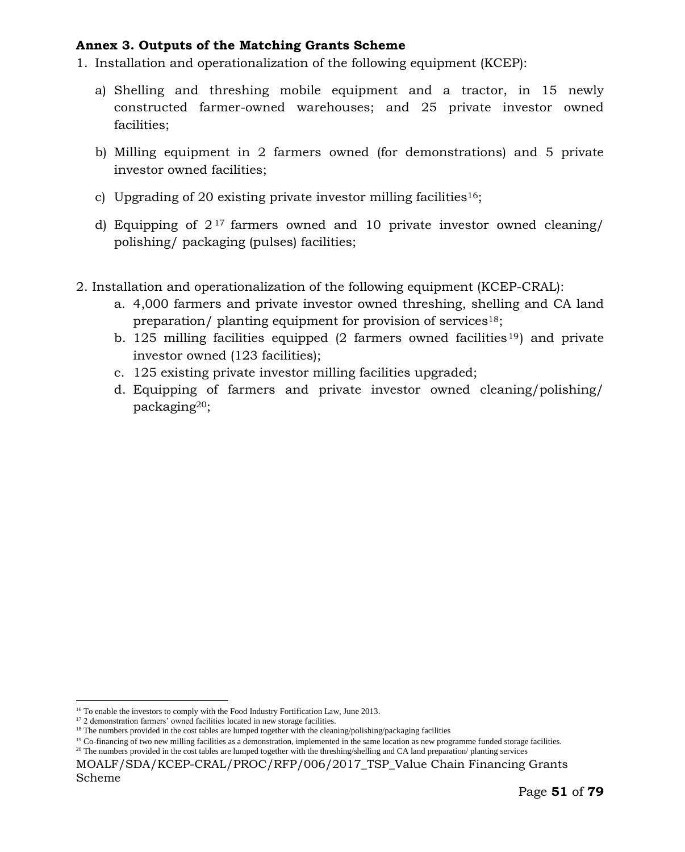#### **Annex 3. Outputs of the Matching Grants Scheme**

- 1. Installation and operationalization of the following equipment (KCEP):
	- a) Shelling and threshing mobile equipment and a tractor, in 15 newly constructed farmer-owned warehouses; and 25 private investor owned facilities;
	- b) Milling equipment in 2 farmers owned (for demonstrations) and 5 private investor owned facilities;
	- c) Upgrading of 20 existing private investor milling facilities<sup>16</sup>;
	- d) Equipping of  $2^{17}$  farmers owned and 10 private investor owned cleaning/ polishing/ packaging (pulses) facilities;
- 2. Installation and operationalization of the following equipment (KCEP-CRAL):
	- a. 4,000 farmers and private investor owned threshing, shelling and CA land preparation/ planting equipment for provision of services18;
	- b. 125 milling facilities equipped  $(2 \text{ farmers owned facilities}^{19})$  and private investor owned (123 facilities);
	- c. 125 existing private investor milling facilities upgraded;
	- d. Equipping of farmers and private investor owned cleaning/polishing/ packaging20;

 $\overline{a}$ 

<sup>&</sup>lt;sup>16</sup> To enable the investors to comply with the Food Industry Fortification Law, June 2013.

<sup>&</sup>lt;sup>17</sup> 2 demonstration farmers' owned facilities located in new storage facilities.

<sup>&</sup>lt;sup>18</sup> The numbers provided in the cost tables are lumped together with the cleaning/polishing/packaging facilities

 $19$  Co-financing of two new milling facilities as a demonstration, implemented in the same location as new programme funded storage facilities.

<sup>&</sup>lt;sup>20</sup> The numbers provided in the cost tables are lumped together with the threshing/shelling and CA land preparation/ planting services

MOALF/SDA/KCEP-CRAL/PROC/RFP/006/2017 TSP Value Chain Financing Grants Scheme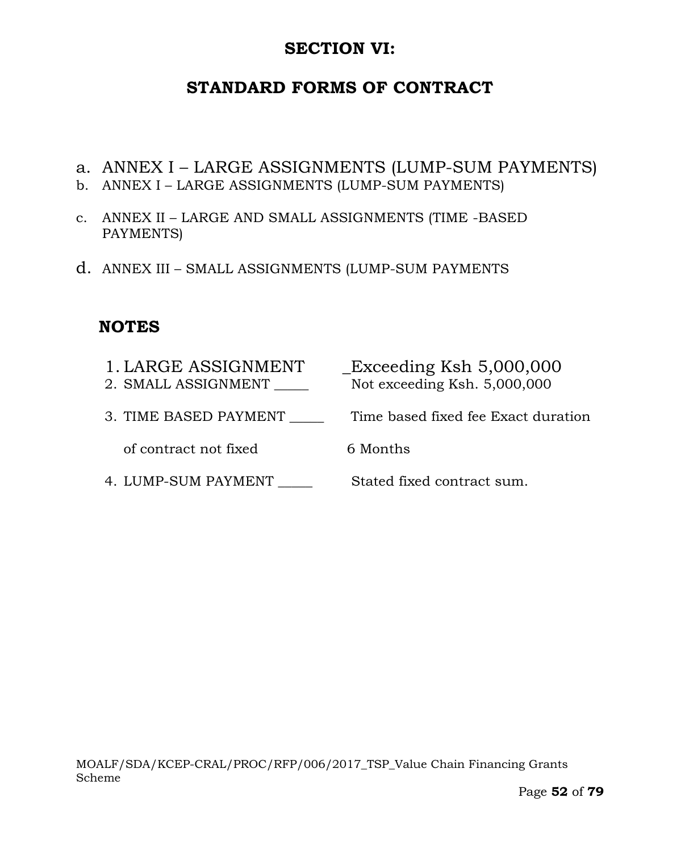# **SECTION VI:**

# **STANDARD FORMS OF CONTRACT**

- a. ANNEX I LARGE ASSIGNMENTS (LUMP-SUM PAYMENTS)
- b. ANNEX I LARGE ASSIGNMENTS (LUMP-SUM PAYMENTS)
- c. ANNEX II LARGE AND SMALL ASSIGNMENTS (TIME -BASED PAYMENTS)
- d. ANNEX III SMALL ASSIGNMENTS (LUMP-SUM PAYMENTS

# **NOTES**

| 1. LARGE ASSIGNMENT<br>2. SMALL ASSIGNMENT | $\text{\_}Exceeding$ Ksh 5,000,000<br>Not exceeding Ksh. 5,000,000 |
|--------------------------------------------|--------------------------------------------------------------------|
| 3. TIME BASED PAYMENT                      | Time based fixed fee Exact duration                                |
| of contract not fixed                      | 6 Months                                                           |
| 4. LUMP-SUM PAYMENT                        | Stated fixed contract sum.                                         |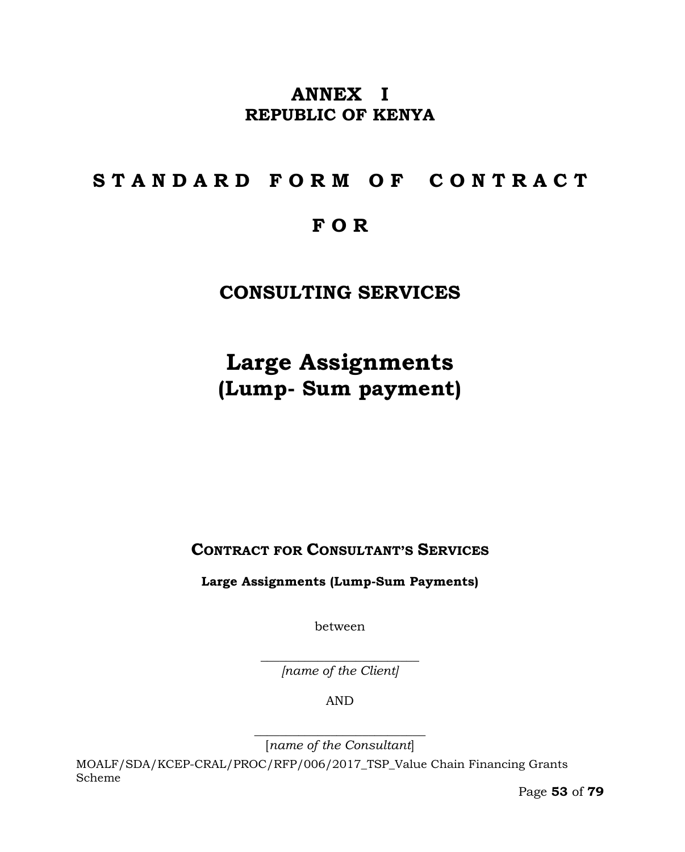# **ANNEX I REPUBLIC OF KENYA**

# **S T A N D A R D F O R M O F C O N T R A C T**

# **F O R**

# **CONSULTING SERVICES**

# **Large Assignments (Lump- Sum payment)**

**CONTRACT FOR CONSULTANT'S SERVICES**

**Large Assignments (Lump-Sum Payments)**

between

 $\overline{\phantom{a}}$  , where  $\overline{\phantom{a}}$  , where  $\overline{\phantom{a}}$  , where  $\overline{\phantom{a}}$  , where  $\overline{\phantom{a}}$ *[name of the Client]*

AND

 $\overline{\phantom{a}}$  , where  $\overline{\phantom{a}}$  , where  $\overline{\phantom{a}}$  , where  $\overline{\phantom{a}}$  ,  $\overline{\phantom{a}}$  ,  $\overline{\phantom{a}}$  ,  $\overline{\phantom{a}}$  ,  $\overline{\phantom{a}}$  ,  $\overline{\phantom{a}}$  ,  $\overline{\phantom{a}}$  ,  $\overline{\phantom{a}}$  ,  $\overline{\phantom{a}}$  ,  $\overline{\phantom{a}}$  ,  $\overline{\phantom{a}}$  ,  $\overline{\phantom$ [*name of the Consultant*]

MOALF/SDA/KCEP-CRAL/PROC/RFP/006/2017\_TSP\_Value Chain Financing Grants Scheme

Page **53** of **79**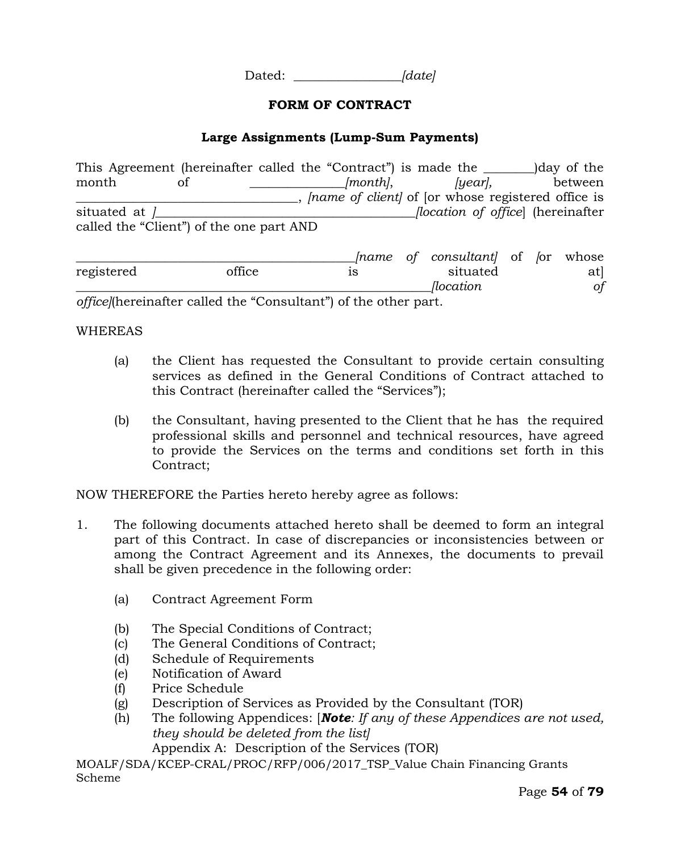Dated: *\_\_\_\_\_\_\_\_\_\_\_\_\_\_\_\_\_[date]*

#### **FORM OF CONTRACT**

#### **Large Assignments (Lump-Sum Payments)**

This Agreement (hereinafter called the "Contract") is made the \_\_\_\_\_\_\_\_)day of the month of \_\_\_\_\_\_\_\_\_\_\_\_*[month]*, *[year]*, between \_\_\_\_\_\_\_\_\_\_\_\_\_\_\_\_\_\_\_\_\_\_\_\_\_\_\_\_\_\_\_\_\_\_\_, *[name of client]* of [or whose registered office is situated at *]\_\_\_\_\_\_\_\_\_\_\_\_\_\_\_\_\_\_\_\_\_\_\_\_\_\_\_\_\_\_\_\_\_\_\_\_\_\_\_\_\_[location of office*] (hereinafter called the "Client") of the one part AND

|            |                                                                                                                                         | Iname    |  | <i>of consultant</i> of for whose |     |               |
|------------|-----------------------------------------------------------------------------------------------------------------------------------------|----------|--|-----------------------------------|-----|---------------|
| registered | office                                                                                                                                  | situated |  |                                   | atl |               |
|            |                                                                                                                                         |          |  | <i>flocation</i>                  |     | <sub>of</sub> |
|            | $\mathcal{L}C$ , 10, and a $\mathcal{C}$ is the 11, 1 if $\mathcal{L}$ (C) is in the $1/2$ , $\mathcal{C}$ if $\mathcal{L}$ is the same |          |  |                                   |     |               |

*office]*(hereinafter called the "Consultant") of the other part.

#### WHEREAS

- (a) the Client has requested the Consultant to provide certain consulting services as defined in the General Conditions of Contract attached to this Contract (hereinafter called the "Services");
- (b) the Consultant, having presented to the Client that he has the required professional skills and personnel and technical resources, have agreed to provide the Services on the terms and conditions set forth in this Contract;

NOW THEREFORE the Parties hereto hereby agree as follows:

- 1. The following documents attached hereto shall be deemed to form an integral part of this Contract. In case of discrepancies or inconsistencies between or among the Contract Agreement and its Annexes, the documents to prevail shall be given precedence in the following order:
	- (a) Contract Agreement Form
	- (b) The Special Conditions of Contract;
	- (c) The General Conditions of Contract;
	- (d) Schedule of Requirements
	- (e) Notification of Award
	- (f) Price Schedule
	- (g) Description of Services as Provided by the Consultant (TOR)
	- (h) The following Appendices: [*Note: If any of these Appendices are not used, they should be deleted from the list]* Appendix A: Description of the Services (TOR)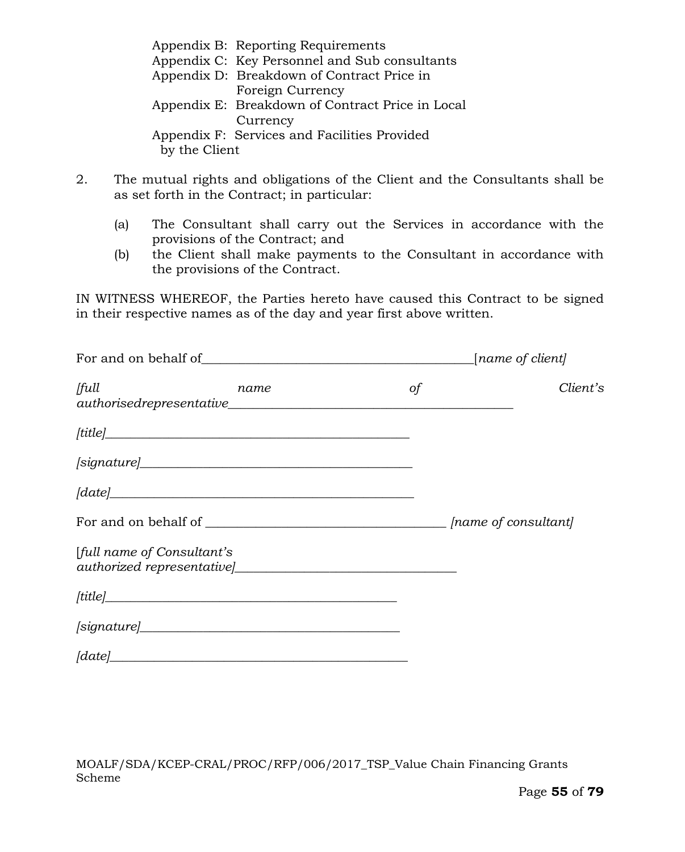|               | Appendix B: Reporting Requirements               |
|---------------|--------------------------------------------------|
|               | Appendix C: Key Personnel and Sub consultants    |
|               | Appendix D: Breakdown of Contract Price in       |
|               | Foreign Currency                                 |
|               | Appendix E: Breakdown of Contract Price in Local |
|               | Currency                                         |
|               | Appendix F: Services and Facilities Provided     |
| by the Client |                                                  |

- 2. The mutual rights and obligations of the Client and the Consultants shall be as set forth in the Contract; in particular:
	- (a) The Consultant shall carry out the Services in accordance with the provisions of the Contract; and
	- (b) the Client shall make payments to the Consultant in accordance with the provisions of the Contract.

IN WITNESS WHEREOF, the Parties hereto have caused this Contract to be signed in their respective names as of the day and year first above written.

|                                                                                                                                                                                                                                                                                                                                                                     |           | [name of client] |
|---------------------------------------------------------------------------------------------------------------------------------------------------------------------------------------------------------------------------------------------------------------------------------------------------------------------------------------------------------------------|-----------|------------------|
| full<br>name<br>$author is edge present at ive$ authorised representative                                                                                                                                                                                                                                                                                           | $\circ f$ | Client's         |
| [title]                                                                                                                                                                                                                                                                                                                                                             |           |                  |
| $[signature] \begin{tabular}{ c c } \hline \rule{0.3cm}{0.4cm} \rule{0.3cm}{0.4cm} \rule{0.3cm}{0.4cm} \rule{0.3cm}{0.4cm} \rule{0.3cm}{0.4cm} \rule{0.3cm}{0.4cm} \rule{0.3cm}{0.4cm} \rule{0.3cm}{0.4cm} \rule{0.3cm}{0.4cm} \rule{0.3cm}{0.4cm} \rule{0.3cm}{0.4cm} \rule{0.3cm}{0.4cm} \rule{0.3cm}{0.4cm} \rule{0.3cm}{0.4cm} \rule{0.3cm}{0.4cm} \rule{0.3cm$ |           |                  |
| $\lceil date \rceil$                                                                                                                                                                                                                                                                                                                                                |           |                  |
|                                                                                                                                                                                                                                                                                                                                                                     |           |                  |
| [full name of Consultant's                                                                                                                                                                                                                                                                                                                                          |           |                  |
|                                                                                                                                                                                                                                                                                                                                                                     |           |                  |
|                                                                                                                                                                                                                                                                                                                                                                     |           |                  |
| $\lceil date \rceil$                                                                                                                                                                                                                                                                                                                                                |           |                  |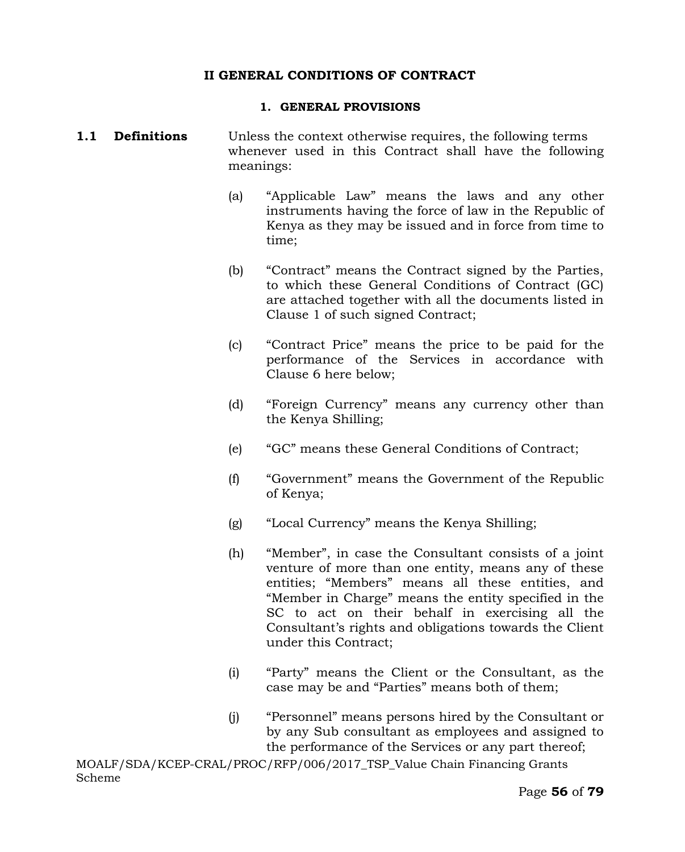#### **II GENERAL CONDITIONS OF CONTRACT**

#### **1. GENERAL PROVISIONS**

#### **1.1 Definitions** Unless the context otherwise requires, the following terms whenever used in this Contract shall have the following meanings:

- (a) "Applicable Law" means the laws and any other instruments having the force of law in the Republic of Kenya as they may be issued and in force from time to time;
- (b) "Contract" means the Contract signed by the Parties, to which these General Conditions of Contract (GC) are attached together with all the documents listed in Clause 1 of such signed Contract;
- (c) "Contract Price" means the price to be paid for the performance of the Services in accordance with Clause 6 here below;
- (d) "Foreign Currency" means any currency other than the Kenya Shilling;
- (e) "GC" means these General Conditions of Contract;
- (f) "Government" means the Government of the Republic of Kenya;
- (g) "Local Currency" means the Kenya Shilling;
- (h) "Member", in case the Consultant consists of a joint venture of more than one entity, means any of these entities; "Members" means all these entities, and "Member in Charge" means the entity specified in the SC to act on their behalf in exercising all the Consultant's rights and obligations towards the Client under this Contract;
- (i) "Party" means the Client or the Consultant, as the case may be and "Parties" means both of them;
- (j) "Personnel" means persons hired by the Consultant or by any Sub consultant as employees and assigned to the performance of the Services or any part thereof;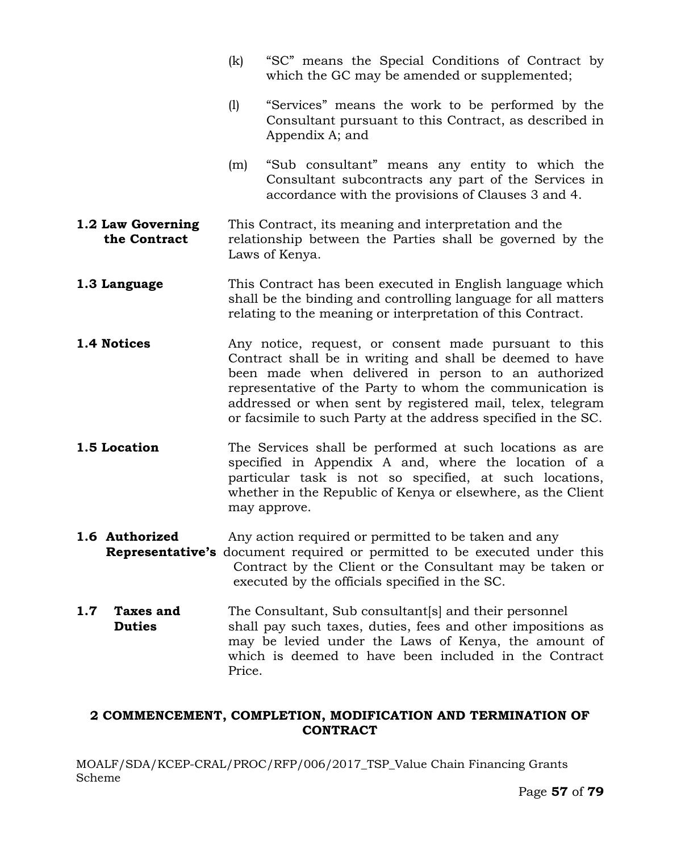- (k) "SC" means the Special Conditions of Contract by which the GC may be amended or supplemented;
- (l) "Services" means the work to be performed by the Consultant pursuant to this Contract, as described in Appendix A; and
- (m) "Sub consultant" means any entity to which the Consultant subcontracts any part of the Services in accordance with the provisions of Clauses 3 and 4.
- **1.2 Law Governing** This Contract, its meaning and interpretation and the **the Contract** relationship between the Parties shall be governed by the Laws of Kenya.
- **1.3 Language** This Contract has been executed in English language which shall be the binding and controlling language for all matters relating to the meaning or interpretation of this Contract.
- **1.4 Notices** Any notice, request, or consent made pursuant to this Contract shall be in writing and shall be deemed to have been made when delivered in person to an authorized representative of the Party to whom the communication is addressed or when sent by registered mail, telex, telegram or facsimile to such Party at the address specified in the SC.
- **1.5 Location** The Services shall be performed at such locations as are specified in Appendix A and, where the location of a particular task is not so specified, at such locations, whether in the Republic of Kenya or elsewhere, as the Client may approve.
- **1.6 Authorized** Any action required or permitted to be taken and any
- **Representative's** document required or permitted to be executed under this Contract by the Client or the Consultant may be taken or executed by the officials specified in the SC.
- **1.7 Taxes and** The Consultant, Sub consultant [s] and their personnel **Duties** shall pay such taxes, duties, fees and other impositions as may be levied under the Laws of Kenya, the amount of which is deemed to have been included in the Contract Price.

### **2 COMMENCEMENT, COMPLETION, MODIFICATION AND TERMINATION OF CONTRACT**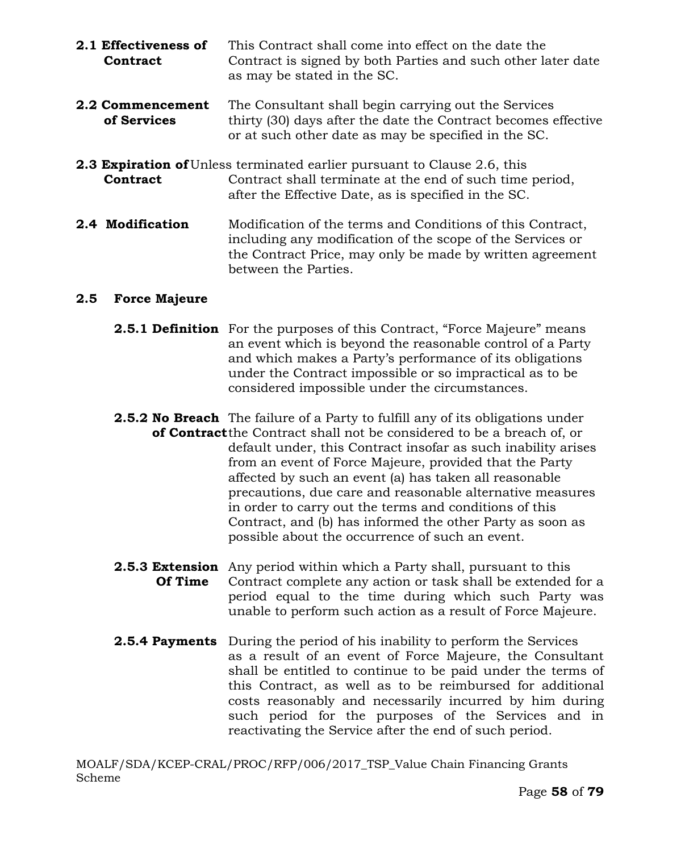- **2.1 Effectiveness of** This Contract shall come into effect on the date the **Contract** Contract is signed by both Parties and such other later date as may be stated in the SC.
- **2.2 Commencement** The Consultant shall begin carrying out the Services **of Services** thirty (30) days after the date the Contract becomes effective or at such other date as may be specified in the SC.
- **2.3 Expiration of** Unless terminated earlier pursuant to Clause 2.6, this **Contract** Contract shall terminate at the end of such time period, after the Effective Date, as is specified in the SC.
- **2.4 Modification** Modification of the terms and Conditions of this Contract, including any modification of the scope of the Services or the Contract Price, may only be made by written agreement between the Parties.

#### **2.5 Force Majeure**

- **2.5.1 Definition** For the purposes of this Contract, "Force Majeure" means an event which is beyond the reasonable control of a Party and which makes a Party's performance of its obligations under the Contract impossible or so impractical as to be considered impossible under the circumstances.
- **2.5.2 No Breach** The failure of a Party to fulfill any of its obligations under **of Contract**the Contract shall not be considered to be a breach of, or default under, this Contract insofar as such inability arises from an event of Force Majeure, provided that the Party affected by such an event (a) has taken all reasonable precautions, due care and reasonable alternative measures in order to carry out the terms and conditions of this Contract, and (b) has informed the other Party as soon as possible about the occurrence of such an event.
- **2.5.3 Extension** Any period within which a Party shall, pursuant to this **Of Time** Contract complete any action or task shall be extended for a period equal to the time during which such Party was unable to perform such action as a result of Force Majeure.
- **2.5.4 Payments** During the period of his inability to perform the Services as a result of an event of Force Majeure, the Consultant shall be entitled to continue to be paid under the terms of this Contract, as well as to be reimbursed for additional costs reasonably and necessarily incurred by him during such period for the purposes of the Services and in reactivating the Service after the end of such period.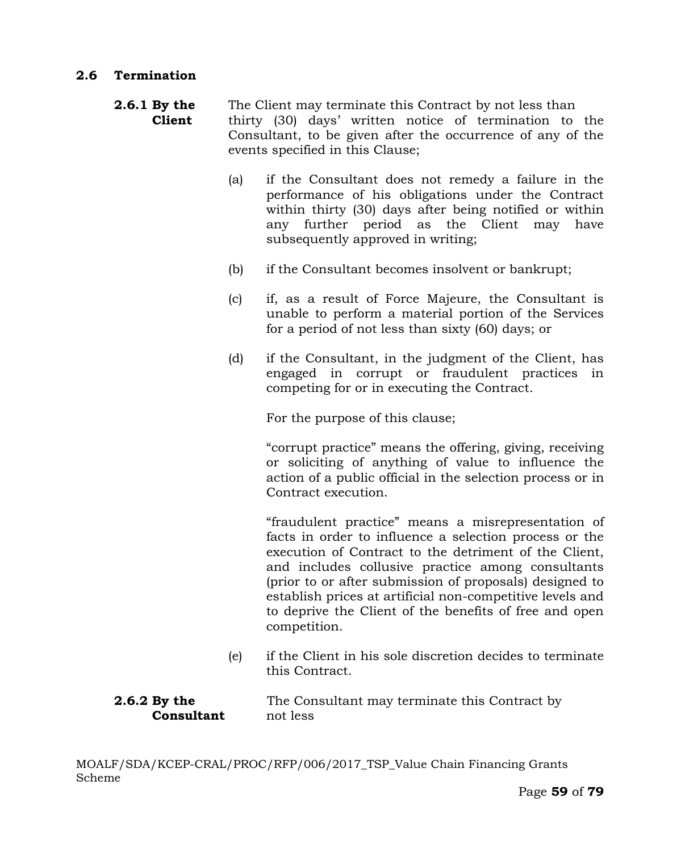- **2.6.1 By the** The Client may terminate this Contract by not less than **Client** thirty (30) days' written notice of termination to the Consultant, to be given after the occurrence of any of the events specified in this Clause;
	- (a) if the Consultant does not remedy a failure in the performance of his obligations under the Contract within thirty (30) days after being notified or within any further period as the Client may have subsequently approved in writing;
	- (b) if the Consultant becomes insolvent or bankrupt;
	- (c) if, as a result of Force Majeure, the Consultant is unable to perform a material portion of the Services for a period of not less than sixty (60) days; or
	- (d) if the Consultant, in the judgment of the Client, has engaged in corrupt or fraudulent practices in competing for or in executing the Contract.

For the purpose of this clause;

"corrupt practice" means the offering, giving, receiving or soliciting of anything of value to influence the action of a public official in the selection process or in Contract execution.

"fraudulent practice" means a misrepresentation of facts in order to influence a selection process or the execution of Contract to the detriment of the Client, and includes collusive practice among consultants (prior to or after submission of proposals) designed to establish prices at artificial non-competitive levels and to deprive the Client of the benefits of free and open competition.

(e) if the Client in his sole discretion decides to terminate this Contract.

### **2.6.2 By the** The Consultant may terminate this Contract by **Consultant** not less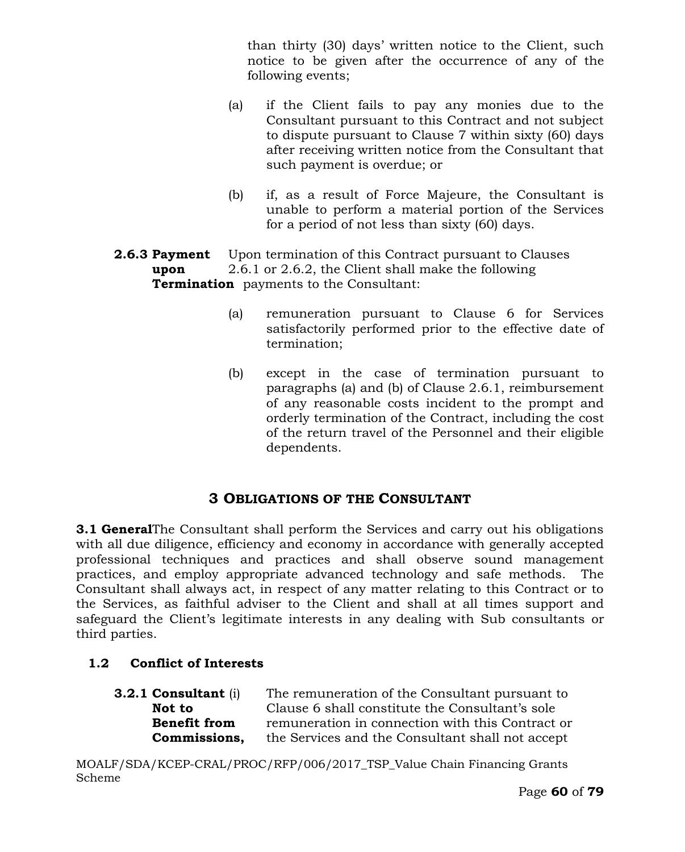than thirty (30) days' written notice to the Client, such notice to be given after the occurrence of any of the following events;

- (a) if the Client fails to pay any monies due to the Consultant pursuant to this Contract and not subject to dispute pursuant to Clause 7 within sixty (60) days after receiving written notice from the Consultant that such payment is overdue; or
- (b) if, as a result of Force Majeure, the Consultant is unable to perform a material portion of the Services for a period of not less than sixty (60) days.
- **2.6.3 Payment** Upon termination of this Contract pursuant to Clauses **upon** 2.6.1 or 2.6.2, the Client shall make the following **Termination** payments to the Consultant:
	- (a) remuneration pursuant to Clause 6 for Services satisfactorily performed prior to the effective date of termination;
	- (b) except in the case of termination pursuant to paragraphs (a) and (b) of Clause 2.6.1, reimbursement of any reasonable costs incident to the prompt and orderly termination of the Contract, including the cost of the return travel of the Personnel and their eligible dependents.

# **3 OBLIGATIONS OF THE CONSULTANT**

**3.1 General**The Consultant shall perform the Services and carry out his obligations with all due diligence, efficiency and economy in accordance with generally accepted professional techniques and practices and shall observe sound management practices, and employ appropriate advanced technology and safe methods. The Consultant shall always act, in respect of any matter relating to this Contract or to the Services, as faithful adviser to the Client and shall at all times support and safeguard the Client's legitimate interests in any dealing with Sub consultants or third parties.

# **1.2 Conflict of Interests**

| <b>3.2.1 Consultant (i)</b> | The remuneration of the Consultant pursuant to   |
|-----------------------------|--------------------------------------------------|
| Not to                      | Clause 6 shall constitute the Consultant's sole  |
| <b>Benefit from</b>         | remuneration in connection with this Contract or |
| Commissions,                | the Services and the Consultant shall not accept |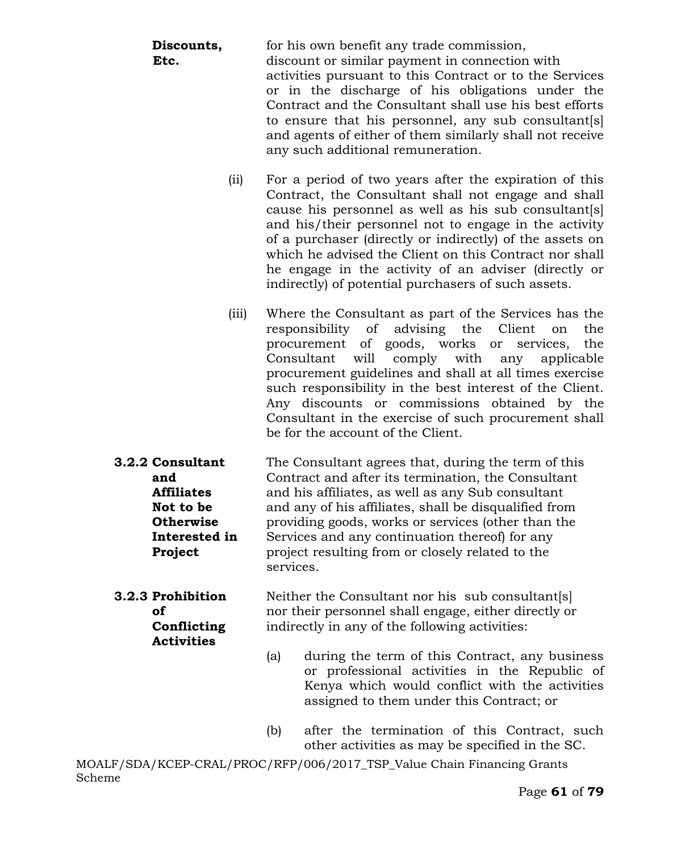| Discounts,<br>Etc.                                                                                        | for his own benefit any trade commission,<br>discount or similar payment in connection with<br>activities pursuant to this Contract or to the Services<br>or in the discharge of his obligations under the<br>Contract and the Consultant shall use his best efforts<br>to ensure that his personnel, any sub consultant [s]<br>and agents of either of them similarly shall not receive<br>any such additional remuneration.                                                                                        |
|-----------------------------------------------------------------------------------------------------------|----------------------------------------------------------------------------------------------------------------------------------------------------------------------------------------------------------------------------------------------------------------------------------------------------------------------------------------------------------------------------------------------------------------------------------------------------------------------------------------------------------------------|
| (iii)                                                                                                     | For a period of two years after the expiration of this<br>Contract, the Consultant shall not engage and shall<br>cause his personnel as well as his sub consultant[s]<br>and his/their personnel not to engage in the activity<br>of a purchaser (directly or indirectly) of the assets on<br>which he advised the Client on this Contract nor shall<br>he engage in the activity of an adviser (directly or<br>indirectly) of potential purchasers of such assets.                                                  |
| (iii)                                                                                                     | Where the Consultant as part of the Services has the<br>advising<br>responsibility<br>$\sigma$<br>the<br>the<br>Client<br>on<br>procurement of goods, works<br>the<br>services,<br>or<br>Consultant<br>will<br>comply<br>with<br>any<br>applicable<br>procurement guidelines and shall at all times exercise<br>such responsibility in the best interest of the Client.<br>Any discounts or commissions obtained by the<br>Consultant in the exercise of such procurement shall<br>be for the account of the Client. |
| 3.2.2 Consultant<br>and<br><b>Affiliates</b><br>Not to be<br><b>Otherwise</b><br>Interested in<br>Project | The Consultant agrees that, during the term of this<br>Contract and after its termination, the Consultant<br>and his affiliates, as well as any Sub consultant<br>and any of his affiliates, shall be disqualified from<br>providing goods, works or services (other than the<br>Services and any continuation thereof) for any<br>project resulting from or closely related to the                                                                                                                                  |

**3.2.3 Prohibition** Neither the Consultant nor his sub consultant[s] **of** nor their personnel shall engage, either directly or **Conflicting** indirectly in any of the following activities: **Activities**

services.

- (a) during the term of this Contract, any business or professional activities in the Republic of Kenya which would conflict with the activities assigned to them under this Contract; or
- (b) after the termination of this Contract, such other activities as may be specified in the SC.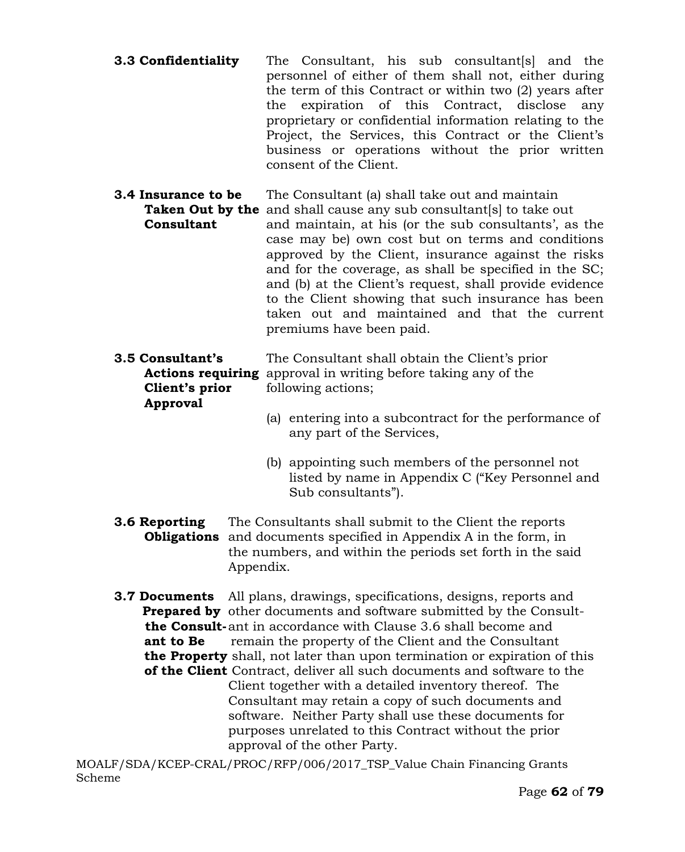- **3.3 Confidentiality** The Consultant, his sub consultant[s] and the personnel of either of them shall not, either during the term of this Contract or within two (2) years after the expiration of this Contract, disclose any proprietary or confidential information relating to the Project, the Services, this Contract or the Client's business or operations without the prior written consent of the Client.
- **3.4 Insurance to be** The Consultant (a) shall take out and maintain **Taken Out by the** and shall cause any sub consultant [s] to take out **Consultant** and maintain, at his (or the sub consultants', as the case may be) own cost but on terms and conditions approved by the Client, insurance against the risks and for the coverage, as shall be specified in the SC; and (b) at the Client's request, shall provide evidence to the Client showing that such insurance has been taken out and maintained and that the current premiums have been paid.

| 3.5 Consultant's | The Consultant shall obtain the Client's prior                        |  |  |
|------------------|-----------------------------------------------------------------------|--|--|
|                  | <b>Actions requiring</b> approval in writing before taking any of the |  |  |
| Client's prior   | following actions;                                                    |  |  |
| Approval         |                                                                       |  |  |
|                  | (a) entering into a subcontract for the performance                   |  |  |

- (a) entering into a subcontract for the performance of any part of the Services,
- (b) appointing such members of the personnel not listed by name in Appendix C ("Key Personnel and Sub consultants").
- **3.6 Reporting** The Consultants shall submit to the Client the reports  **Obligations** and documents specified in Appendix A in the form, in the numbers, and within the periods set forth in the said Appendix.

**3.7 Documents** All plans, drawings, specifications, designs, reports and **Prepared by** other documents and software submitted by the Consult  **the Consult-**ant in accordance with Clause 3.6 shall become and **ant to Be** remain the property of the Client and the Consultant  **the Property** shall, not later than upon termination or expiration of this  **of the Client** Contract, deliver all such documents and software to the Client together with a detailed inventory thereof. The Consultant may retain a copy of such documents and software. Neither Party shall use these documents for purposes unrelated to this Contract without the prior approval of the other Party.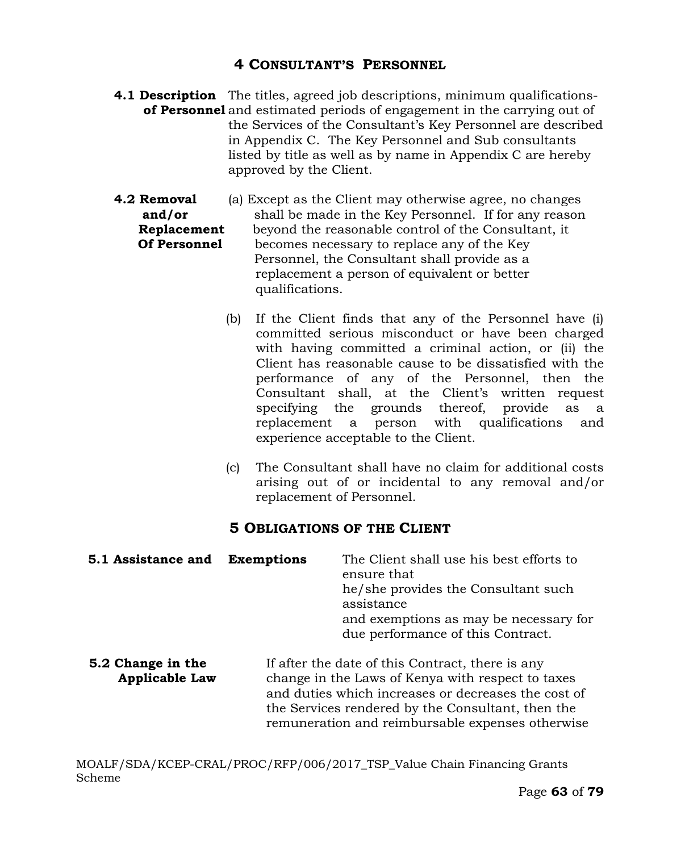# **4 CONSULTANT'S PERSONNEL**

- **4.1 Description** The titles, agreed job descriptions, minimum qualifications**of Personnel** and estimated periods of engagement in the carrying out of the Services of the Consultant's Key Personnel are described in Appendix C. The Key Personnel and Sub consultants listed by title as well as by name in Appendix C are hereby approved by the Client.
- **4.2 Removal** (a) Except as the Client may otherwise agree, no changes **and/or** shall be made in the Key Personnel. If for any reason **Replacement** beyond the reasonable control of the Consultant, it **Of Personnel** becomes necessary to replace any of the Key Personnel, the Consultant shall provide as a replacement a person of equivalent or better qualifications.
	- (b) If the Client finds that any of the Personnel have (i) committed serious misconduct or have been charged with having committed a criminal action, or (ii) the Client has reasonable cause to be dissatisfied with the performance of any of the Personnel, then the Consultant shall, at the Client's written request specifying the grounds thereof, provide as a replacement a person with qualifications and experience acceptable to the Client.
	- (c) The Consultant shall have no claim for additional costs arising out of or incidental to any removal and/or replacement of Personnel.

# **5 OBLIGATIONS OF THE CLIENT**

| 5.1 Assistance and                         | <b>Exemptions</b> | The Client shall use his best efforts to<br>ensure that<br>he/she provides the Consultant such<br>assistance<br>and exemptions as may be necessary for<br>due performance of this Contract.                                                                           |  |
|--------------------------------------------|-------------------|-----------------------------------------------------------------------------------------------------------------------------------------------------------------------------------------------------------------------------------------------------------------------|--|
| 5.2 Change in the<br><b>Applicable Law</b> |                   | If after the date of this Contract, there is any<br>change in the Laws of Kenya with respect to taxes<br>and duties which increases or decreases the cost of<br>the Services rendered by the Consultant, then the<br>remuneration and reimbursable expenses otherwise |  |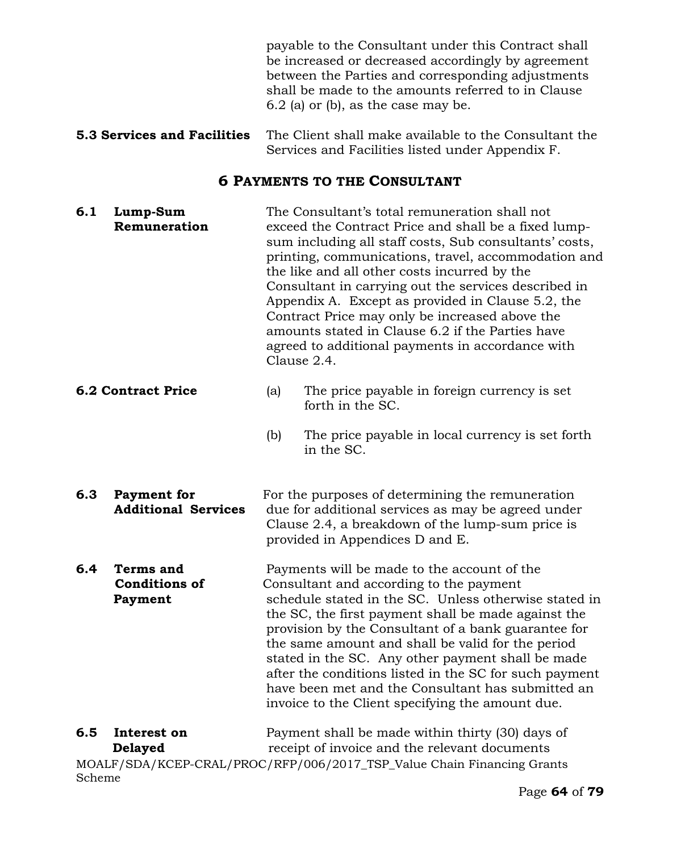payable to the Consultant under this Contract shall be increased or decreased accordingly by agreement between the Parties and corresponding adjustments shall be made to the amounts referred to in Clause 6.2 (a) or (b), as the case may be.

**5.3 Services and Facilities** The Client shall make available to the Consultant the Services and Facilities listed under Appendix F.

# **6 PAYMENTS TO THE CONSULTANT**

| 6.1                       | Lump-Sum<br>Remuneration                            | The Consultant's total remuneration shall not<br>exceed the Contract Price and shall be a fixed lump-<br>sum including all staff costs, Sub consultants' costs,<br>printing, communications, travel, accommodation and<br>the like and all other costs incurred by the<br>Consultant in carrying out the services described in<br>Appendix A. Except as provided in Clause 5.2, the<br>Contract Price may only be increased above the<br>amounts stated in Clause 6.2 if the Parties have<br>agreed to additional payments in accordance with<br>Clause 2.4. |                                                                                                                                                                             |  |
|---------------------------|-----------------------------------------------------|--------------------------------------------------------------------------------------------------------------------------------------------------------------------------------------------------------------------------------------------------------------------------------------------------------------------------------------------------------------------------------------------------------------------------------------------------------------------------------------------------------------------------------------------------------------|-----------------------------------------------------------------------------------------------------------------------------------------------------------------------------|--|
| <b>6.2 Contract Price</b> |                                                     | (a)                                                                                                                                                                                                                                                                                                                                                                                                                                                                                                                                                          | The price payable in foreign currency is set<br>forth in the SC.                                                                                                            |  |
|                           |                                                     | (b)                                                                                                                                                                                                                                                                                                                                                                                                                                                                                                                                                          | The price payable in local currency is set forth<br>in the SC.                                                                                                              |  |
| 6.3                       | <b>Payment</b> for<br><b>Additional Services</b>    | For the purposes of determining the remuneration<br>due for additional services as may be agreed under<br>Clause 2.4, a breakdown of the lump-sum price is<br>provided in Appendices D and E.                                                                                                                                                                                                                                                                                                                                                                |                                                                                                                                                                             |  |
| 6.4                       | <b>Terms and</b><br><b>Conditions of</b><br>Payment | Payments will be made to the account of the<br>Consultant and according to the payment<br>schedule stated in the SC. Unless otherwise stated in<br>the SC, the first payment shall be made against the<br>provision by the Consultant of a bank guarantee for<br>the same amount and shall be valid for the period<br>stated in the SC. Any other payment shall be made<br>after the conditions listed in the SC for such payment<br>have been met and the Consultant has submitted an<br>invoice to the Client specifying the amount due.                   |                                                                                                                                                                             |  |
| 6.5<br>Scheme             | Interest on<br><b>Delayed</b>                       |                                                                                                                                                                                                                                                                                                                                                                                                                                                                                                                                                              | Payment shall be made within thirty (30) days of<br>receipt of invoice and the relevant documents<br>MOALF/SDA/KCEP-CRAL/PROC/RFP/006/2017_TSP_Value Chain Financing Grants |  |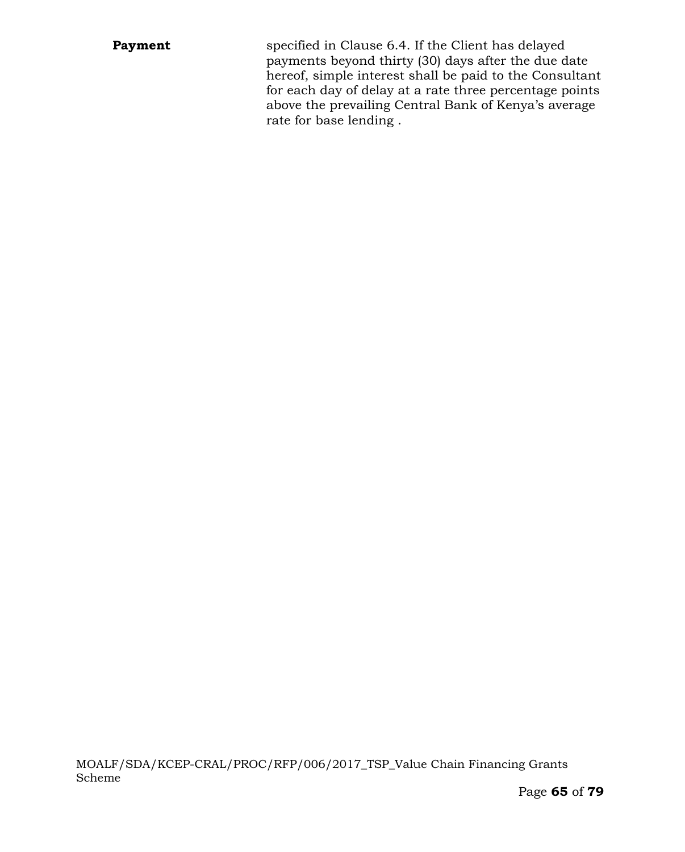**Payment** specified in Clause 6.4. If the Client has delayed payments beyond thirty (30) days after the due date hereof, simple interest shall be paid to the Consultant for each day of delay at a rate three percentage points above the prevailing Central Bank of Kenya's average rate for base lending .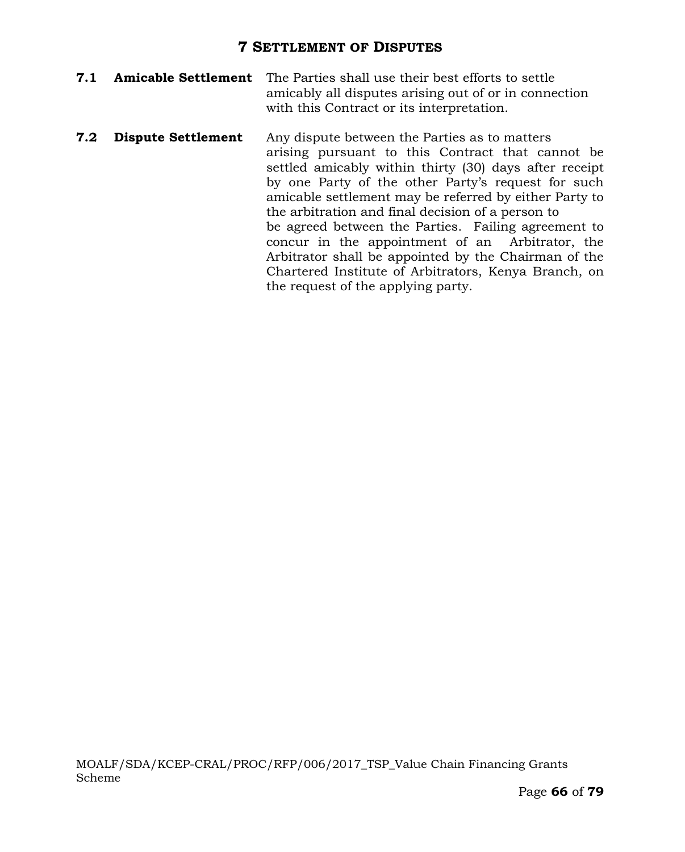### **7 SETTLEMENT OF DISPUTES**

- **7.1 Amicable Settlement** The Parties shall use their best efforts to settle amicably all disputes arising out of or in connection with this Contract or its interpretation.
- **7.2 Dispute Settlement** Any dispute between the Parties as to matters arising pursuant to this Contract that cannot be settled amicably within thirty (30) days after receipt by one Party of the other Party's request for such amicable settlement may be referred by either Party to the arbitration and final decision of a person to be agreed between the Parties. Failing agreement to concur in the appointment of an Arbitrator, the Arbitrator shall be appointed by the Chairman of the Chartered Institute of Arbitrators, Kenya Branch, on the request of the applying party.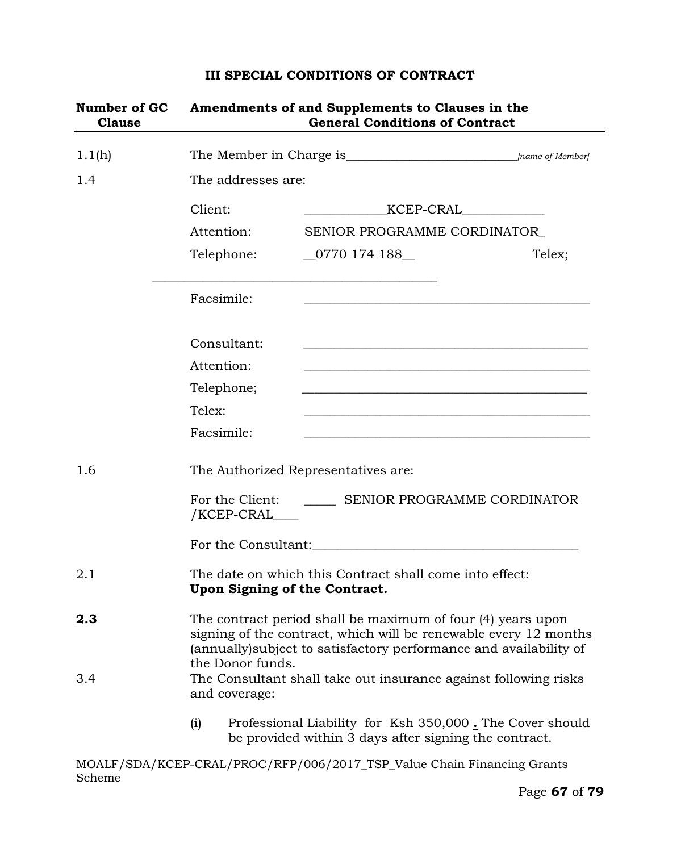# **III SPECIAL CONDITIONS OF CONTRACT**

| Number of GC<br><b>Clause</b> | Amendments of and Supplements to Clauses in the<br><b>General Conditions of Contract</b>                                                                                                                                  |                                                                                                                                                                                                                                                   |        |  |  |  |
|-------------------------------|---------------------------------------------------------------------------------------------------------------------------------------------------------------------------------------------------------------------------|---------------------------------------------------------------------------------------------------------------------------------------------------------------------------------------------------------------------------------------------------|--------|--|--|--|
| 1.1(h)                        |                                                                                                                                                                                                                           |                                                                                                                                                                                                                                                   |        |  |  |  |
| 1.4                           | The addresses are:                                                                                                                                                                                                        |                                                                                                                                                                                                                                                   |        |  |  |  |
|                               | Client:                                                                                                                                                                                                                   | KCEP-CRAL<br><u> Alexandria de la provincia de la provincia de la provincia de la provincia de la provincia de la provincia de la provincia de la provincia de la provincia de la provincia de la provincia de la provincia de la provincia d</u> |        |  |  |  |
|                               | Attention:                                                                                                                                                                                                                | SENIOR PROGRAMME CORDINATOR                                                                                                                                                                                                                       |        |  |  |  |
|                               | Telephone:                                                                                                                                                                                                                | $\_0770$ 174 188 $\_$                                                                                                                                                                                                                             | Telex; |  |  |  |
|                               | Facsimile:                                                                                                                                                                                                                | and the control of the control of the control of the control of the control of the control of the control of the                                                                                                                                  |        |  |  |  |
|                               | Consultant:                                                                                                                                                                                                               |                                                                                                                                                                                                                                                   |        |  |  |  |
|                               | Attention:                                                                                                                                                                                                                | <u> 1989 - Johann John Stoff, deutscher Stoffen und der Stoffen und der Stoffen und der Stoffen und der Stoffen</u>                                                                                                                               |        |  |  |  |
|                               | Telephone;                                                                                                                                                                                                                |                                                                                                                                                                                                                                                   |        |  |  |  |
|                               | Telex:                                                                                                                                                                                                                    |                                                                                                                                                                                                                                                   |        |  |  |  |
|                               | Facsimile:                                                                                                                                                                                                                |                                                                                                                                                                                                                                                   |        |  |  |  |
| 1.6                           | The Authorized Representatives are:                                                                                                                                                                                       |                                                                                                                                                                                                                                                   |        |  |  |  |
|                               | For the Client: SENIOR PROGRAMME CORDINATOR<br>/KCEP-CRAL____                                                                                                                                                             |                                                                                                                                                                                                                                                   |        |  |  |  |
|                               |                                                                                                                                                                                                                           |                                                                                                                                                                                                                                                   |        |  |  |  |
| 2.1                           | The date on which this Contract shall come into effect:<br>Upon Signing of the Contract.                                                                                                                                  |                                                                                                                                                                                                                                                   |        |  |  |  |
| 2.3                           | The contract period shall be maximum of four (4) years upon<br>signing of the contract, which will be renewable every 12 months<br>(annually) subject to satisfactory performance and availability of<br>the Donor funds. |                                                                                                                                                                                                                                                   |        |  |  |  |
| 3.4                           | The Consultant shall take out insurance against following risks<br>and coverage:                                                                                                                                          |                                                                                                                                                                                                                                                   |        |  |  |  |
|                               | (i)                                                                                                                                                                                                                       | Professional Liability for Ksh 350,000. The Cover should<br>be provided within 3 days after signing the contract.                                                                                                                                 |        |  |  |  |
| Scheme                        |                                                                                                                                                                                                                           | MOALF/SDA/KCEP-CRAL/PROC/RFP/006/2017_TSP_Value Chain Financing Grants                                                                                                                                                                            |        |  |  |  |

-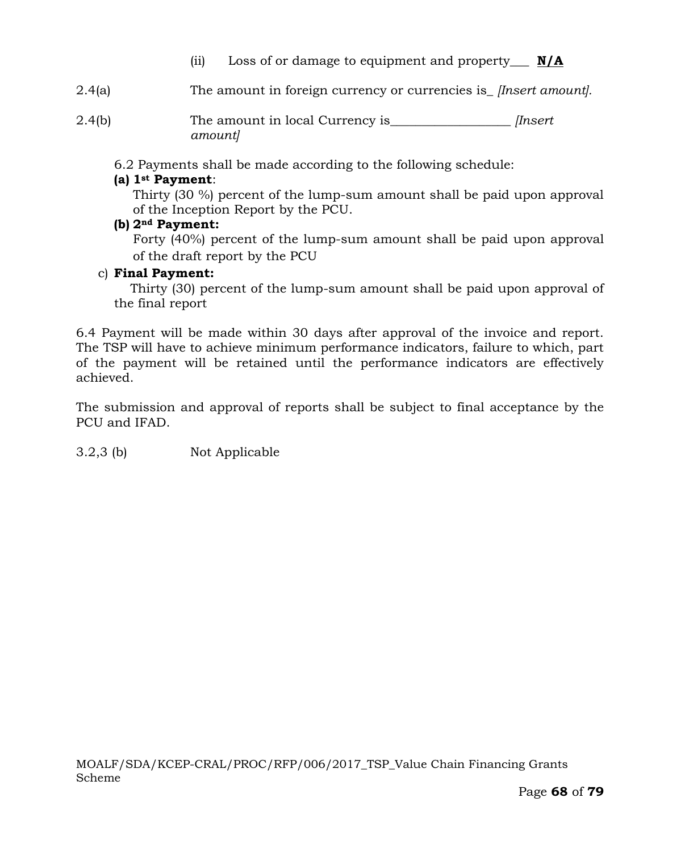- (ii) Loss of or damage to equipment and property\_\_\_ **N/A**
- 2.4(a) The amount in foreign currency or currencies is\_ *[Insert amount].*
- 2.4(b) The amount in local Currency is\_\_\_\_\_\_\_\_\_\_\_\_\_\_\_\_\_\_\_ *[Insert amount]*

6.2 Payments shall be made according to the following schedule:

## **(a) 1st Payment**:

Thirty (30 %) percent of the lump-sum amount shall be paid upon approval of the Inception Report by the PCU.

#### **(b) 2nd Payment:**

Forty (40%) percent of the lump-sum amount shall be paid upon approval of the draft report by the PCU

#### c) **Final Payment:**

Thirty (30) percent of the lump-sum amount shall be paid upon approval of the final report

6.4 Payment will be made within 30 days after approval of the invoice and report. The TSP will have to achieve minimum performance indicators, failure to which, part of the payment will be retained until the performance indicators are effectively achieved.

The submission and approval of reports shall be subject to final acceptance by the PCU and IFAD.

3.2,3 (b) Not Applicable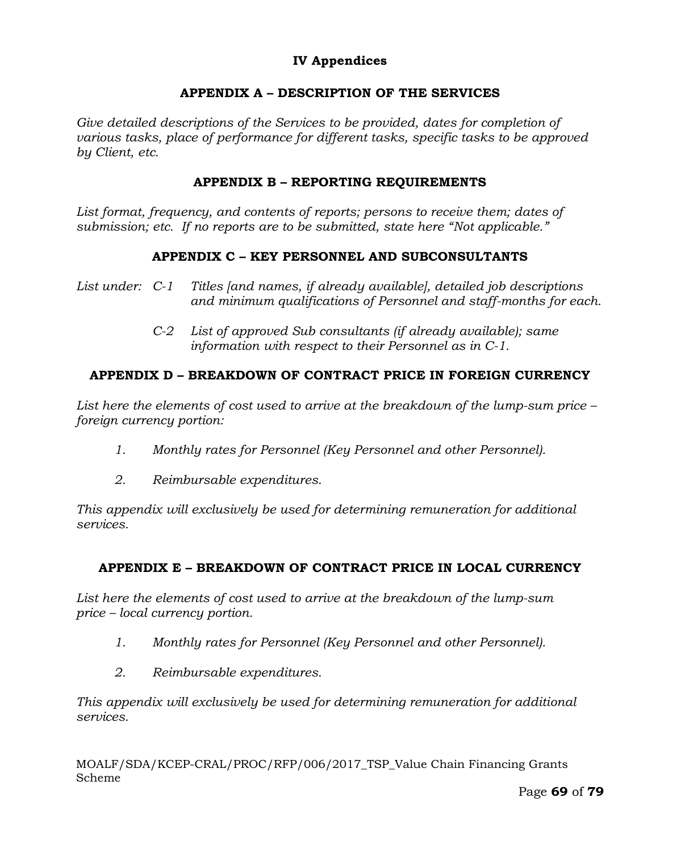# **IV Appendices**

# **APPENDIX A – DESCRIPTION OF THE SERVICES**

Give detailed descriptions of the Services to be provided, dates for completion of *various tasks, place of performance for different tasks, specific tasks to be approved by Client, etc.*

### **APPENDIX B – REPORTING REQUIREMENTS**

*List format, frequency, and contents of reports; persons to receive them; dates of submission; etc. If no reports are to be submitted, state here "Not applicable."*

### **APPENDIX C – KEY PERSONNEL AND SUBCONSULTANTS**

- *List under: C-1 Titles [and names, if already available], detailed job descriptions and minimum qualifications of Personnel and staff-months for each.*
	- *C-2 List of approved Sub consultants (if already available); same information with respect to their Personnel as in C-1.*

# **APPENDIX D – BREAKDOWN OF CONTRACT PRICE IN FOREIGN CURRENCY**

*List here the elements of cost used to arrive at the breakdown of the lump-sum price – foreign currency portion:*

- *1. Monthly rates for Personnel (Key Personnel and other Personnel).*
- *2. Reimbursable expenditures.*

*This appendix will exclusively be used for determining remuneration for additional services.*

# **APPENDIX E – BREAKDOWN OF CONTRACT PRICE IN LOCAL CURRENCY**

*List here the elements of cost used to arrive at the breakdown of the lump-sum price – local currency portion.*

- *1. Monthly rates for Personnel (Key Personnel and other Personnel).*
- *2. Reimbursable expenditures.*

*This appendix will exclusively be used for determining remuneration for additional services.*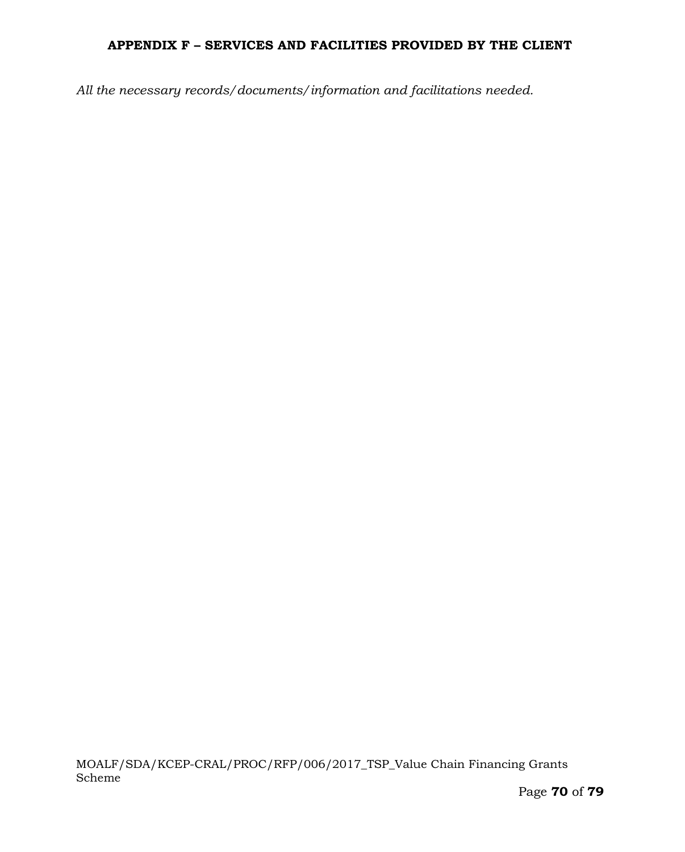# **APPENDIX F – SERVICES AND FACILITIES PROVIDED BY THE CLIENT**

*All the necessary records/documents/information and facilitations needed.*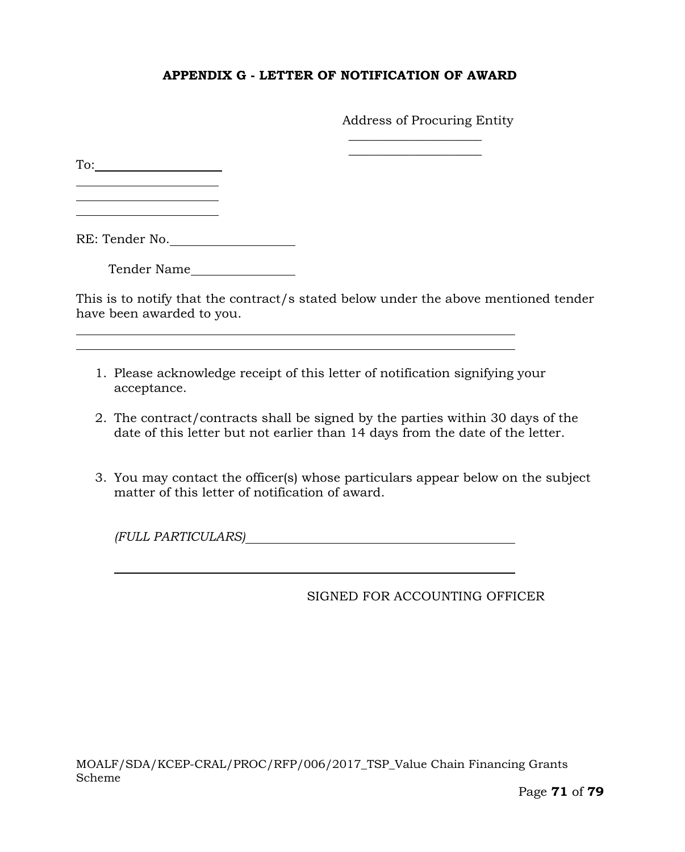### **APPENDIX G - LETTER OF NOTIFICATION OF AWARD**

Address of Procuring Entity

 $\overline{\phantom{a}}$  , where  $\overline{\phantom{a}}$  , where  $\overline{\phantom{a}}$  $\overline{\phantom{a}}$  , where  $\overline{\phantom{a}}$  , where  $\overline{\phantom{a}}$ 

To:

l

RE: Tender No.

Tender Name

This is to notify that the contract/s stated below under the above mentioned tender have been awarded to you.

- 1. Please acknowledge receipt of this letter of notification signifying your acceptance.
- 2. The contract/contracts shall be signed by the parties within 30 days of the date of this letter but not earlier than 14 days from the date of the letter.
- 3. You may contact the officer(s) whose particulars appear below on the subject matter of this letter of notification of award.

*(FULL PARTICULARS)*

#### SIGNED FOR ACCOUNTING OFFICER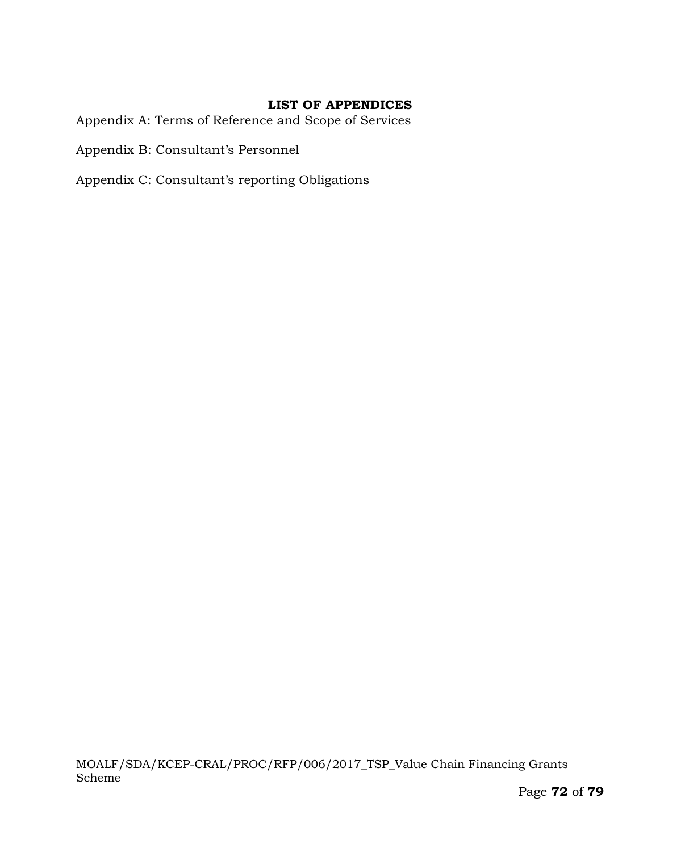### **LIST OF APPENDICES**

Appendix A: Terms of Reference and Scope of Services

Appendix B: Consultant's Personnel

Appendix C: Consultant's reporting Obligations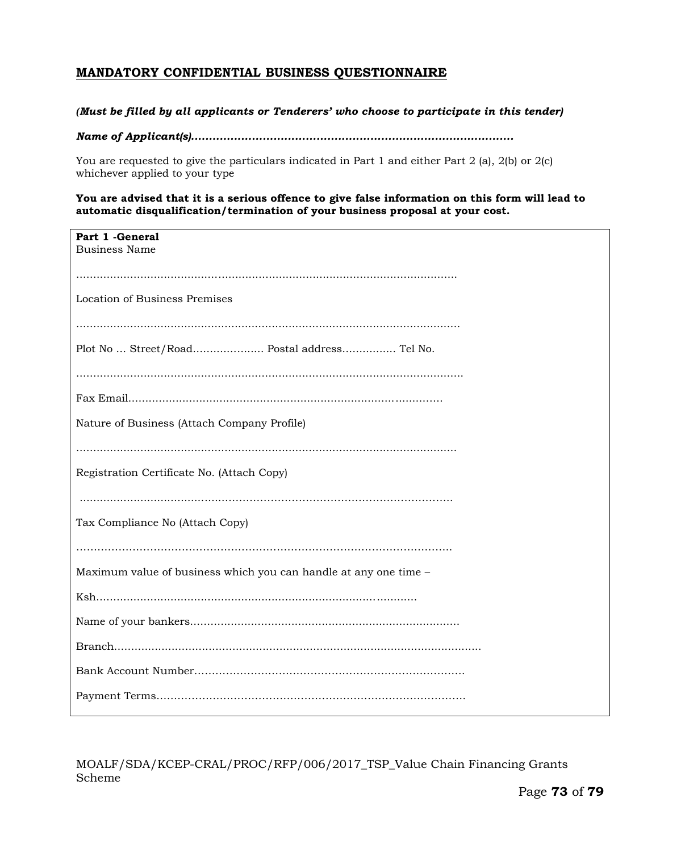# **MANDATORY CONFIDENTIAL BUSINESS QUESTIONNAIRE**

### *(Must be filled by all applicants or Tenderers' who choose to participate in this tender)*

*Name of Applicant(s)..........................................................................................*

You are requested to give the particulars indicated in Part 1 and either Part 2 (a), 2(b) or 2(c) whichever applied to your type

### **You are advised that it is a serious offence to give false information on this form will lead to automatic disqualification/termination of your business proposal at your cost.**

| Part 1 - General<br><b>Business Name</b>                         |
|------------------------------------------------------------------|
|                                                                  |
| <b>Location of Business Premises</b>                             |
|                                                                  |
| Plot No  Street/Road Postal address Tel No.                      |
|                                                                  |
|                                                                  |
| Nature of Business (Attach Company Profile)                      |
|                                                                  |
| Registration Certificate No. (Attach Copy)                       |
|                                                                  |
| Tax Compliance No (Attach Copy)                                  |
|                                                                  |
| Maximum value of business which you can handle at any one time - |
|                                                                  |
|                                                                  |
|                                                                  |
|                                                                  |
|                                                                  |

MOALF/SDA/KCEP-CRAL/PROC/RFP/006/2017\_TSP\_Value Chain Financing Grants Scheme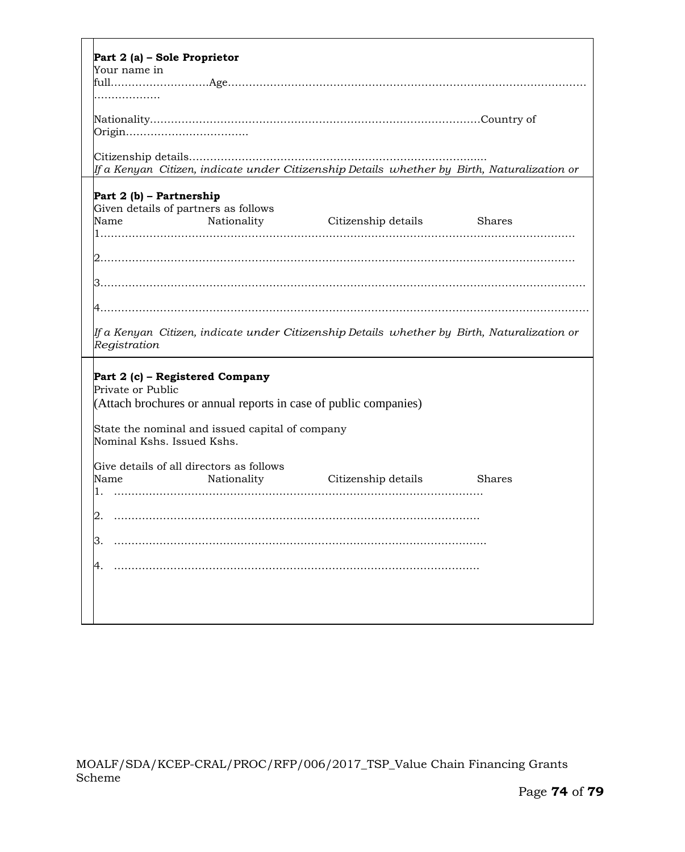| Part 2 (a) - Sole Proprietor                                                                                   |  |  |  |  |  |  |
|----------------------------------------------------------------------------------------------------------------|--|--|--|--|--|--|
| Your name in                                                                                                   |  |  |  |  |  |  |
|                                                                                                                |  |  |  |  |  |  |
|                                                                                                                |  |  |  |  |  |  |
|                                                                                                                |  |  |  |  |  |  |
|                                                                                                                |  |  |  |  |  |  |
|                                                                                                                |  |  |  |  |  |  |
| If a Kenyan  Citizen, indicate under Citizenship Details  whether by  Birth, Naturalization or                 |  |  |  |  |  |  |
|                                                                                                                |  |  |  |  |  |  |
| Part 2 (b) - Partnership                                                                                       |  |  |  |  |  |  |
| Given details of partners as follows                                                                           |  |  |  |  |  |  |
| Nationality Citizenship details<br>Name<br>Shares                                                              |  |  |  |  |  |  |
|                                                                                                                |  |  |  |  |  |  |
|                                                                                                                |  |  |  |  |  |  |
|                                                                                                                |  |  |  |  |  |  |
|                                                                                                                |  |  |  |  |  |  |
|                                                                                                                |  |  |  |  |  |  |
|                                                                                                                |  |  |  |  |  |  |
|                                                                                                                |  |  |  |  |  |  |
| If a Kenyan  Citizen, indicate under Citizenship Details  whether by  Birth, Naturalization or<br>Registration |  |  |  |  |  |  |
|                                                                                                                |  |  |  |  |  |  |
| Part 2 (c) - Registered Company                                                                                |  |  |  |  |  |  |
| Private or Public                                                                                              |  |  |  |  |  |  |
| (Attach brochures or annual reports in case of public companies)                                               |  |  |  |  |  |  |
|                                                                                                                |  |  |  |  |  |  |
| State the nominal and issued capital of company                                                                |  |  |  |  |  |  |
| Nominal Kshs. Issued Kshs.                                                                                     |  |  |  |  |  |  |
|                                                                                                                |  |  |  |  |  |  |
| Give details of all directors as follows                                                                       |  |  |  |  |  |  |
| Nationality<br>Name<br>Citizenship details<br><b>Shares</b><br>1.                                              |  |  |  |  |  |  |
|                                                                                                                |  |  |  |  |  |  |
|                                                                                                                |  |  |  |  |  |  |
|                                                                                                                |  |  |  |  |  |  |
|                                                                                                                |  |  |  |  |  |  |
|                                                                                                                |  |  |  |  |  |  |
|                                                                                                                |  |  |  |  |  |  |
|                                                                                                                |  |  |  |  |  |  |
|                                                                                                                |  |  |  |  |  |  |
|                                                                                                                |  |  |  |  |  |  |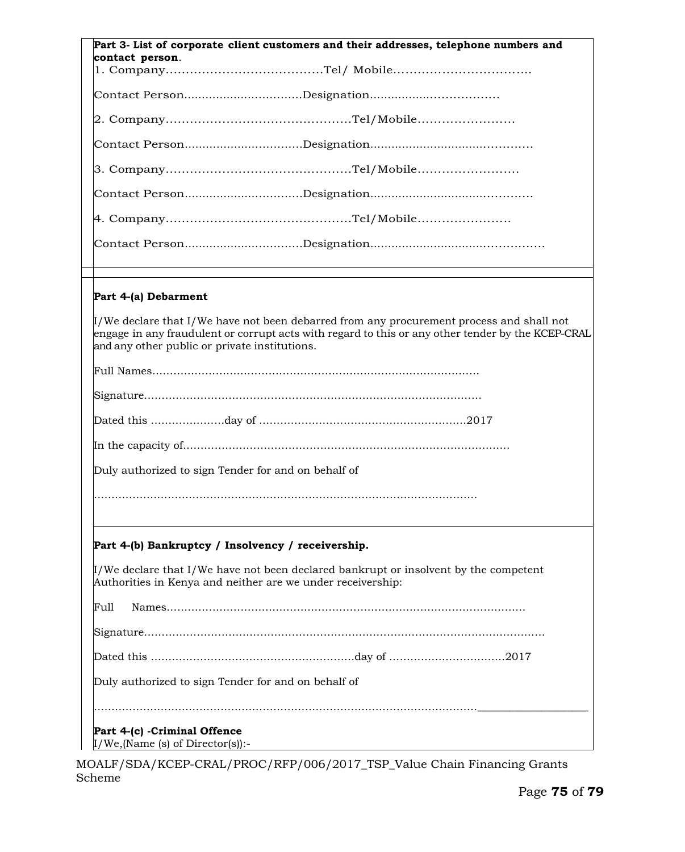| Part 3- List of corporate client customers and their addresses, telephone numbers and                                                                                                                                                               |
|-----------------------------------------------------------------------------------------------------------------------------------------------------------------------------------------------------------------------------------------------------|
| contact person.                                                                                                                                                                                                                                     |
|                                                                                                                                                                                                                                                     |
|                                                                                                                                                                                                                                                     |
|                                                                                                                                                                                                                                                     |
|                                                                                                                                                                                                                                                     |
|                                                                                                                                                                                                                                                     |
|                                                                                                                                                                                                                                                     |
|                                                                                                                                                                                                                                                     |
|                                                                                                                                                                                                                                                     |
|                                                                                                                                                                                                                                                     |
|                                                                                                                                                                                                                                                     |
| Part 4-(a) Debarment                                                                                                                                                                                                                                |
| $\mu$ /We declare that I/We have not been debarred from any procurement process and shall not<br>engage in any fraudulent or corrupt acts with regard to this or any other tender by the KCEP-CRAL<br>and any other public or private institutions. |
|                                                                                                                                                                                                                                                     |
|                                                                                                                                                                                                                                                     |
|                                                                                                                                                                                                                                                     |
|                                                                                                                                                                                                                                                     |
|                                                                                                                                                                                                                                                     |
| Duly authorized to sign Tender for and on behalf of                                                                                                                                                                                                 |
|                                                                                                                                                                                                                                                     |
|                                                                                                                                                                                                                                                     |
| Part 4-(b) Bankruptcy / Insolvency / receivership.                                                                                                                                                                                                  |
| $\mathcal{I}/\mathbb{W}$ e declare that I/We have not been declared bankrupt or insolvent by the competent<br>Authorities in Kenya and neither are we under receivership:                                                                           |
| Full                                                                                                                                                                                                                                                |
|                                                                                                                                                                                                                                                     |
|                                                                                                                                                                                                                                                     |
| Duly authorized to sign Tender for and on behalf of                                                                                                                                                                                                 |
|                                                                                                                                                                                                                                                     |
| Part 4-(c) - Criminal Offence                                                                                                                                                                                                                       |
| $I/W$ e,(Name (s) of Director(s)):-                                                                                                                                                                                                                 |

MOALF/SDA/KCEP-CRAL/PROC/RFP/006/2017\_TSP\_Value Chain Financing Grants Scheme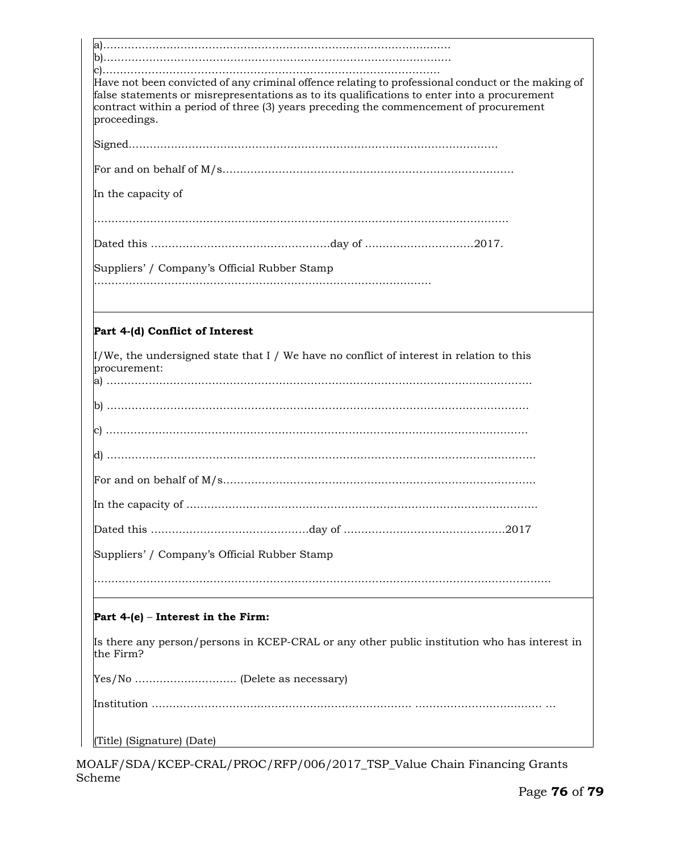| Have not been convicted of any criminal offence relating to professional conduct or the making of<br>false statements or misrepresentations as to its qualifications to enter into a procurement<br>contract within a period of three (3) years preceding the commencement of procurement<br>proceedings. |
|-----------------------------------------------------------------------------------------------------------------------------------------------------------------------------------------------------------------------------------------------------------------------------------------------------------|
|                                                                                                                                                                                                                                                                                                           |
|                                                                                                                                                                                                                                                                                                           |
| In the capacity of                                                                                                                                                                                                                                                                                        |
|                                                                                                                                                                                                                                                                                                           |
|                                                                                                                                                                                                                                                                                                           |
| Suppliers' / Company's Official Rubber Stamp                                                                                                                                                                                                                                                              |
|                                                                                                                                                                                                                                                                                                           |
| Part 4-(d) Conflict of Interest                                                                                                                                                                                                                                                                           |
| $\mu$ /We, the undersigned state that I / We have no conflict of interest in relation to this<br>procurement:                                                                                                                                                                                             |
|                                                                                                                                                                                                                                                                                                           |
|                                                                                                                                                                                                                                                                                                           |
|                                                                                                                                                                                                                                                                                                           |
|                                                                                                                                                                                                                                                                                                           |
|                                                                                                                                                                                                                                                                                                           |
|                                                                                                                                                                                                                                                                                                           |
| Suppliers' / Company's Official Rubber Stamp                                                                                                                                                                                                                                                              |
|                                                                                                                                                                                                                                                                                                           |
| Part 4-(e) – Interest in the Firm:                                                                                                                                                                                                                                                                        |
| Is there any person/persons in KCEP-CRAL or any other public institution who has interest in<br>the Firm?                                                                                                                                                                                                 |
|                                                                                                                                                                                                                                                                                                           |
|                                                                                                                                                                                                                                                                                                           |
|                                                                                                                                                                                                                                                                                                           |
| (Title) (Signature) (Date)                                                                                                                                                                                                                                                                                |

MOALF/SDA/KCEP-CRAL/PROC/RFP/006/2017\_TSP\_Value Chain Financing Grants Scheme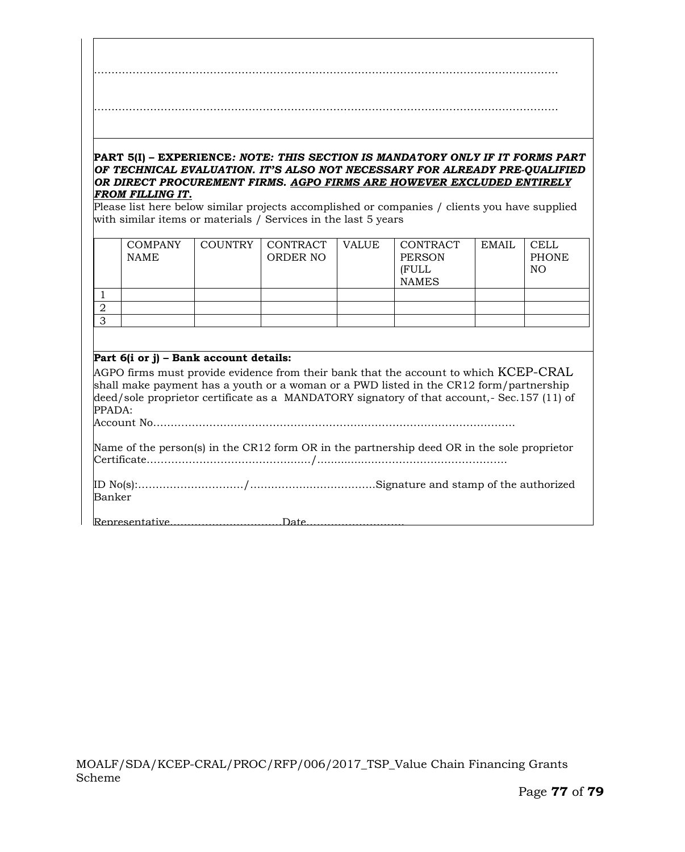#### **PART 5(I) – EXPERIENCE***: NOTE: THIS SECTION IS MANDATORY ONLY IF IT FORMS PART OF TECHNICAL EVALUATION. IT'S ALSO NOT NECESSARY FOR ALREADY PRE-QUALIFIED OR DIRECT PROCUREMENT FIRMS. AGPO FIRMS ARE HOWEVER EXCLUDED ENTIRELY FROM FILLING IT.*

Please list here below similar projects accomplished or companies / clients you have supplied with similar items or materials / Services in the last 5 years

|   | <b>COMPANY</b><br><b>NAME</b> | COUNTRY | CONTRACT<br>ORDER NO | <b>VALUE</b> | CONTRACT<br><b>PERSON</b><br>(FULL<br><b>NAMES</b> | <b>EMAIL</b> | <b>CELL</b><br><b>PHONE</b><br>NO. |
|---|-------------------------------|---------|----------------------|--------------|----------------------------------------------------|--------------|------------------------------------|
|   |                               |         |                      |              |                                                    |              |                                    |
| ∠ |                               |         |                      |              |                                                    |              |                                    |
|   |                               |         |                      |              |                                                    |              |                                    |

## **Part 6(i or j) – Bank account details:**

AGPO firms must provide evidence from their bank that the account to which KCEP-CRAL shall make payment has a youth or a woman or a PWD listed in the CR12 form/partnership deed/sole proprietor certificate as a MANDATORY signatory of that account,- Sec.157 (11) of PPADA:

Account No………………………………………………………………………………………….

Name of the person(s) in the CR12 form OR in the partnership deed OR in the sole proprietor Certificate………………………….………......./...................……………..……………….

ID No(s):…………………………/…….………..…….…..…...Signature and stamp of the authorized Banker

Representative……………..……………Date……………………….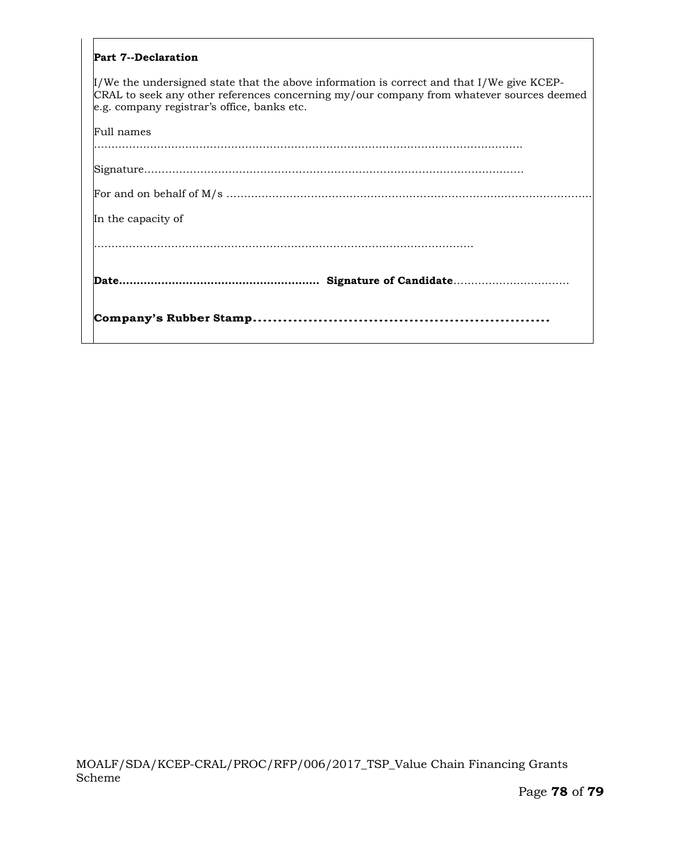| <b>Part 7--Declaration</b>                                                                                                                                                                                                                |
|-------------------------------------------------------------------------------------------------------------------------------------------------------------------------------------------------------------------------------------------|
| $\mu$ /We the undersigned state that the above information is correct and that I/We give KCEP-<br>CRAL to seek any other references concerning my/our company from whatever sources deemed<br>e.g. company registrar's office, banks etc. |
| Full names                                                                                                                                                                                                                                |
|                                                                                                                                                                                                                                           |
|                                                                                                                                                                                                                                           |
| In the capacity of                                                                                                                                                                                                                        |
|                                                                                                                                                                                                                                           |
|                                                                                                                                                                                                                                           |
|                                                                                                                                                                                                                                           |

 $\Gamma$ 

٦